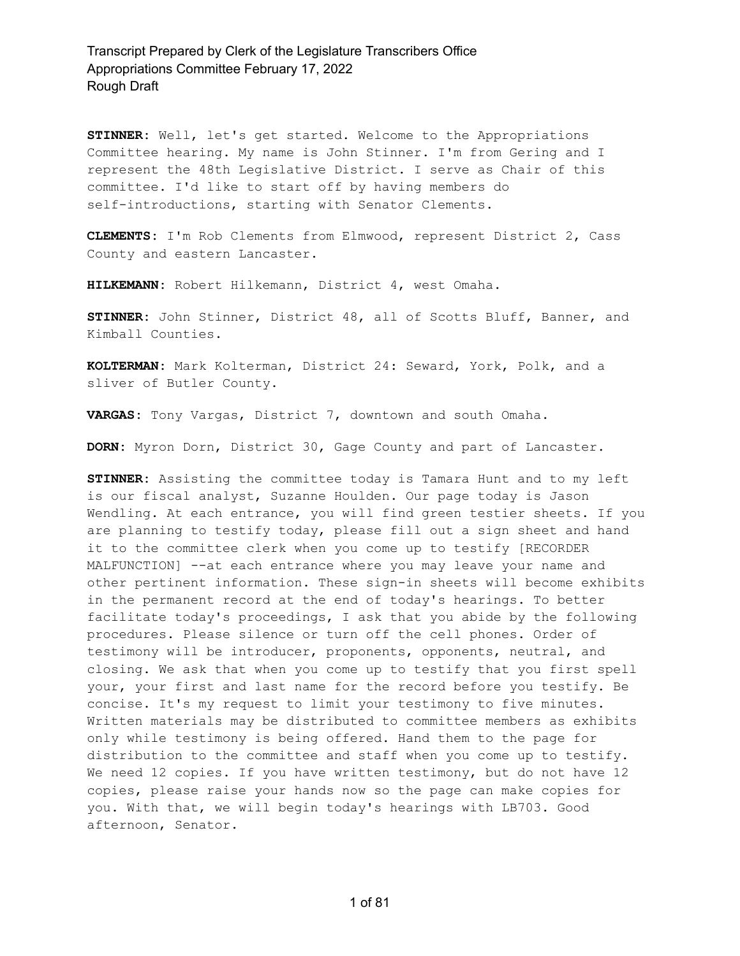**STINNER:** Well, let's get started. Welcome to the Appropriations Committee hearing. My name is John Stinner. I'm from Gering and I represent the 48th Legislative District. I serve as Chair of this committee. I'd like to start off by having members do self-introductions, starting with Senator Clements.

**CLEMENTS:** I'm Rob Clements from Elmwood, represent District 2, Cass County and eastern Lancaster.

**HILKEMANN:** Robert Hilkemann, District 4, west Omaha.

**STINNER:** John Stinner, District 48, all of Scotts Bluff, Banner, and Kimball Counties.

**KOLTERMAN:** Mark Kolterman, District 24: Seward, York, Polk, and a sliver of Butler County.

**VARGAS:** Tony Vargas, District 7, downtown and south Omaha.

**DORN:** Myron Dorn, District 30, Gage County and part of Lancaster.

**STINNER:** Assisting the committee today is Tamara Hunt and to my left is our fiscal analyst, Suzanne Houlden. Our page today is Jason Wendling. At each entrance, you will find green testier sheets. If you are planning to testify today, please fill out a sign sheet and hand it to the committee clerk when you come up to testify [RECORDER MALFUNCTION] --at each entrance where you may leave your name and other pertinent information. These sign-in sheets will become exhibits in the permanent record at the end of today's hearings. To better facilitate today's proceedings, I ask that you abide by the following procedures. Please silence or turn off the cell phones. Order of testimony will be introducer, proponents, opponents, neutral, and closing. We ask that when you come up to testify that you first spell your, your first and last name for the record before you testify. Be concise. It's my request to limit your testimony to five minutes. Written materials may be distributed to committee members as exhibits only while testimony is being offered. Hand them to the page for distribution to the committee and staff when you come up to testify. We need 12 copies. If you have written testimony, but do not have 12 copies, please raise your hands now so the page can make copies for you. With that, we will begin today's hearings with LB703. Good afternoon, Senator.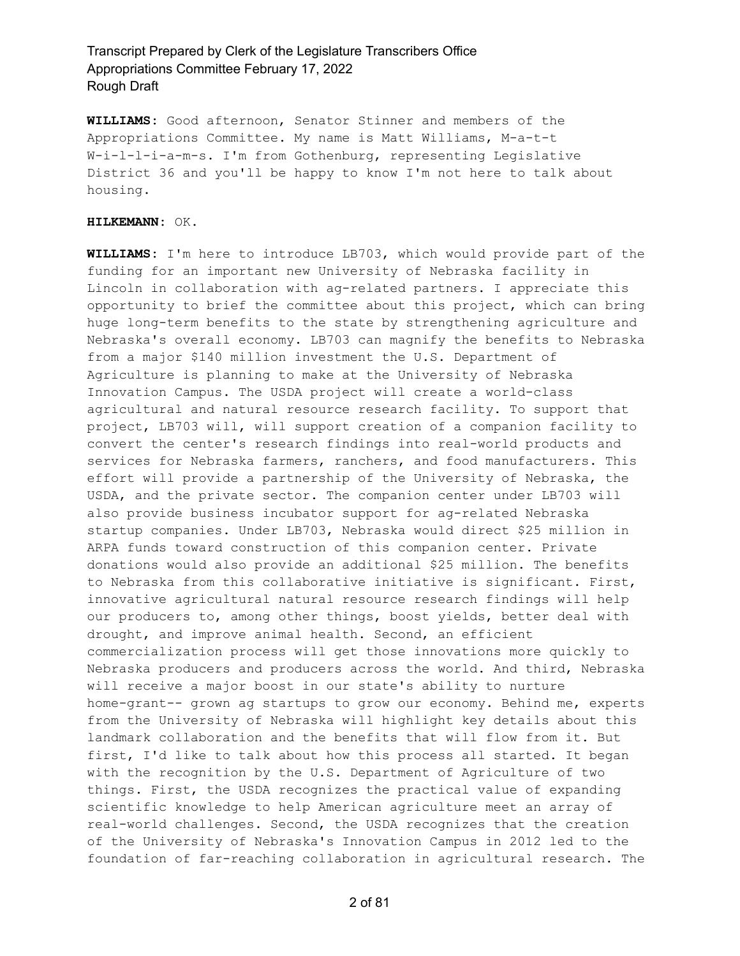**WILLIAMS:** Good afternoon, Senator Stinner and members of the Appropriations Committee. My name is Matt Williams, M-a-t-t W-i-l-l-i-a-m-s. I'm from Gothenburg, representing Legislative District 36 and you'll be happy to know I'm not here to talk about housing.

#### **HILKEMANN:** OK.

**WILLIAMS:** I'm here to introduce LB703, which would provide part of the funding for an important new University of Nebraska facility in Lincoln in collaboration with ag-related partners. I appreciate this opportunity to brief the committee about this project, which can bring huge long-term benefits to the state by strengthening agriculture and Nebraska's overall economy. LB703 can magnify the benefits to Nebraska from a major \$140 million investment the U.S. Department of Agriculture is planning to make at the University of Nebraska Innovation Campus. The USDA project will create a world-class agricultural and natural resource research facility. To support that project, LB703 will, will support creation of a companion facility to convert the center's research findings into real-world products and services for Nebraska farmers, ranchers, and food manufacturers. This effort will provide a partnership of the University of Nebraska, the USDA, and the private sector. The companion center under LB703 will also provide business incubator support for ag-related Nebraska startup companies. Under LB703, Nebraska would direct \$25 million in ARPA funds toward construction of this companion center. Private donations would also provide an additional \$25 million. The benefits to Nebraska from this collaborative initiative is significant. First, innovative agricultural natural resource research findings will help our producers to, among other things, boost yields, better deal with drought, and improve animal health. Second, an efficient commercialization process will get those innovations more quickly to Nebraska producers and producers across the world. And third, Nebraska will receive a major boost in our state's ability to nurture home-grant-- grown ag startups to grow our economy. Behind me, experts from the University of Nebraska will highlight key details about this landmark collaboration and the benefits that will flow from it. But first, I'd like to talk about how this process all started. It began with the recognition by the U.S. Department of Agriculture of two things. First, the USDA recognizes the practical value of expanding scientific knowledge to help American agriculture meet an array of real-world challenges. Second, the USDA recognizes that the creation of the University of Nebraska's Innovation Campus in 2012 led to the foundation of far-reaching collaboration in agricultural research. The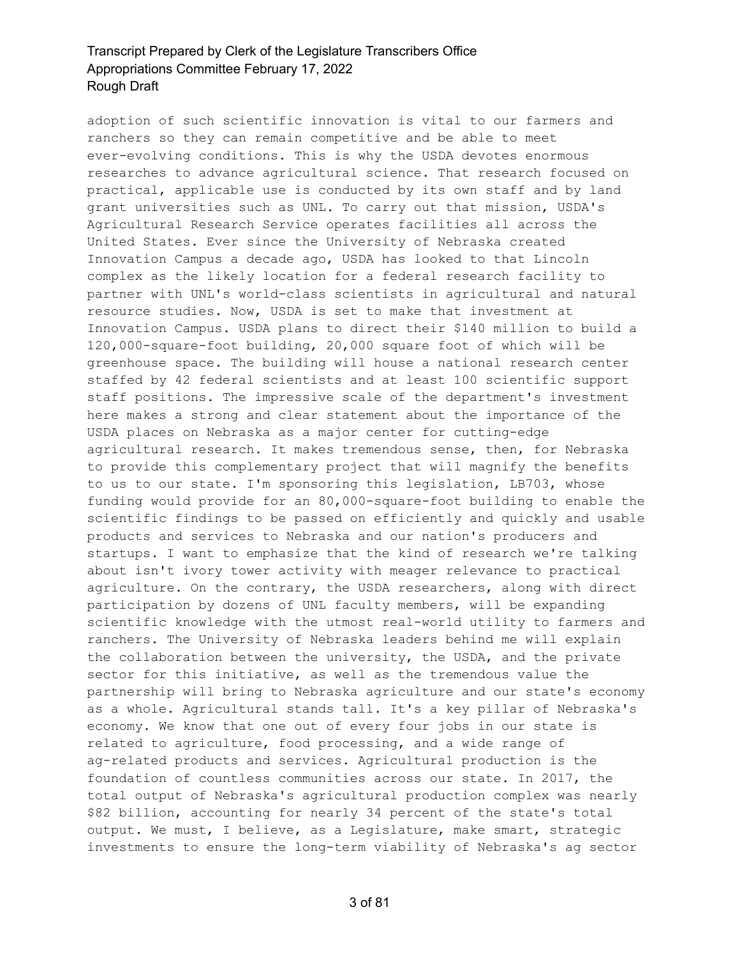adoption of such scientific innovation is vital to our farmers and ranchers so they can remain competitive and be able to meet ever-evolving conditions. This is why the USDA devotes enormous researches to advance agricultural science. That research focused on practical, applicable use is conducted by its own staff and by land grant universities such as UNL. To carry out that mission, USDA's Agricultural Research Service operates facilities all across the United States. Ever since the University of Nebraska created Innovation Campus a decade ago, USDA has looked to that Lincoln complex as the likely location for a federal research facility to partner with UNL's world-class scientists in agricultural and natural resource studies. Now, USDA is set to make that investment at Innovation Campus. USDA plans to direct their \$140 million to build a 120,000-square-foot building, 20,000 square foot of which will be greenhouse space. The building will house a national research center staffed by 42 federal scientists and at least 100 scientific support staff positions. The impressive scale of the department's investment here makes a strong and clear statement about the importance of the USDA places on Nebraska as a major center for cutting-edge agricultural research. It makes tremendous sense, then, for Nebraska to provide this complementary project that will magnify the benefits to us to our state. I'm sponsoring this legislation, LB703, whose funding would provide for an 80,000-square-foot building to enable the scientific findings to be passed on efficiently and quickly and usable products and services to Nebraska and our nation's producers and startups. I want to emphasize that the kind of research we're talking about isn't ivory tower activity with meager relevance to practical agriculture. On the contrary, the USDA researchers, along with direct participation by dozens of UNL faculty members, will be expanding scientific knowledge with the utmost real-world utility to farmers and ranchers. The University of Nebraska leaders behind me will explain the collaboration between the university, the USDA, and the private sector for this initiative, as well as the tremendous value the partnership will bring to Nebraska agriculture and our state's economy as a whole. Agricultural stands tall. It's a key pillar of Nebraska's economy. We know that one out of every four jobs in our state is related to agriculture, food processing, and a wide range of ag-related products and services. Agricultural production is the foundation of countless communities across our state. In 2017, the total output of Nebraska's agricultural production complex was nearly \$82 billion, accounting for nearly 34 percent of the state's total output. We must, I believe, as a Legislature, make smart, strategic investments to ensure the long-term viability of Nebraska's ag sector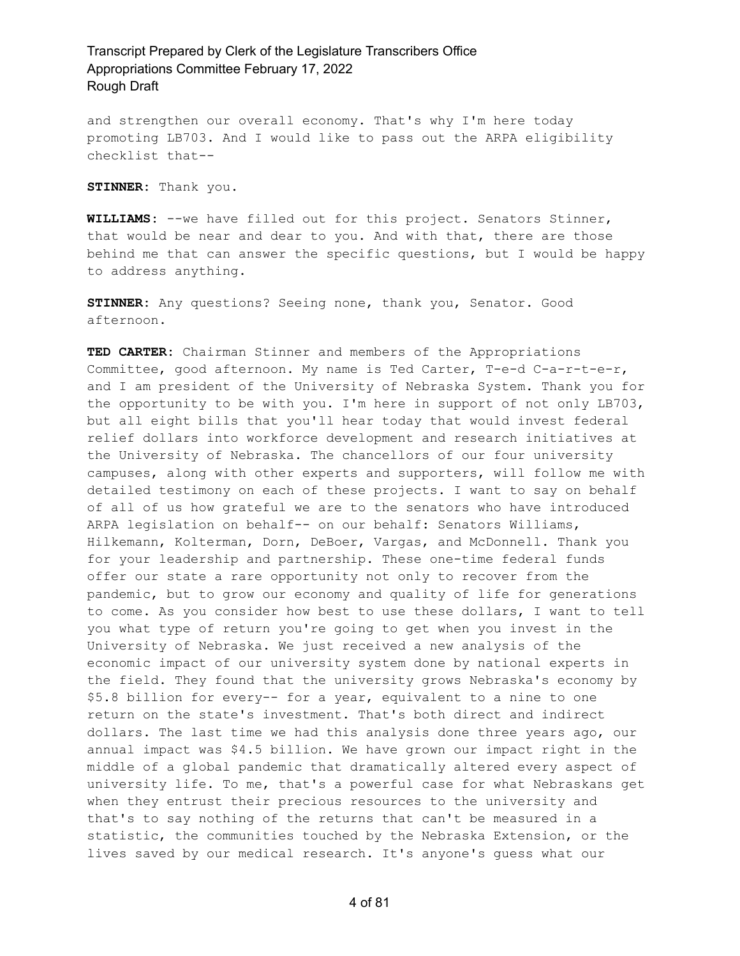and strengthen our overall economy. That's why I'm here today promoting LB703. And I would like to pass out the ARPA eligibility checklist that--

**STINNER:** Thank you.

**WILLIAMS:** --we have filled out for this project. Senators Stinner, that would be near and dear to you. And with that, there are those behind me that can answer the specific questions, but I would be happy to address anything.

**STINNER:** Any questions? Seeing none, thank you, Senator. Good afternoon.

**TED CARTER:** Chairman Stinner and members of the Appropriations Committee, good afternoon. My name is Ted Carter, T-e-d C-a-r-t-e-r, and I am president of the University of Nebraska System. Thank you for the opportunity to be with you. I'm here in support of not only LB703, but all eight bills that you'll hear today that would invest federal relief dollars into workforce development and research initiatives at the University of Nebraska. The chancellors of our four university campuses, along with other experts and supporters, will follow me with detailed testimony on each of these projects. I want to say on behalf of all of us how grateful we are to the senators who have introduced ARPA legislation on behalf-- on our behalf: Senators Williams, Hilkemann, Kolterman, Dorn, DeBoer, Vargas, and McDonnell. Thank you for your leadership and partnership. These one-time federal funds offer our state a rare opportunity not only to recover from the pandemic, but to grow our economy and quality of life for generations to come. As you consider how best to use these dollars, I want to tell you what type of return you're going to get when you invest in the University of Nebraska. We just received a new analysis of the economic impact of our university system done by national experts in the field. They found that the university grows Nebraska's economy by \$5.8 billion for every-- for a year, equivalent to a nine to one return on the state's investment. That's both direct and indirect dollars. The last time we had this analysis done three years ago, our annual impact was \$4.5 billion. We have grown our impact right in the middle of a global pandemic that dramatically altered every aspect of university life. To me, that's a powerful case for what Nebraskans get when they entrust their precious resources to the university and that's to say nothing of the returns that can't be measured in a statistic, the communities touched by the Nebraska Extension, or the lives saved by our medical research. It's anyone's guess what our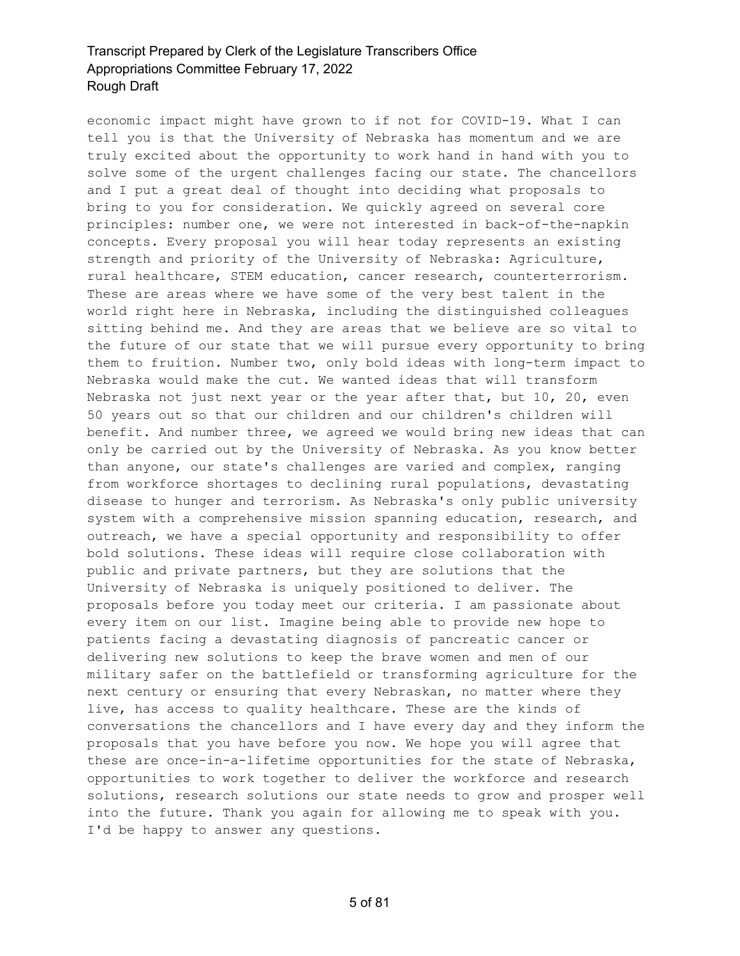economic impact might have grown to if not for COVID-19. What I can tell you is that the University of Nebraska has momentum and we are truly excited about the opportunity to work hand in hand with you to solve some of the urgent challenges facing our state. The chancellors and I put a great deal of thought into deciding what proposals to bring to you for consideration. We quickly agreed on several core principles: number one, we were not interested in back-of-the-napkin concepts. Every proposal you will hear today represents an existing strength and priority of the University of Nebraska: Agriculture, rural healthcare, STEM education, cancer research, counterterrorism. These are areas where we have some of the very best talent in the world right here in Nebraska, including the distinguished colleagues sitting behind me. And they are areas that we believe are so vital to the future of our state that we will pursue every opportunity to bring them to fruition. Number two, only bold ideas with long-term impact to Nebraska would make the cut. We wanted ideas that will transform Nebraska not just next year or the year after that, but 10, 20, even 50 years out so that our children and our children's children will benefit. And number three, we agreed we would bring new ideas that can only be carried out by the University of Nebraska. As you know better than anyone, our state's challenges are varied and complex, ranging from workforce shortages to declining rural populations, devastating disease to hunger and terrorism. As Nebraska's only public university system with a comprehensive mission spanning education, research, and outreach, we have a special opportunity and responsibility to offer bold solutions. These ideas will require close collaboration with public and private partners, but they are solutions that the University of Nebraska is uniquely positioned to deliver. The proposals before you today meet our criteria. I am passionate about every item on our list. Imagine being able to provide new hope to patients facing a devastating diagnosis of pancreatic cancer or delivering new solutions to keep the brave women and men of our military safer on the battlefield or transforming agriculture for the next century or ensuring that every Nebraskan, no matter where they live, has access to quality healthcare. These are the kinds of conversations the chancellors and I have every day and they inform the proposals that you have before you now. We hope you will agree that these are once-in-a-lifetime opportunities for the state of Nebraska, opportunities to work together to deliver the workforce and research solutions, research solutions our state needs to grow and prosper well into the future. Thank you again for allowing me to speak with you. I'd be happy to answer any questions.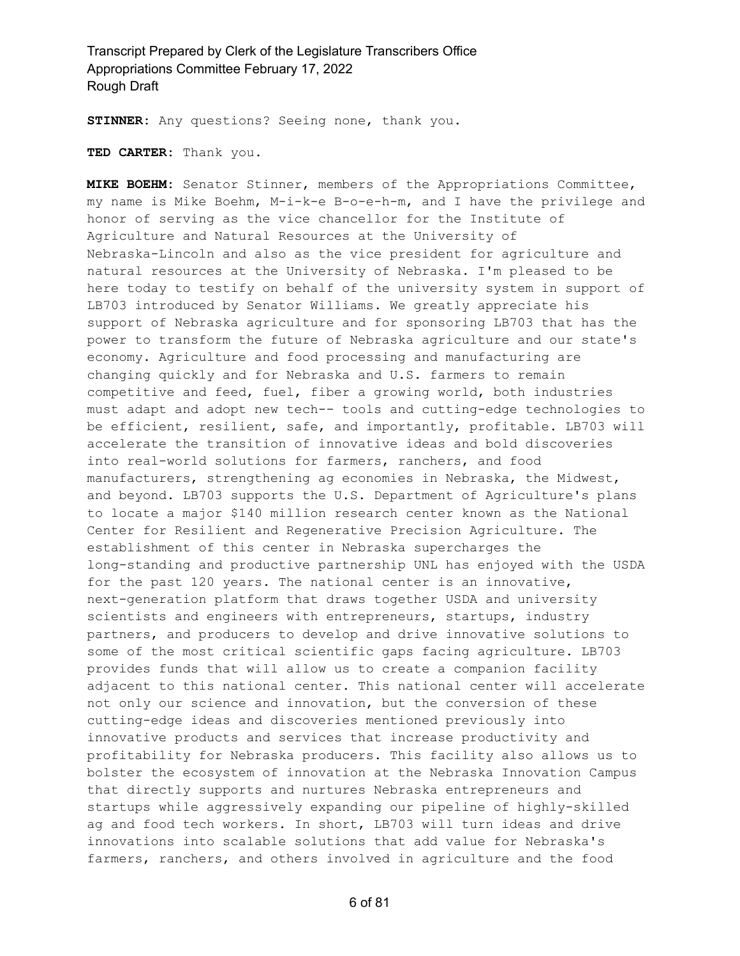**STINNER:** Any questions? Seeing none, thank you.

**TED CARTER:** Thank you.

**MIKE BOEHM:** Senator Stinner, members of the Appropriations Committee, my name is Mike Boehm, M-i-k-e B-o-e-h-m, and I have the privilege and honor of serving as the vice chancellor for the Institute of Agriculture and Natural Resources at the University of Nebraska-Lincoln and also as the vice president for agriculture and natural resources at the University of Nebraska. I'm pleased to be here today to testify on behalf of the university system in support of LB703 introduced by Senator Williams. We greatly appreciate his support of Nebraska agriculture and for sponsoring LB703 that has the power to transform the future of Nebraska agriculture and our state's economy. Agriculture and food processing and manufacturing are changing quickly and for Nebraska and U.S. farmers to remain competitive and feed, fuel, fiber a growing world, both industries must adapt and adopt new tech-- tools and cutting-edge technologies to be efficient, resilient, safe, and importantly, profitable. LB703 will accelerate the transition of innovative ideas and bold discoveries into real-world solutions for farmers, ranchers, and food manufacturers, strengthening ag economies in Nebraska, the Midwest, and beyond. LB703 supports the U.S. Department of Agriculture's plans to locate a major \$140 million research center known as the National Center for Resilient and Regenerative Precision Agriculture. The establishment of this center in Nebraska supercharges the long-standing and productive partnership UNL has enjoyed with the USDA for the past 120 years. The national center is an innovative, next-generation platform that draws together USDA and university scientists and engineers with entrepreneurs, startups, industry partners, and producers to develop and drive innovative solutions to some of the most critical scientific gaps facing agriculture. LB703 provides funds that will allow us to create a companion facility adjacent to this national center. This national center will accelerate not only our science and innovation, but the conversion of these cutting-edge ideas and discoveries mentioned previously into innovative products and services that increase productivity and profitability for Nebraska producers. This facility also allows us to bolster the ecosystem of innovation at the Nebraska Innovation Campus that directly supports and nurtures Nebraska entrepreneurs and startups while aggressively expanding our pipeline of highly-skilled ag and food tech workers. In short, LB703 will turn ideas and drive innovations into scalable solutions that add value for Nebraska's farmers, ranchers, and others involved in agriculture and the food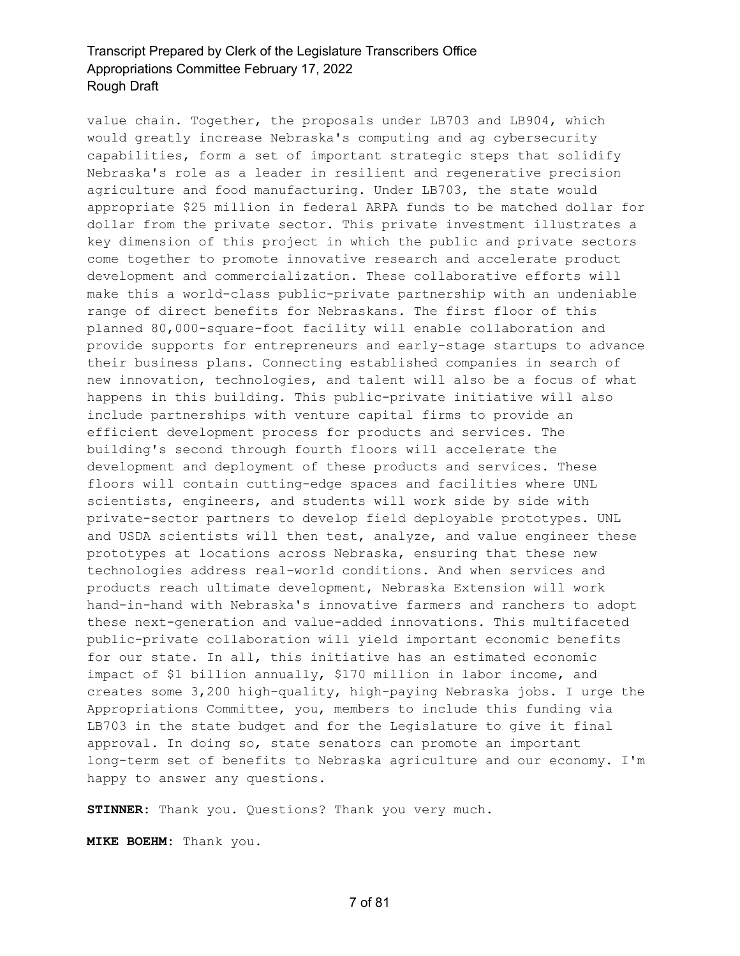value chain. Together, the proposals under LB703 and LB904, which would greatly increase Nebraska's computing and ag cybersecurity capabilities, form a set of important strategic steps that solidify Nebraska's role as a leader in resilient and regenerative precision agriculture and food manufacturing. Under LB703, the state would appropriate \$25 million in federal ARPA funds to be matched dollar for dollar from the private sector. This private investment illustrates a key dimension of this project in which the public and private sectors come together to promote innovative research and accelerate product development and commercialization. These collaborative efforts will make this a world-class public-private partnership with an undeniable range of direct benefits for Nebraskans. The first floor of this planned 80,000-square-foot facility will enable collaboration and provide supports for entrepreneurs and early-stage startups to advance their business plans. Connecting established companies in search of new innovation, technologies, and talent will also be a focus of what happens in this building. This public-private initiative will also include partnerships with venture capital firms to provide an efficient development process for products and services. The building's second through fourth floors will accelerate the development and deployment of these products and services. These floors will contain cutting-edge spaces and facilities where UNL scientists, engineers, and students will work side by side with private-sector partners to develop field deployable prototypes. UNL and USDA scientists will then test, analyze, and value engineer these prototypes at locations across Nebraska, ensuring that these new technologies address real-world conditions. And when services and products reach ultimate development, Nebraska Extension will work hand-in-hand with Nebraska's innovative farmers and ranchers to adopt these next-generation and value-added innovations. This multifaceted public-private collaboration will yield important economic benefits for our state. In all, this initiative has an estimated economic impact of \$1 billion annually, \$170 million in labor income, and creates some 3,200 high-quality, high-paying Nebraska jobs. I urge the Appropriations Committee, you, members to include this funding via LB703 in the state budget and for the Legislature to give it final approval. In doing so, state senators can promote an important long-term set of benefits to Nebraska agriculture and our economy. I'm happy to answer any questions.

**STINNER:** Thank you. Questions? Thank you very much.

**MIKE BOEHM:** Thank you.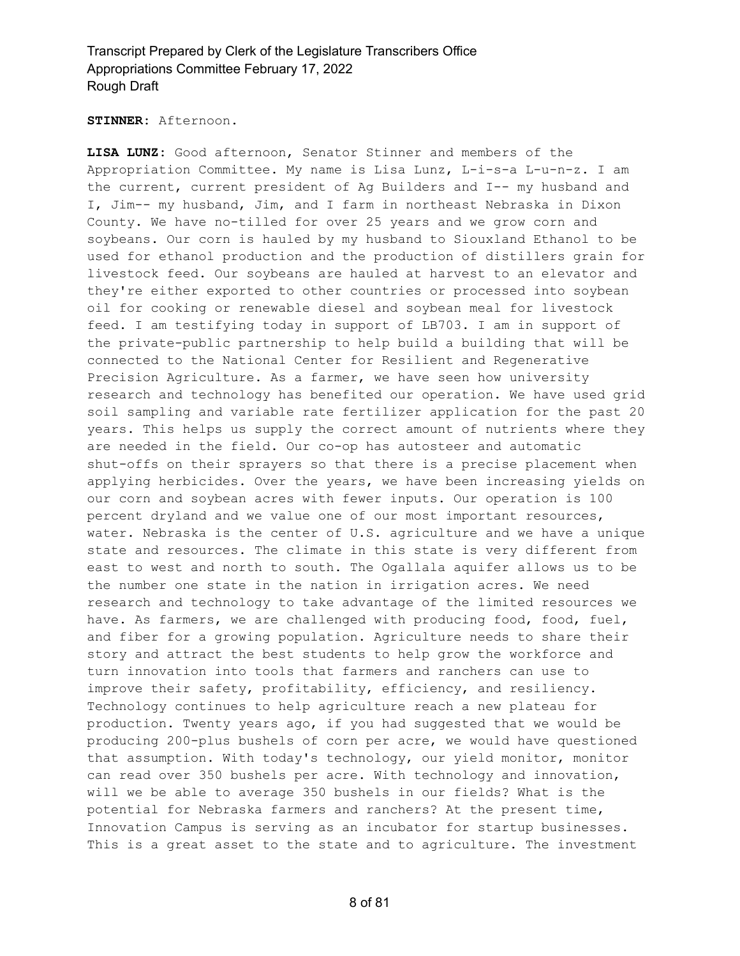#### **STINNER:** Afternoon.

**LISA LUNZ:** Good afternoon, Senator Stinner and members of the Appropriation Committee. My name is Lisa Lunz, L-i-s-a L-u-n-z. I am the current, current president of Ag Builders and I-- my husband and I, Jim-- my husband, Jim, and I farm in northeast Nebraska in Dixon County. We have no-tilled for over 25 years and we grow corn and soybeans. Our corn is hauled by my husband to Siouxland Ethanol to be used for ethanol production and the production of distillers grain for livestock feed. Our soybeans are hauled at harvest to an elevator and they're either exported to other countries or processed into soybean oil for cooking or renewable diesel and soybean meal for livestock feed. I am testifying today in support of LB703. I am in support of the private-public partnership to help build a building that will be connected to the National Center for Resilient and Regenerative Precision Agriculture. As a farmer, we have seen how university research and technology has benefited our operation. We have used grid soil sampling and variable rate fertilizer application for the past 20 years. This helps us supply the correct amount of nutrients where they are needed in the field. Our co-op has autosteer and automatic shut-offs on their sprayers so that there is a precise placement when applying herbicides. Over the years, we have been increasing yields on our corn and soybean acres with fewer inputs. Our operation is 100 percent dryland and we value one of our most important resources, water. Nebraska is the center of U.S. agriculture and we have a unique state and resources. The climate in this state is very different from east to west and north to south. The Ogallala aquifer allows us to be the number one state in the nation in irrigation acres. We need research and technology to take advantage of the limited resources we have. As farmers, we are challenged with producing food, food, fuel, and fiber for a growing population. Agriculture needs to share their story and attract the best students to help grow the workforce and turn innovation into tools that farmers and ranchers can use to improve their safety, profitability, efficiency, and resiliency. Technology continues to help agriculture reach a new plateau for production. Twenty years ago, if you had suggested that we would be producing 200-plus bushels of corn per acre, we would have questioned that assumption. With today's technology, our yield monitor, monitor can read over 350 bushels per acre. With technology and innovation, will we be able to average 350 bushels in our fields? What is the potential for Nebraska farmers and ranchers? At the present time, Innovation Campus is serving as an incubator for startup businesses. This is a great asset to the state and to agriculture. The investment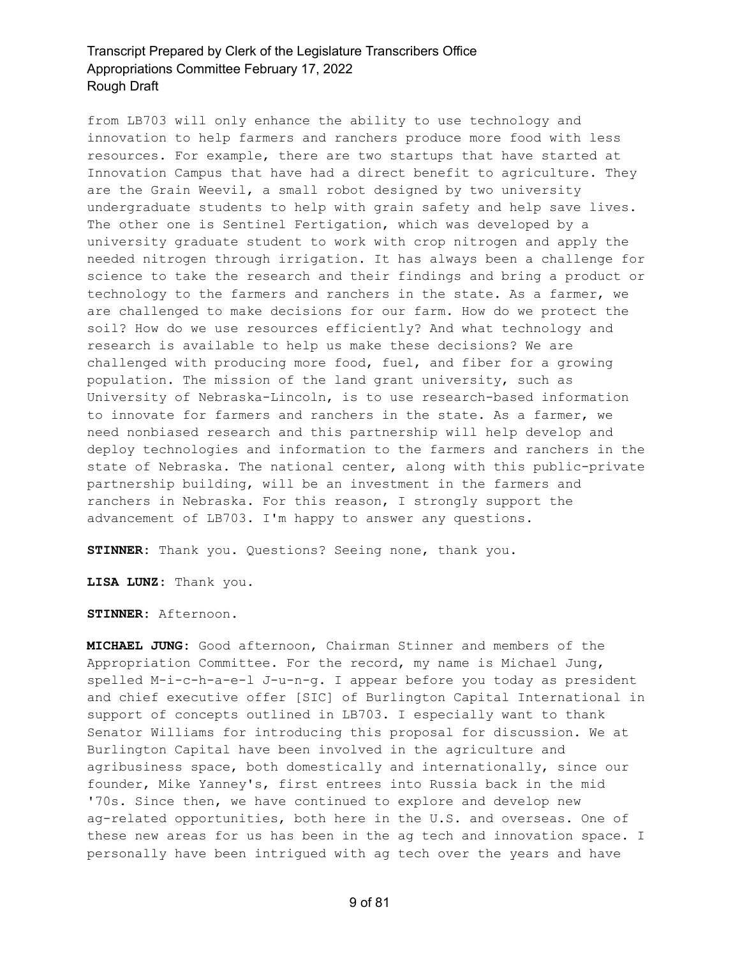from LB703 will only enhance the ability to use technology and innovation to help farmers and ranchers produce more food with less resources. For example, there are two startups that have started at Innovation Campus that have had a direct benefit to agriculture. They are the Grain Weevil, a small robot designed by two university undergraduate students to help with grain safety and help save lives. The other one is Sentinel Fertigation, which was developed by a university graduate student to work with crop nitrogen and apply the needed nitrogen through irrigation. It has always been a challenge for science to take the research and their findings and bring a product or technology to the farmers and ranchers in the state. As a farmer, we are challenged to make decisions for our farm. How do we protect the soil? How do we use resources efficiently? And what technology and research is available to help us make these decisions? We are challenged with producing more food, fuel, and fiber for a growing population. The mission of the land grant university, such as University of Nebraska-Lincoln, is to use research-based information to innovate for farmers and ranchers in the state. As a farmer, we need nonbiased research and this partnership will help develop and deploy technologies and information to the farmers and ranchers in the state of Nebraska. The national center, along with this public-private partnership building, will be an investment in the farmers and ranchers in Nebraska. For this reason, I strongly support the advancement of LB703. I'm happy to answer any questions.

**STINNER:** Thank you. Questions? Seeing none, thank you.

**LISA LUNZ:** Thank you.

**STINNER:** Afternoon.

**MICHAEL JUNG:** Good afternoon, Chairman Stinner and members of the Appropriation Committee. For the record, my name is Michael Jung, spelled M-i-c-h-a-e-l J-u-n-g. I appear before you today as president and chief executive offer [SIC] of Burlington Capital International in support of concepts outlined in LB703. I especially want to thank Senator Williams for introducing this proposal for discussion. We at Burlington Capital have been involved in the agriculture and agribusiness space, both domestically and internationally, since our founder, Mike Yanney's, first entrees into Russia back in the mid '70s. Since then, we have continued to explore and develop new ag-related opportunities, both here in the U.S. and overseas. One of these new areas for us has been in the ag tech and innovation space. I personally have been intrigued with ag tech over the years and have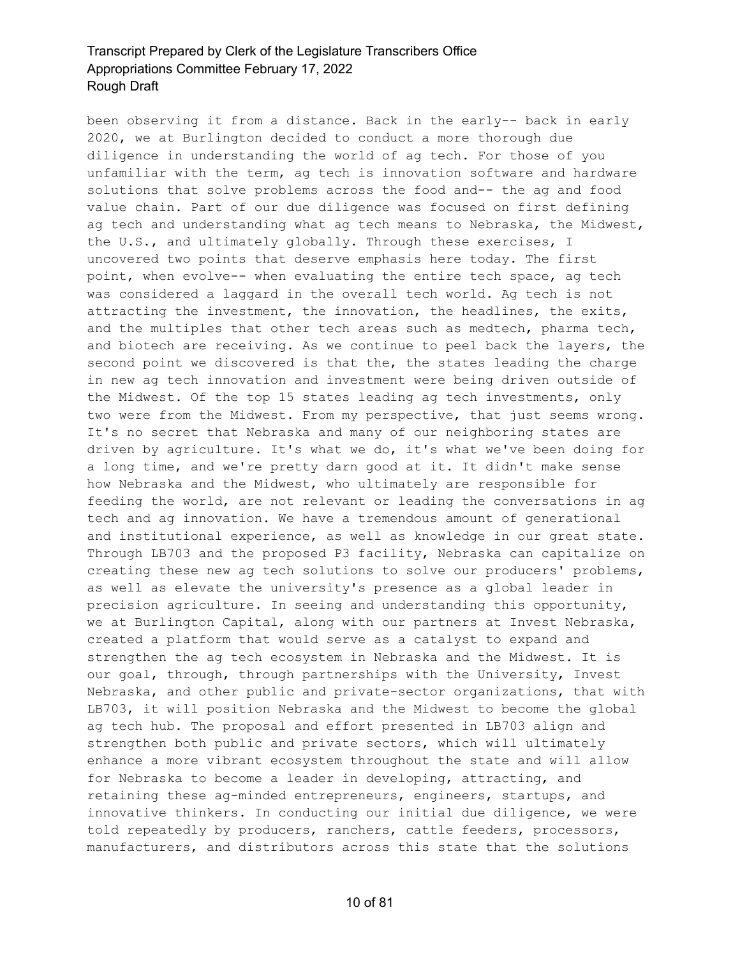been observing it from a distance. Back in the early-- back in early 2020, we at Burlington decided to conduct a more thorough due diligence in understanding the world of ag tech. For those of you unfamiliar with the term, ag tech is innovation software and hardware solutions that solve problems across the food and-- the ag and food value chain. Part of our due diligence was focused on first defining ag tech and understanding what ag tech means to Nebraska, the Midwest, the U.S., and ultimately globally. Through these exercises, I uncovered two points that deserve emphasis here today. The first point, when evolve-- when evaluating the entire tech space, ag tech was considered a laggard in the overall tech world. Ag tech is not attracting the investment, the innovation, the headlines, the exits, and the multiples that other tech areas such as medtech, pharma tech, and biotech are receiving. As we continue to peel back the layers, the second point we discovered is that the, the states leading the charge in new ag tech innovation and investment were being driven outside of the Midwest. Of the top 15 states leading ag tech investments, only two were from the Midwest. From my perspective, that just seems wrong. It's no secret that Nebraska and many of our neighboring states are driven by agriculture. It's what we do, it's what we've been doing for a long time, and we're pretty darn good at it. It didn't make sense how Nebraska and the Midwest, who ultimately are responsible for feeding the world, are not relevant or leading the conversations in ag tech and ag innovation. We have a tremendous amount of generational and institutional experience, as well as knowledge in our great state. Through LB703 and the proposed P3 facility, Nebraska can capitalize on creating these new ag tech solutions to solve our producers' problems, as well as elevate the university's presence as a global leader in precision agriculture. In seeing and understanding this opportunity, we at Burlington Capital, along with our partners at Invest Nebraska, created a platform that would serve as a catalyst to expand and strengthen the ag tech ecosystem in Nebraska and the Midwest. It is our goal, through, through partnerships with the University, Invest Nebraska, and other public and private-sector organizations, that with LB703, it will position Nebraska and the Midwest to become the global ag tech hub. The proposal and effort presented in LB703 align and strengthen both public and private sectors, which will ultimately enhance a more vibrant ecosystem throughout the state and will allow for Nebraska to become a leader in developing, attracting, and retaining these ag-minded entrepreneurs, engineers, startups, and innovative thinkers. In conducting our initial due diligence, we were told repeatedly by producers, ranchers, cattle feeders, processors, manufacturers, and distributors across this state that the solutions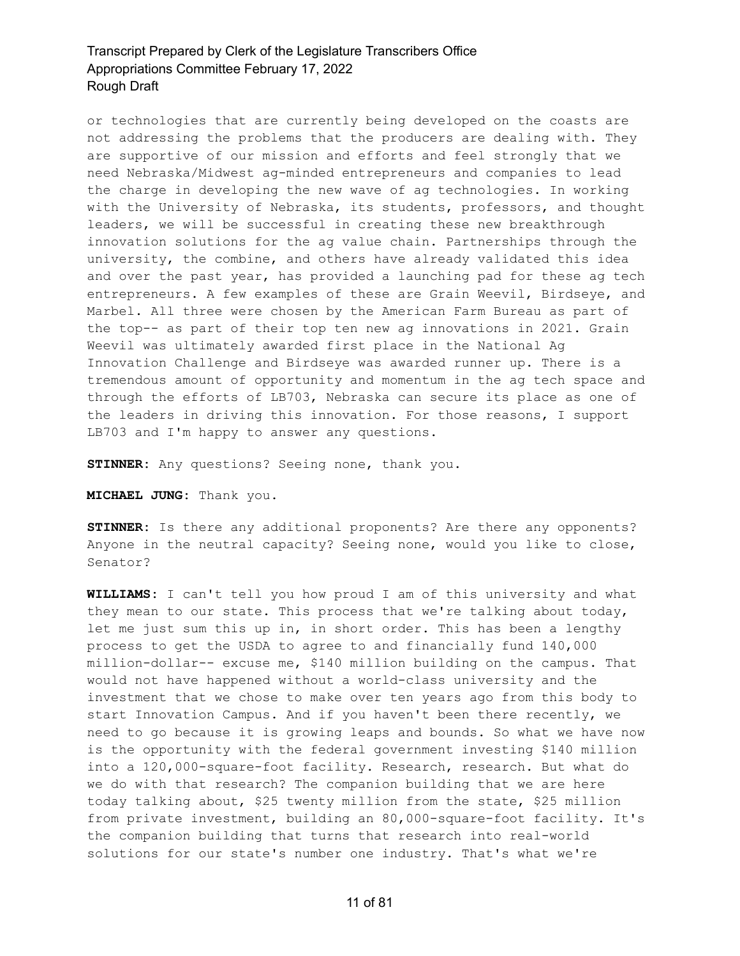or technologies that are currently being developed on the coasts are not addressing the problems that the producers are dealing with. They are supportive of our mission and efforts and feel strongly that we need Nebraska/Midwest ag-minded entrepreneurs and companies to lead the charge in developing the new wave of ag technologies. In working with the University of Nebraska, its students, professors, and thought leaders, we will be successful in creating these new breakthrough innovation solutions for the ag value chain. Partnerships through the university, the combine, and others have already validated this idea and over the past year, has provided a launching pad for these ag tech entrepreneurs. A few examples of these are Grain Weevil, Birdseye, and Marbel. All three were chosen by the American Farm Bureau as part of the top-- as part of their top ten new ag innovations in 2021. Grain Weevil was ultimately awarded first place in the National Ag Innovation Challenge and Birdseye was awarded runner up. There is a tremendous amount of opportunity and momentum in the ag tech space and through the efforts of LB703, Nebraska can secure its place as one of the leaders in driving this innovation. For those reasons, I support LB703 and I'm happy to answer any questions.

**STINNER:** Any questions? Seeing none, thank you.

**MICHAEL JUNG:** Thank you.

**STINNER:** Is there any additional proponents? Are there any opponents? Anyone in the neutral capacity? Seeing none, would you like to close, Senator?

**WILLIAMS:** I can't tell you how proud I am of this university and what they mean to our state. This process that we're talking about today, let me just sum this up in, in short order. This has been a lengthy process to get the USDA to agree to and financially fund 140,000 million-dollar-- excuse me, \$140 million building on the campus. That would not have happened without a world-class university and the investment that we chose to make over ten years ago from this body to start Innovation Campus. And if you haven't been there recently, we need to go because it is growing leaps and bounds. So what we have now is the opportunity with the federal government investing \$140 million into a 120,000-square-foot facility. Research, research. But what do we do with that research? The companion building that we are here today talking about, \$25 twenty million from the state, \$25 million from private investment, building an 80,000-square-foot facility. It's the companion building that turns that research into real-world solutions for our state's number one industry. That's what we're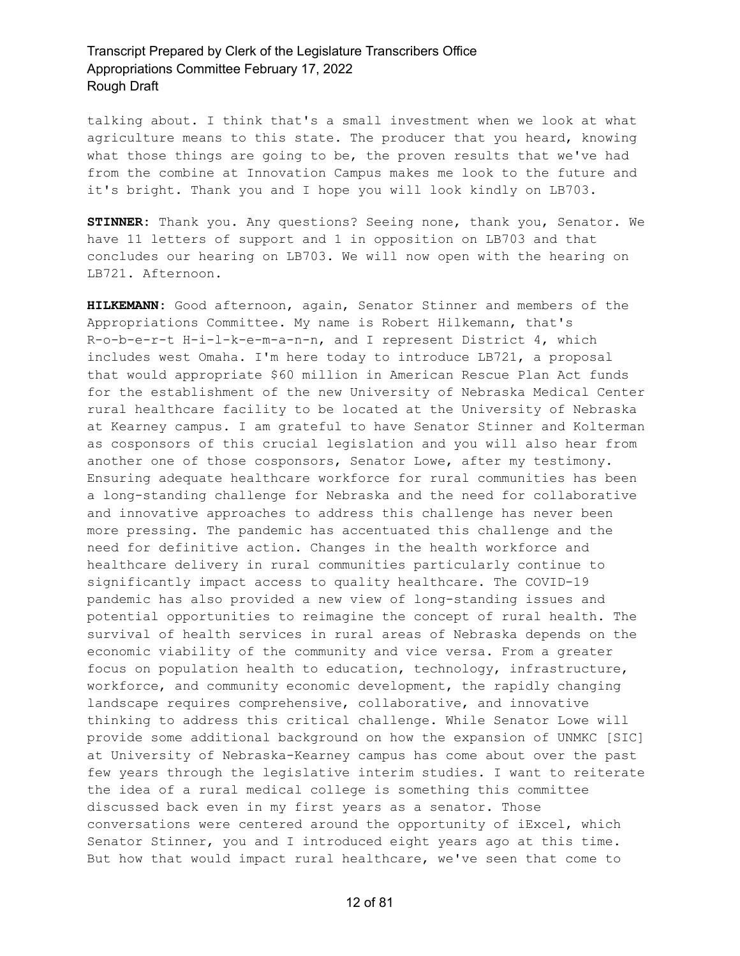talking about. I think that's a small investment when we look at what agriculture means to this state. The producer that you heard, knowing what those things are going to be, the proven results that we've had from the combine at Innovation Campus makes me look to the future and it's bright. Thank you and I hope you will look kindly on LB703.

**STINNER:** Thank you. Any questions? Seeing none, thank you, Senator. We have 11 letters of support and 1 in opposition on LB703 and that concludes our hearing on LB703. We will now open with the hearing on LB721. Afternoon.

**HILKEMANN:** Good afternoon, again, Senator Stinner and members of the Appropriations Committee. My name is Robert Hilkemann, that's R-o-b-e-r-t H-i-l-k-e-m-a-n-n, and I represent District 4, which includes west Omaha. I'm here today to introduce LB721, a proposal that would appropriate \$60 million in American Rescue Plan Act funds for the establishment of the new University of Nebraska Medical Center rural healthcare facility to be located at the University of Nebraska at Kearney campus. I am grateful to have Senator Stinner and Kolterman as cosponsors of this crucial legislation and you will also hear from another one of those cosponsors, Senator Lowe, after my testimony. Ensuring adequate healthcare workforce for rural communities has been a long-standing challenge for Nebraska and the need for collaborative and innovative approaches to address this challenge has never been more pressing. The pandemic has accentuated this challenge and the need for definitive action. Changes in the health workforce and healthcare delivery in rural communities particularly continue to significantly impact access to quality healthcare. The COVID-19 pandemic has also provided a new view of long-standing issues and potential opportunities to reimagine the concept of rural health. The survival of health services in rural areas of Nebraska depends on the economic viability of the community and vice versa. From a greater focus on population health to education, technology, infrastructure, workforce, and community economic development, the rapidly changing landscape requires comprehensive, collaborative, and innovative thinking to address this critical challenge. While Senator Lowe will provide some additional background on how the expansion of UNMKC [SIC] at University of Nebraska-Kearney campus has come about over the past few years through the legislative interim studies. I want to reiterate the idea of a rural medical college is something this committee discussed back even in my first years as a senator. Those conversations were centered around the opportunity of iExcel, which Senator Stinner, you and I introduced eight years ago at this time. But how that would impact rural healthcare, we've seen that come to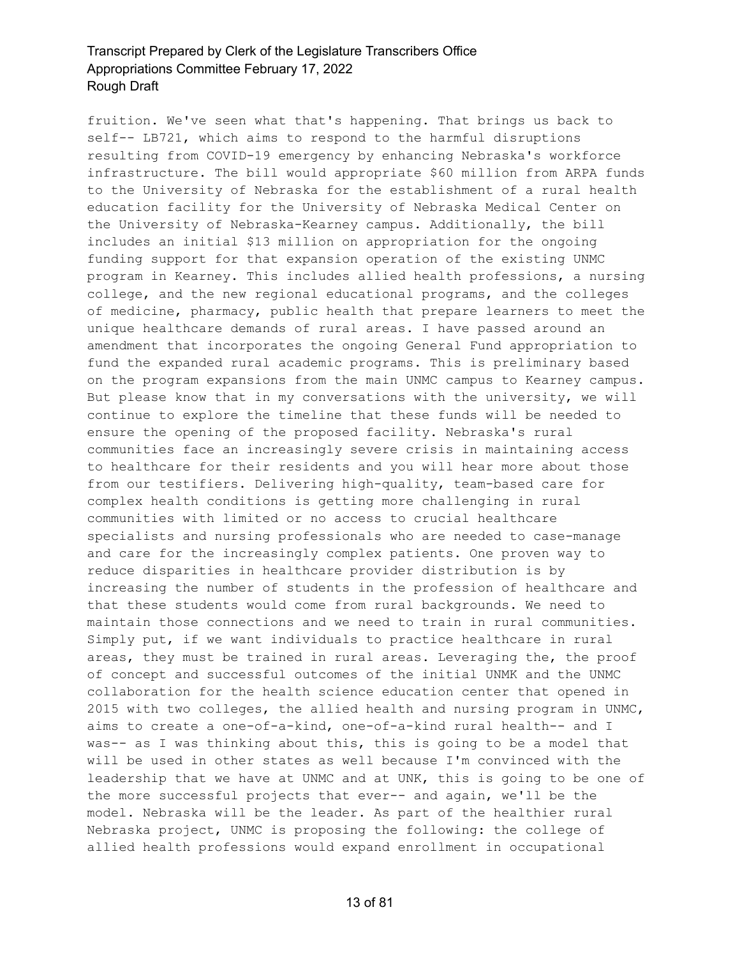fruition. We've seen what that's happening. That brings us back to self-- LB721, which aims to respond to the harmful disruptions resulting from COVID-19 emergency by enhancing Nebraska's workforce infrastructure. The bill would appropriate \$60 million from ARPA funds to the University of Nebraska for the establishment of a rural health education facility for the University of Nebraska Medical Center on the University of Nebraska-Kearney campus. Additionally, the bill includes an initial \$13 million on appropriation for the ongoing funding support for that expansion operation of the existing UNMC program in Kearney. This includes allied health professions, a nursing college, and the new regional educational programs, and the colleges of medicine, pharmacy, public health that prepare learners to meet the unique healthcare demands of rural areas. I have passed around an amendment that incorporates the ongoing General Fund appropriation to fund the expanded rural academic programs. This is preliminary based on the program expansions from the main UNMC campus to Kearney campus. But please know that in my conversations with the university, we will continue to explore the timeline that these funds will be needed to ensure the opening of the proposed facility. Nebraska's rural communities face an increasingly severe crisis in maintaining access to healthcare for their residents and you will hear more about those from our testifiers. Delivering high-quality, team-based care for complex health conditions is getting more challenging in rural communities with limited or no access to crucial healthcare specialists and nursing professionals who are needed to case-manage and care for the increasingly complex patients. One proven way to reduce disparities in healthcare provider distribution is by increasing the number of students in the profession of healthcare and that these students would come from rural backgrounds. We need to maintain those connections and we need to train in rural communities. Simply put, if we want individuals to practice healthcare in rural areas, they must be trained in rural areas. Leveraging the, the proof of concept and successful outcomes of the initial UNMK and the UNMC collaboration for the health science education center that opened in 2015 with two colleges, the allied health and nursing program in UNMC, aims to create a one-of-a-kind, one-of-a-kind rural health-- and I was-- as I was thinking about this, this is going to be a model that will be used in other states as well because I'm convinced with the leadership that we have at UNMC and at UNK, this is going to be one of the more successful projects that ever-- and again, we'll be the model. Nebraska will be the leader. As part of the healthier rural Nebraska project, UNMC is proposing the following: the college of allied health professions would expand enrollment in occupational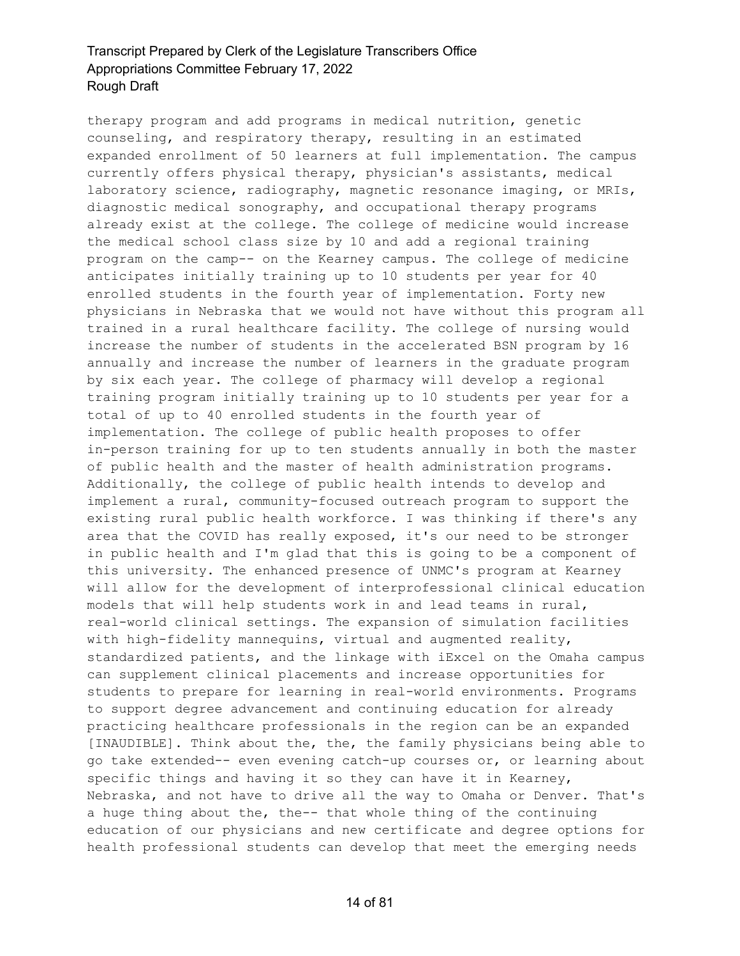therapy program and add programs in medical nutrition, genetic counseling, and respiratory therapy, resulting in an estimated expanded enrollment of 50 learners at full implementation. The campus currently offers physical therapy, physician's assistants, medical laboratory science, radiography, magnetic resonance imaging, or MRIs, diagnostic medical sonography, and occupational therapy programs already exist at the college. The college of medicine would increase the medical school class size by 10 and add a regional training program on the camp-- on the Kearney campus. The college of medicine anticipates initially training up to 10 students per year for 40 enrolled students in the fourth year of implementation. Forty new physicians in Nebraska that we would not have without this program all trained in a rural healthcare facility. The college of nursing would increase the number of students in the accelerated BSN program by 16 annually and increase the number of learners in the graduate program by six each year. The college of pharmacy will develop a regional training program initially training up to 10 students per year for a total of up to 40 enrolled students in the fourth year of implementation. The college of public health proposes to offer in-person training for up to ten students annually in both the master of public health and the master of health administration programs. Additionally, the college of public health intends to develop and implement a rural, community-focused outreach program to support the existing rural public health workforce. I was thinking if there's any area that the COVID has really exposed, it's our need to be stronger in public health and I'm glad that this is going to be a component of this university. The enhanced presence of UNMC's program at Kearney will allow for the development of interprofessional clinical education models that will help students work in and lead teams in rural, real-world clinical settings. The expansion of simulation facilities with high-fidelity mannequins, virtual and augmented reality, standardized patients, and the linkage with iExcel on the Omaha campus can supplement clinical placements and increase opportunities for students to prepare for learning in real-world environments. Programs to support degree advancement and continuing education for already practicing healthcare professionals in the region can be an expanded [INAUDIBLE]. Think about the, the, the family physicians being able to go take extended-- even evening catch-up courses or, or learning about specific things and having it so they can have it in Kearney, Nebraska, and not have to drive all the way to Omaha or Denver. That's a huge thing about the, the-- that whole thing of the continuing education of our physicians and new certificate and degree options for health professional students can develop that meet the emerging needs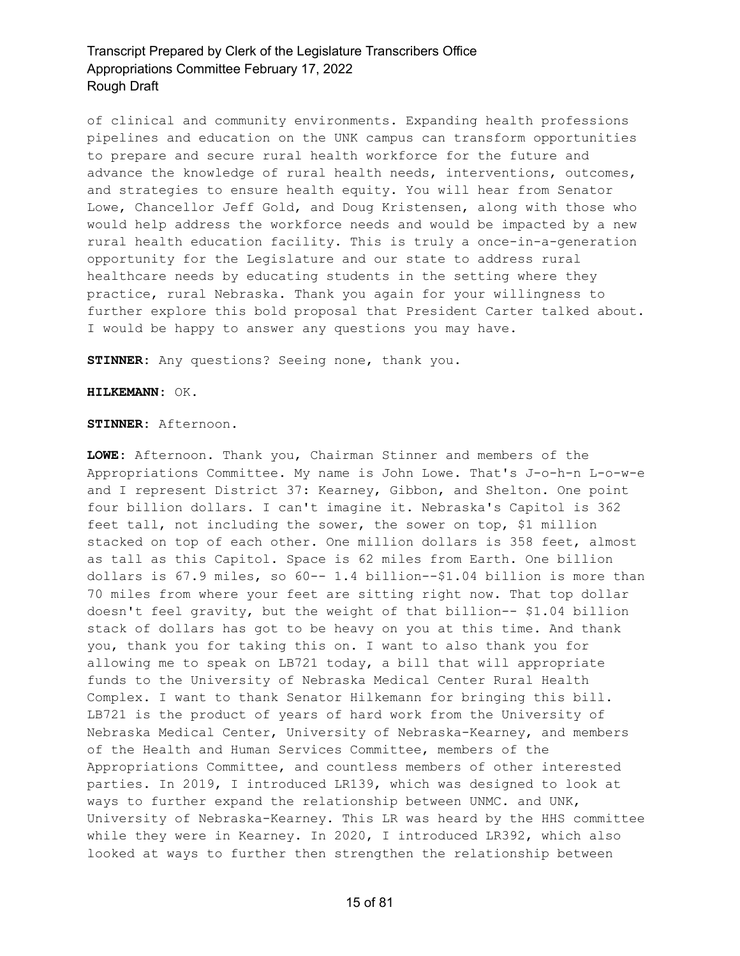of clinical and community environments. Expanding health professions pipelines and education on the UNK campus can transform opportunities to prepare and secure rural health workforce for the future and advance the knowledge of rural health needs, interventions, outcomes, and strategies to ensure health equity. You will hear from Senator Lowe, Chancellor Jeff Gold, and Doug Kristensen, along with those who would help address the workforce needs and would be impacted by a new rural health education facility. This is truly a once-in-a-generation opportunity for the Legislature and our state to address rural healthcare needs by educating students in the setting where they practice, rural Nebraska. Thank you again for your willingness to further explore this bold proposal that President Carter talked about. I would be happy to answer any questions you may have.

**STINNER:** Any questions? Seeing none, thank you.

#### **HILKEMANN:** OK.

**STINNER:** Afternoon.

**LOWE:** Afternoon. Thank you, Chairman Stinner and members of the Appropriations Committee. My name is John Lowe. That's J-o-h-n L-o-w-e and I represent District 37: Kearney, Gibbon, and Shelton. One point four billion dollars. I can't imagine it. Nebraska's Capitol is 362 feet tall, not including the sower, the sower on top, \$1 million stacked on top of each other. One million dollars is 358 feet, almost as tall as this Capitol. Space is 62 miles from Earth. One billion dollars is 67.9 miles, so 60-- 1.4 billion--\$1.04 billion is more than 70 miles from where your feet are sitting right now. That top dollar doesn't feel gravity, but the weight of that billion-- \$1.04 billion stack of dollars has got to be heavy on you at this time. And thank you, thank you for taking this on. I want to also thank you for allowing me to speak on LB721 today, a bill that will appropriate funds to the University of Nebraska Medical Center Rural Health Complex. I want to thank Senator Hilkemann for bringing this bill. LB721 is the product of years of hard work from the University of Nebraska Medical Center, University of Nebraska-Kearney, and members of the Health and Human Services Committee, members of the Appropriations Committee, and countless members of other interested parties. In 2019, I introduced LR139, which was designed to look at ways to further expand the relationship between UNMC. and UNK, University of Nebraska-Kearney. This LR was heard by the HHS committee while they were in Kearney. In 2020, I introduced LR392, which also looked at ways to further then strengthen the relationship between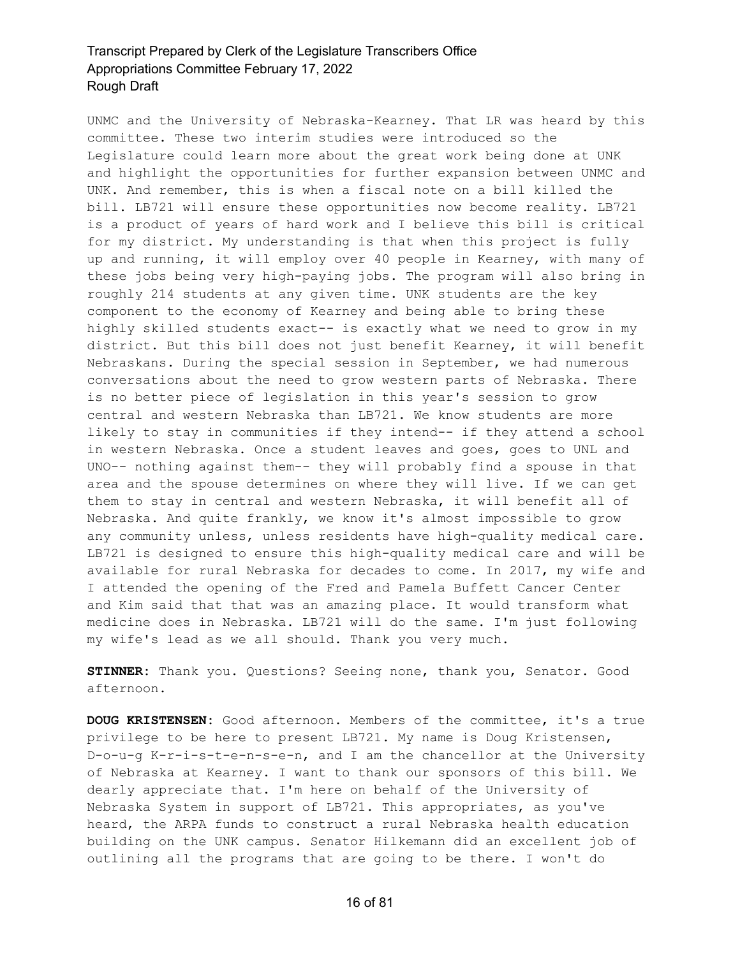UNMC and the University of Nebraska-Kearney. That LR was heard by this committee. These two interim studies were introduced so the Legislature could learn more about the great work being done at UNK and highlight the opportunities for further expansion between UNMC and UNK. And remember, this is when a fiscal note on a bill killed the bill. LB721 will ensure these opportunities now become reality. LB721 is a product of years of hard work and I believe this bill is critical for my district. My understanding is that when this project is fully up and running, it will employ over 40 people in Kearney, with many of these jobs being very high-paying jobs. The program will also bring in roughly 214 students at any given time. UNK students are the key component to the economy of Kearney and being able to bring these highly skilled students exact-- is exactly what we need to grow in my district. But this bill does not just benefit Kearney, it will benefit Nebraskans. During the special session in September, we had numerous conversations about the need to grow western parts of Nebraska. There is no better piece of legislation in this year's session to grow central and western Nebraska than LB721. We know students are more likely to stay in communities if they intend-- if they attend a school in western Nebraska. Once a student leaves and goes, goes to UNL and UNO-- nothing against them-- they will probably find a spouse in that area and the spouse determines on where they will live. If we can get them to stay in central and western Nebraska, it will benefit all of Nebraska. And quite frankly, we know it's almost impossible to grow any community unless, unless residents have high-quality medical care. LB721 is designed to ensure this high-quality medical care and will be available for rural Nebraska for decades to come. In 2017, my wife and I attended the opening of the Fred and Pamela Buffett Cancer Center and Kim said that that was an amazing place. It would transform what medicine does in Nebraska. LB721 will do the same. I'm just following my wife's lead as we all should. Thank you very much.

**STINNER:** Thank you. Questions? Seeing none, thank you, Senator. Good afternoon.

**DOUG KRISTENSEN:** Good afternoon. Members of the committee, it's a true privilege to be here to present LB721. My name is Doug Kristensen, D-o-u-g K-r-i-s-t-e-n-s-e-n, and I am the chancellor at the University of Nebraska at Kearney. I want to thank our sponsors of this bill. We dearly appreciate that. I'm here on behalf of the University of Nebraska System in support of LB721. This appropriates, as you've heard, the ARPA funds to construct a rural Nebraska health education building on the UNK campus. Senator Hilkemann did an excellent job of outlining all the programs that are going to be there. I won't do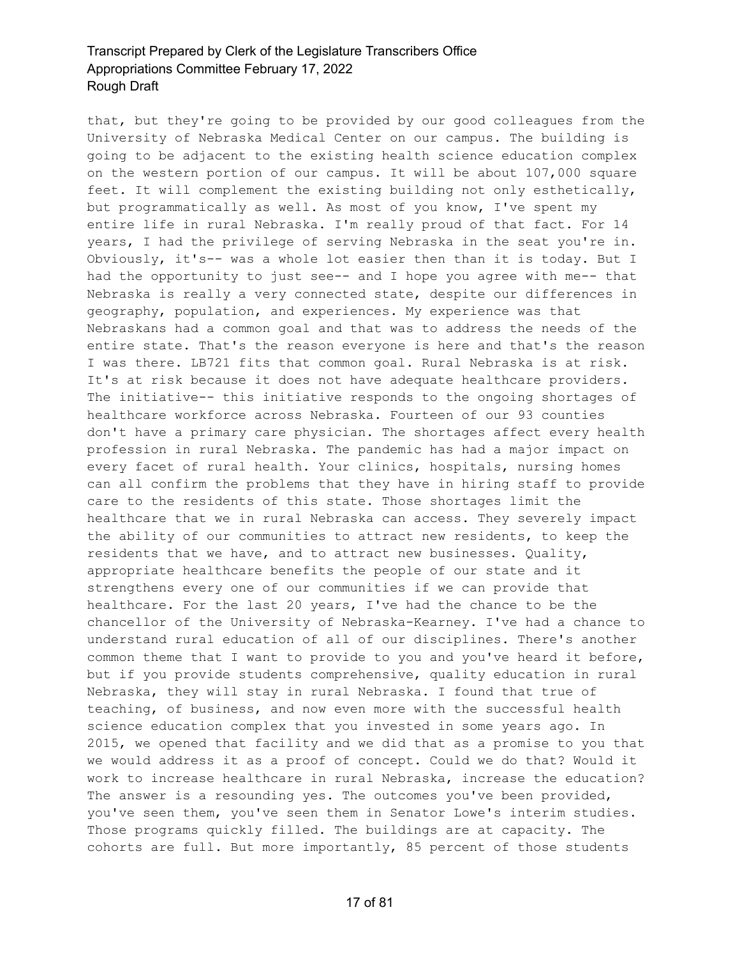that, but they're going to be provided by our good colleagues from the University of Nebraska Medical Center on our campus. The building is going to be adjacent to the existing health science education complex on the western portion of our campus. It will be about 107,000 square feet. It will complement the existing building not only esthetically, but programmatically as well. As most of you know, I've spent my entire life in rural Nebraska. I'm really proud of that fact. For 14 years, I had the privilege of serving Nebraska in the seat you're in. Obviously, it's-- was a whole lot easier then than it is today. But I had the opportunity to just see-- and I hope you agree with me-- that Nebraska is really a very connected state, despite our differences in geography, population, and experiences. My experience was that Nebraskans had a common goal and that was to address the needs of the entire state. That's the reason everyone is here and that's the reason I was there. LB721 fits that common goal. Rural Nebraska is at risk. It's at risk because it does not have adequate healthcare providers. The initiative-- this initiative responds to the ongoing shortages of healthcare workforce across Nebraska. Fourteen of our 93 counties don't have a primary care physician. The shortages affect every health profession in rural Nebraska. The pandemic has had a major impact on every facet of rural health. Your clinics, hospitals, nursing homes can all confirm the problems that they have in hiring staff to provide care to the residents of this state. Those shortages limit the healthcare that we in rural Nebraska can access. They severely impact the ability of our communities to attract new residents, to keep the residents that we have, and to attract new businesses. Quality, appropriate healthcare benefits the people of our state and it strengthens every one of our communities if we can provide that healthcare. For the last 20 years, I've had the chance to be the chancellor of the University of Nebraska-Kearney. I've had a chance to understand rural education of all of our disciplines. There's another common theme that I want to provide to you and you've heard it before, but if you provide students comprehensive, quality education in rural Nebraska, they will stay in rural Nebraska. I found that true of teaching, of business, and now even more with the successful health science education complex that you invested in some years ago. In 2015, we opened that facility and we did that as a promise to you that we would address it as a proof of concept. Could we do that? Would it work to increase healthcare in rural Nebraska, increase the education? The answer is a resounding yes. The outcomes you've been provided, you've seen them, you've seen them in Senator Lowe's interim studies. Those programs quickly filled. The buildings are at capacity. The cohorts are full. But more importantly, 85 percent of those students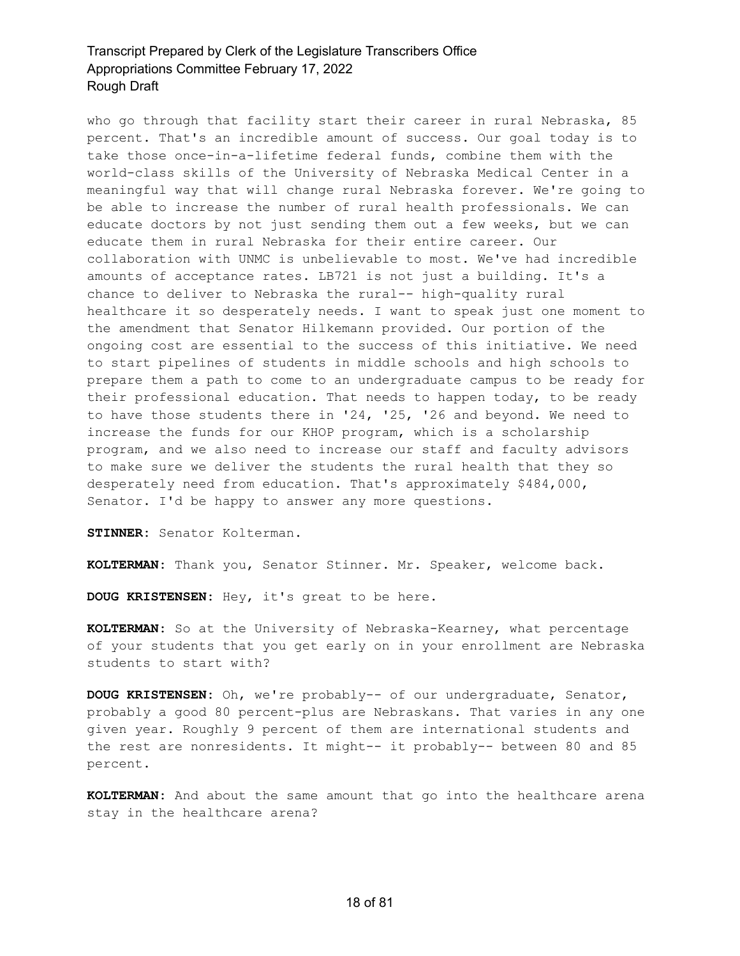who go through that facility start their career in rural Nebraska, 85 percent. That's an incredible amount of success. Our goal today is to take those once-in-a-lifetime federal funds, combine them with the world-class skills of the University of Nebraska Medical Center in a meaningful way that will change rural Nebraska forever. We're going to be able to increase the number of rural health professionals. We can educate doctors by not just sending them out a few weeks, but we can educate them in rural Nebraska for their entire career. Our collaboration with UNMC is unbelievable to most. We've had incredible amounts of acceptance rates. LB721 is not just a building. It's a chance to deliver to Nebraska the rural-- high-quality rural healthcare it so desperately needs. I want to speak just one moment to the amendment that Senator Hilkemann provided. Our portion of the ongoing cost are essential to the success of this initiative. We need to start pipelines of students in middle schools and high schools to prepare them a path to come to an undergraduate campus to be ready for their professional education. That needs to happen today, to be ready to have those students there in '24, '25, '26 and beyond. We need to increase the funds for our KHOP program, which is a scholarship program, and we also need to increase our staff and faculty advisors to make sure we deliver the students the rural health that they so desperately need from education. That's approximately \$484,000, Senator. I'd be happy to answer any more questions.

**STINNER:** Senator Kolterman.

**KOLTERMAN:** Thank you, Senator Stinner. Mr. Speaker, welcome back.

**DOUG KRISTENSEN:** Hey, it's great to be here.

**KOLTERMAN:** So at the University of Nebraska-Kearney, what percentage of your students that you get early on in your enrollment are Nebraska students to start with?

**DOUG KRISTENSEN:** Oh, we're probably-- of our undergraduate, Senator, probably a good 80 percent-plus are Nebraskans. That varies in any one given year. Roughly 9 percent of them are international students and the rest are nonresidents. It might-- it probably-- between 80 and 85 percent.

**KOLTERMAN:** And about the same amount that go into the healthcare arena stay in the healthcare arena?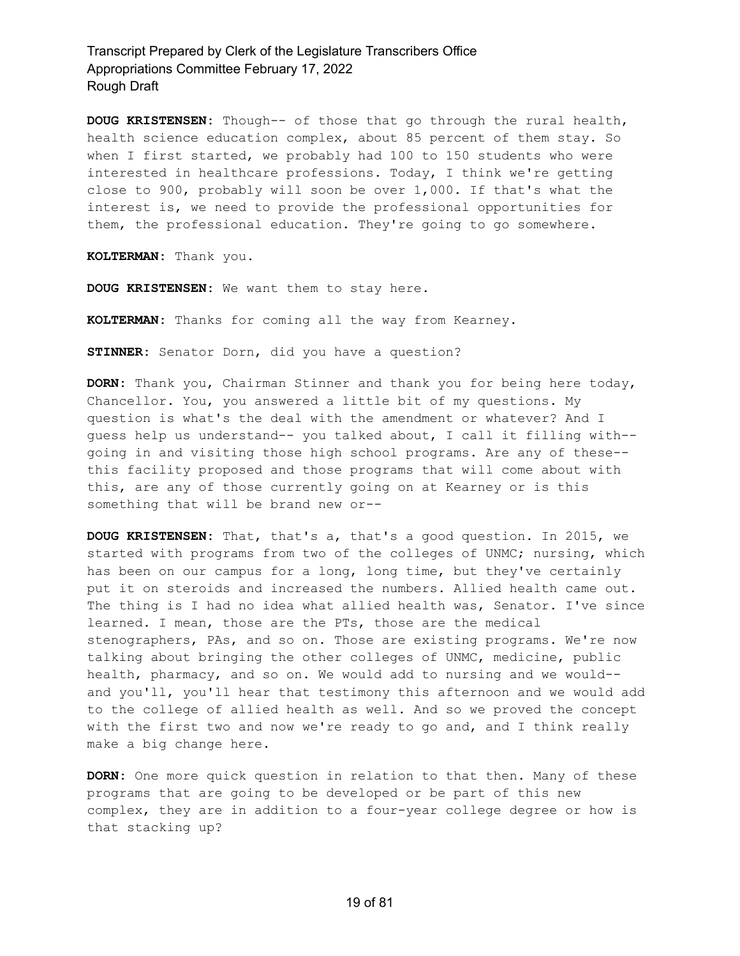**DOUG KRISTENSEN:** Though-- of those that go through the rural health, health science education complex, about 85 percent of them stay. So when I first started, we probably had 100 to 150 students who were interested in healthcare professions. Today, I think we're getting close to 900, probably will soon be over 1,000. If that's what the interest is, we need to provide the professional opportunities for them, the professional education. They're going to go somewhere.

**KOLTERMAN:** Thank you.

**DOUG KRISTENSEN:** We want them to stay here.

**KOLTERMAN:** Thanks for coming all the way from Kearney.

**STINNER:** Senator Dorn, did you have a question?

**DORN:** Thank you, Chairman Stinner and thank you for being here today, Chancellor. You, you answered a little bit of my questions. My question is what's the deal with the amendment or whatever? And I guess help us understand-- you talked about, I call it filling with- going in and visiting those high school programs. Are any of these- this facility proposed and those programs that will come about with this, are any of those currently going on at Kearney or is this something that will be brand new or--

**DOUG KRISTENSEN:** That, that's a, that's a good question. In 2015, we started with programs from two of the colleges of UNMC; nursing, which has been on our campus for a long, long time, but they've certainly put it on steroids and increased the numbers. Allied health came out. The thing is I had no idea what allied health was, Senator. I've since learned. I mean, those are the PTs, those are the medical stenographers, PAs, and so on. Those are existing programs. We're now talking about bringing the other colleges of UNMC, medicine, public health, pharmacy, and so on. We would add to nursing and we would- and you'll, you'll hear that testimony this afternoon and we would add to the college of allied health as well. And so we proved the concept with the first two and now we're ready to go and, and I think really make a big change here.

**DORN:** One more quick question in relation to that then. Many of these programs that are going to be developed or be part of this new complex, they are in addition to a four-year college degree or how is that stacking up?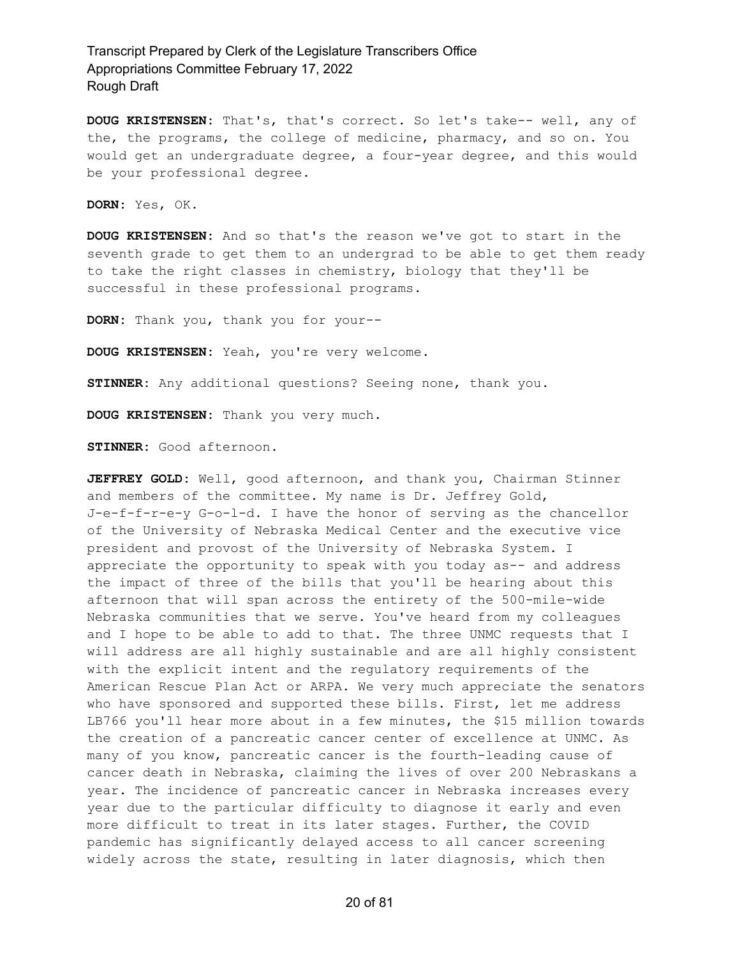**DOUG KRISTENSEN:** That's, that's correct. So let's take-- well, any of the, the programs, the college of medicine, pharmacy, and so on. You would get an undergraduate degree, a four-year degree, and this would be your professional degree.

**DORN:** Yes, OK.

**DOUG KRISTENSEN:** And so that's the reason we've got to start in the seventh grade to get them to an undergrad to be able to get them ready to take the right classes in chemistry, biology that they'll be successful in these professional programs.

**DORN:** Thank you, thank you for your--

**DOUG KRISTENSEN:** Yeah, you're very welcome.

**STINNER:** Any additional questions? Seeing none, thank you.

**DOUG KRISTENSEN:** Thank you very much.

**STINNER:** Good afternoon.

**JEFFREY GOLD:** Well, good afternoon, and thank you, Chairman Stinner and members of the committee. My name is Dr. Jeffrey Gold, J-e-f-f-r-e-y G-o-l-d. I have the honor of serving as the chancellor of the University of Nebraska Medical Center and the executive vice president and provost of the University of Nebraska System. I appreciate the opportunity to speak with you today as-- and address the impact of three of the bills that you'll be hearing about this afternoon that will span across the entirety of the 500-mile-wide Nebraska communities that we serve. You've heard from my colleagues and I hope to be able to add to that. The three UNMC requests that I will address are all highly sustainable and are all highly consistent with the explicit intent and the regulatory requirements of the American Rescue Plan Act or ARPA. We very much appreciate the senators who have sponsored and supported these bills. First, let me address LB766 you'll hear more about in a few minutes, the \$15 million towards the creation of a pancreatic cancer center of excellence at UNMC. As many of you know, pancreatic cancer is the fourth-leading cause of cancer death in Nebraska, claiming the lives of over 200 Nebraskans a year. The incidence of pancreatic cancer in Nebraska increases every year due to the particular difficulty to diagnose it early and even more difficult to treat in its later stages. Further, the COVID pandemic has significantly delayed access to all cancer screening widely across the state, resulting in later diagnosis, which then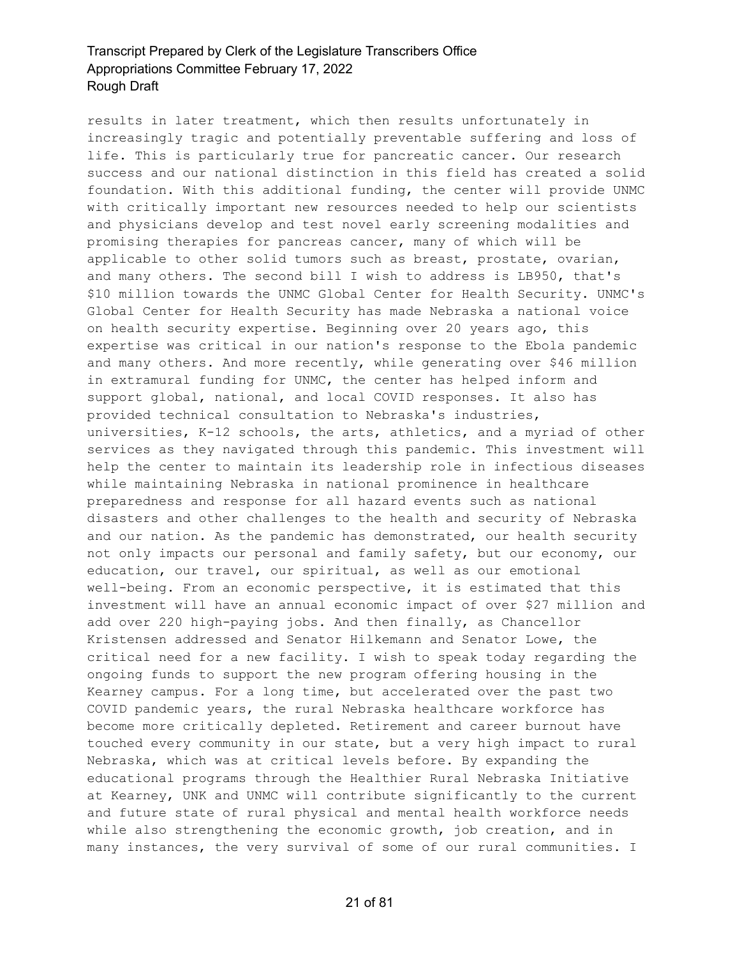results in later treatment, which then results unfortunately in increasingly tragic and potentially preventable suffering and loss of life. This is particularly true for pancreatic cancer. Our research success and our national distinction in this field has created a solid foundation. With this additional funding, the center will provide UNMC with critically important new resources needed to help our scientists and physicians develop and test novel early screening modalities and promising therapies for pancreas cancer, many of which will be applicable to other solid tumors such as breast, prostate, ovarian, and many others. The second bill I wish to address is LB950, that's \$10 million towards the UNMC Global Center for Health Security. UNMC's Global Center for Health Security has made Nebraska a national voice on health security expertise. Beginning over 20 years ago, this expertise was critical in our nation's response to the Ebola pandemic and many others. And more recently, while generating over \$46 million in extramural funding for UNMC, the center has helped inform and support global, national, and local COVID responses. It also has provided technical consultation to Nebraska's industries, universities, K-12 schools, the arts, athletics, and a myriad of other services as they navigated through this pandemic. This investment will help the center to maintain its leadership role in infectious diseases while maintaining Nebraska in national prominence in healthcare preparedness and response for all hazard events such as national disasters and other challenges to the health and security of Nebraska and our nation. As the pandemic has demonstrated, our health security not only impacts our personal and family safety, but our economy, our education, our travel, our spiritual, as well as our emotional well-being. From an economic perspective, it is estimated that this investment will have an annual economic impact of over \$27 million and add over 220 high-paying jobs. And then finally, as Chancellor Kristensen addressed and Senator Hilkemann and Senator Lowe, the critical need for a new facility. I wish to speak today regarding the ongoing funds to support the new program offering housing in the Kearney campus. For a long time, but accelerated over the past two COVID pandemic years, the rural Nebraska healthcare workforce has become more critically depleted. Retirement and career burnout have touched every community in our state, but a very high impact to rural Nebraska, which was at critical levels before. By expanding the educational programs through the Healthier Rural Nebraska Initiative at Kearney, UNK and UNMC will contribute significantly to the current and future state of rural physical and mental health workforce needs while also strengthening the economic growth, job creation, and in many instances, the very survival of some of our rural communities. I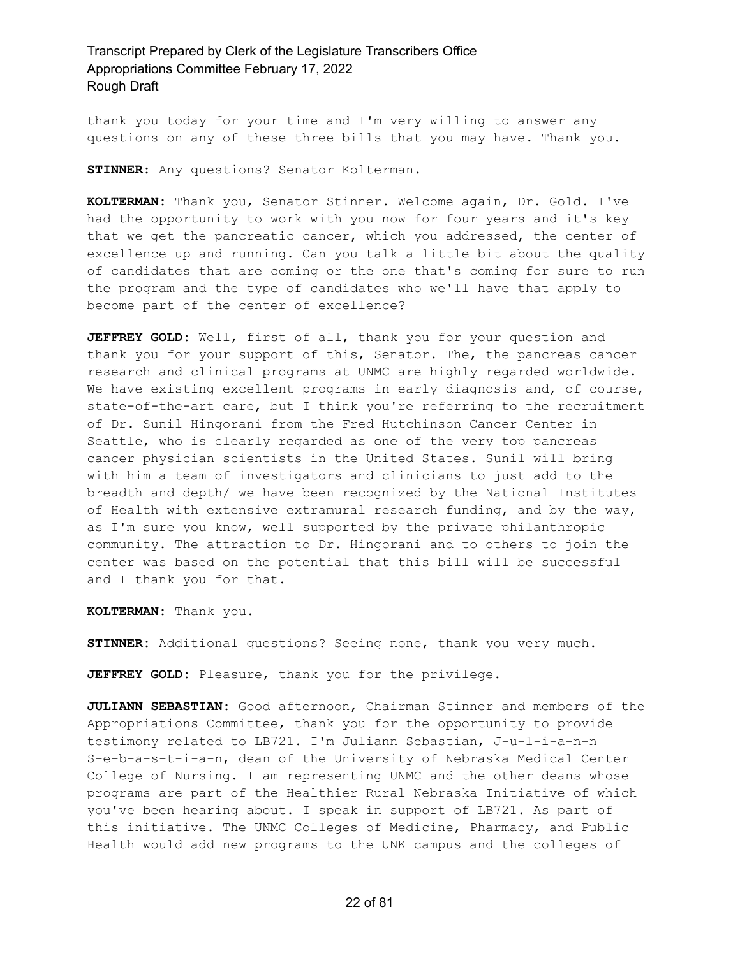thank you today for your time and I'm very willing to answer any questions on any of these three bills that you may have. Thank you.

**STINNER:** Any questions? Senator Kolterman.

**KOLTERMAN:** Thank you, Senator Stinner. Welcome again, Dr. Gold. I've had the opportunity to work with you now for four years and it's key that we get the pancreatic cancer, which you addressed, the center of excellence up and running. Can you talk a little bit about the quality of candidates that are coming or the one that's coming for sure to run the program and the type of candidates who we'll have that apply to become part of the center of excellence?

**JEFFREY GOLD:** Well, first of all, thank you for your question and thank you for your support of this, Senator. The, the pancreas cancer research and clinical programs at UNMC are highly regarded worldwide. We have existing excellent programs in early diagnosis and, of course, state-of-the-art care, but I think you're referring to the recruitment of Dr. Sunil Hingorani from the Fred Hutchinson Cancer Center in Seattle, who is clearly regarded as one of the very top pancreas cancer physician scientists in the United States. Sunil will bring with him a team of investigators and clinicians to just add to the breadth and depth/ we have been recognized by the National Institutes of Health with extensive extramural research funding, and by the way, as I'm sure you know, well supported by the private philanthropic community. The attraction to Dr. Hingorani and to others to join the center was based on the potential that this bill will be successful and I thank you for that.

**KOLTERMAN:** Thank you.

**STINNER:** Additional questions? Seeing none, thank you very much.

**JEFFREY GOLD:** Pleasure, thank you for the privilege.

**JULIANN SEBASTIAN:** Good afternoon, Chairman Stinner and members of the Appropriations Committee, thank you for the opportunity to provide testimony related to LB721. I'm Juliann Sebastian, J-u-l-i-a-n-n S-e-b-a-s-t-i-a-n, dean of the University of Nebraska Medical Center College of Nursing. I am representing UNMC and the other deans whose programs are part of the Healthier Rural Nebraska Initiative of which you've been hearing about. I speak in support of LB721. As part of this initiative. The UNMC Colleges of Medicine, Pharmacy, and Public Health would add new programs to the UNK campus and the colleges of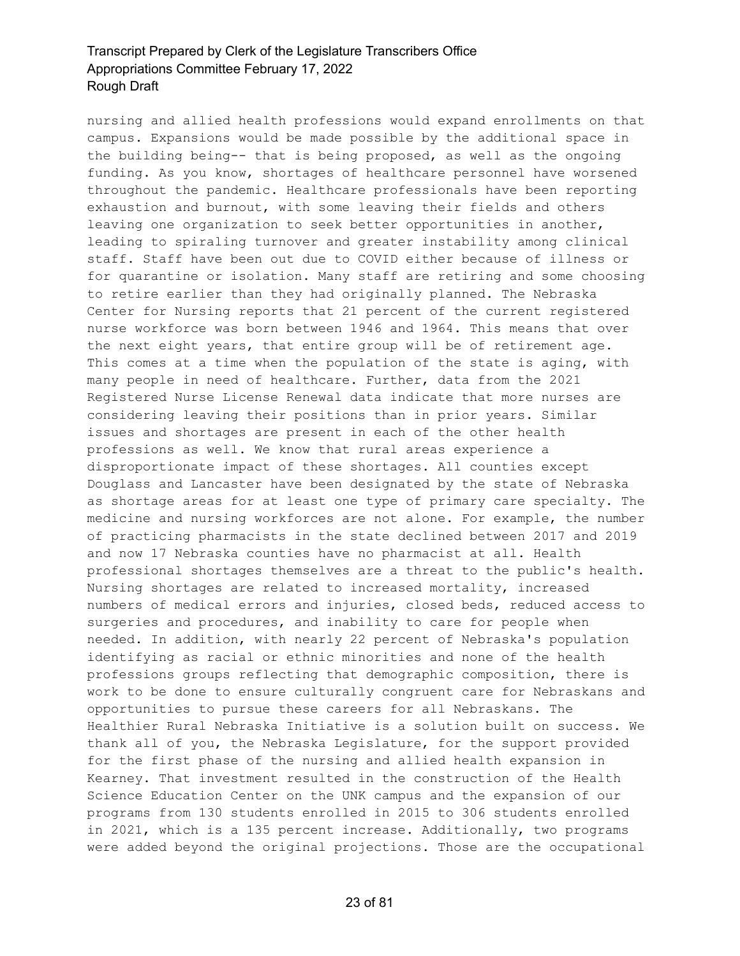nursing and allied health professions would expand enrollments on that campus. Expansions would be made possible by the additional space in the building being-- that is being proposed, as well as the ongoing funding. As you know, shortages of healthcare personnel have worsened throughout the pandemic. Healthcare professionals have been reporting exhaustion and burnout, with some leaving their fields and others leaving one organization to seek better opportunities in another, leading to spiraling turnover and greater instability among clinical staff. Staff have been out due to COVID either because of illness or for quarantine or isolation. Many staff are retiring and some choosing to retire earlier than they had originally planned. The Nebraska Center for Nursing reports that 21 percent of the current registered nurse workforce was born between 1946 and 1964. This means that over the next eight years, that entire group will be of retirement age. This comes at a time when the population of the state is aging, with many people in need of healthcare. Further, data from the 2021 Registered Nurse License Renewal data indicate that more nurses are considering leaving their positions than in prior years. Similar issues and shortages are present in each of the other health professions as well. We know that rural areas experience a disproportionate impact of these shortages. All counties except Douglass and Lancaster have been designated by the state of Nebraska as shortage areas for at least one type of primary care specialty. The medicine and nursing workforces are not alone. For example, the number of practicing pharmacists in the state declined between 2017 and 2019 and now 17 Nebraska counties have no pharmacist at all. Health professional shortages themselves are a threat to the public's health. Nursing shortages are related to increased mortality, increased numbers of medical errors and injuries, closed beds, reduced access to surgeries and procedures, and inability to care for people when needed. In addition, with nearly 22 percent of Nebraska's population identifying as racial or ethnic minorities and none of the health professions groups reflecting that demographic composition, there is work to be done to ensure culturally congruent care for Nebraskans and opportunities to pursue these careers for all Nebraskans. The Healthier Rural Nebraska Initiative is a solution built on success. We thank all of you, the Nebraska Legislature, for the support provided for the first phase of the nursing and allied health expansion in Kearney. That investment resulted in the construction of the Health Science Education Center on the UNK campus and the expansion of our programs from 130 students enrolled in 2015 to 306 students enrolled in 2021, which is a 135 percent increase. Additionally, two programs were added beyond the original projections. Those are the occupational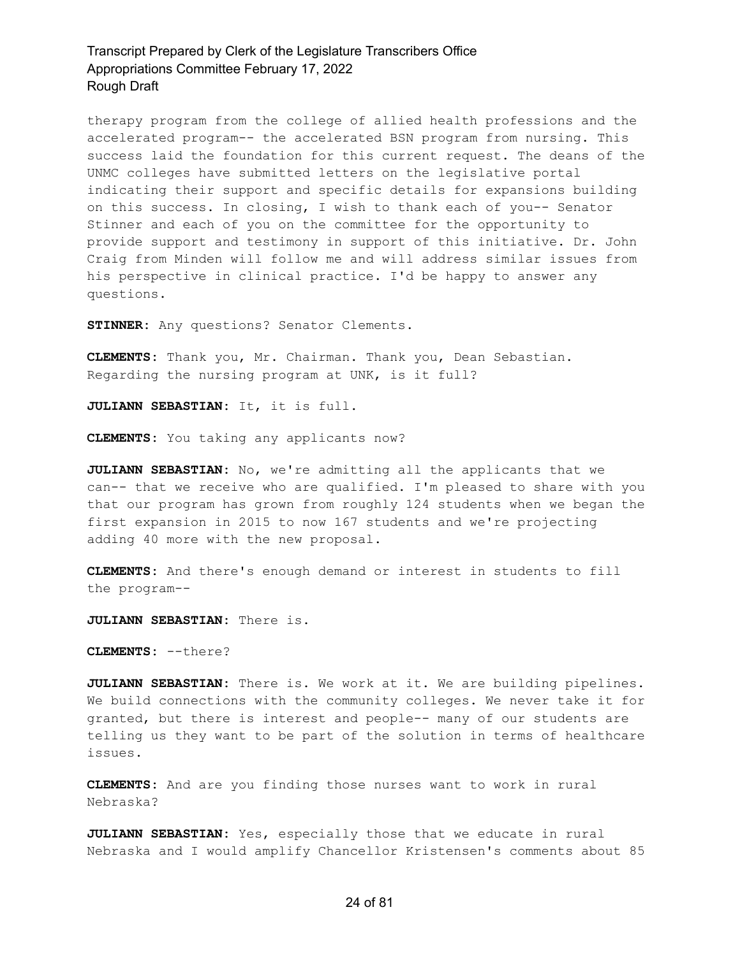therapy program from the college of allied health professions and the accelerated program-- the accelerated BSN program from nursing. This success laid the foundation for this current request. The deans of the UNMC colleges have submitted letters on the legislative portal indicating their support and specific details for expansions building on this success. In closing, I wish to thank each of you-- Senator Stinner and each of you on the committee for the opportunity to provide support and testimony in support of this initiative. Dr. John Craig from Minden will follow me and will address similar issues from his perspective in clinical practice. I'd be happy to answer any questions.

**STINNER:** Any questions? Senator Clements.

**CLEMENTS:** Thank you, Mr. Chairman. Thank you, Dean Sebastian. Regarding the nursing program at UNK, is it full?

**JULIANN SEBASTIAN:** It, it is full.

**CLEMENTS:** You taking any applicants now?

**JULIANN SEBASTIAN:** No, we're admitting all the applicants that we can-- that we receive who are qualified. I'm pleased to share with you that our program has grown from roughly 124 students when we began the first expansion in 2015 to now 167 students and we're projecting adding 40 more with the new proposal.

**CLEMENTS:** And there's enough demand or interest in students to fill the program--

**JULIANN SEBASTIAN:** There is.

**CLEMENTS:** --there?

**JULIANN SEBASTIAN:** There is. We work at it. We are building pipelines. We build connections with the community colleges. We never take it for granted, but there is interest and people-- many of our students are telling us they want to be part of the solution in terms of healthcare issues.

**CLEMENTS:** And are you finding those nurses want to work in rural Nebraska?

**JULIANN SEBASTIAN:** Yes, especially those that we educate in rural Nebraska and I would amplify Chancellor Kristensen's comments about 85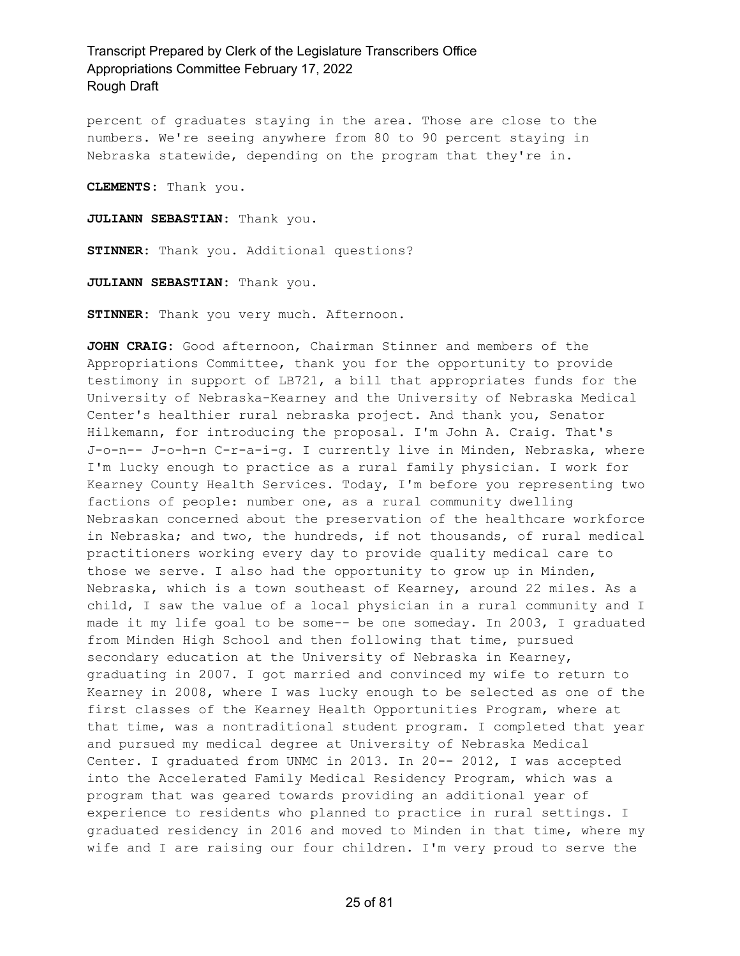percent of graduates staying in the area. Those are close to the numbers. We're seeing anywhere from 80 to 90 percent staying in Nebraska statewide, depending on the program that they're in.

**CLEMENTS:** Thank you.

**JULIANN SEBASTIAN:** Thank you.

**STINNER:** Thank you. Additional questions?

**JULIANN SEBASTIAN:** Thank you.

**STINNER:** Thank you very much. Afternoon.

**JOHN CRAIG:** Good afternoon, Chairman Stinner and members of the Appropriations Committee, thank you for the opportunity to provide testimony in support of LB721, a bill that appropriates funds for the University of Nebraska-Kearney and the University of Nebraska Medical Center's healthier rural nebraska project. And thank you, Senator Hilkemann, for introducing the proposal. I'm John A. Craig. That's J-o-n-- J-o-h-n C-r-a-i-g. I currently live in Minden, Nebraska, where I'm lucky enough to practice as a rural family physician. I work for Kearney County Health Services. Today, I'm before you representing two factions of people: number one, as a rural community dwelling Nebraskan concerned about the preservation of the healthcare workforce in Nebraska; and two, the hundreds, if not thousands, of rural medical practitioners working every day to provide quality medical care to those we serve. I also had the opportunity to grow up in Minden, Nebraska, which is a town southeast of Kearney, around 22 miles. As a child, I saw the value of a local physician in a rural community and I made it my life goal to be some-- be one someday. In 2003, I graduated from Minden High School and then following that time, pursued secondary education at the University of Nebraska in Kearney, graduating in 2007. I got married and convinced my wife to return to Kearney in 2008, where I was lucky enough to be selected as one of the first classes of the Kearney Health Opportunities Program, where at that time, was a nontraditional student program. I completed that year and pursued my medical degree at University of Nebraska Medical Center. I graduated from UNMC in 2013. In 20-- 2012, I was accepted into the Accelerated Family Medical Residency Program, which was a program that was geared towards providing an additional year of experience to residents who planned to practice in rural settings. I graduated residency in 2016 and moved to Minden in that time, where my wife and I are raising our four children. I'm very proud to serve the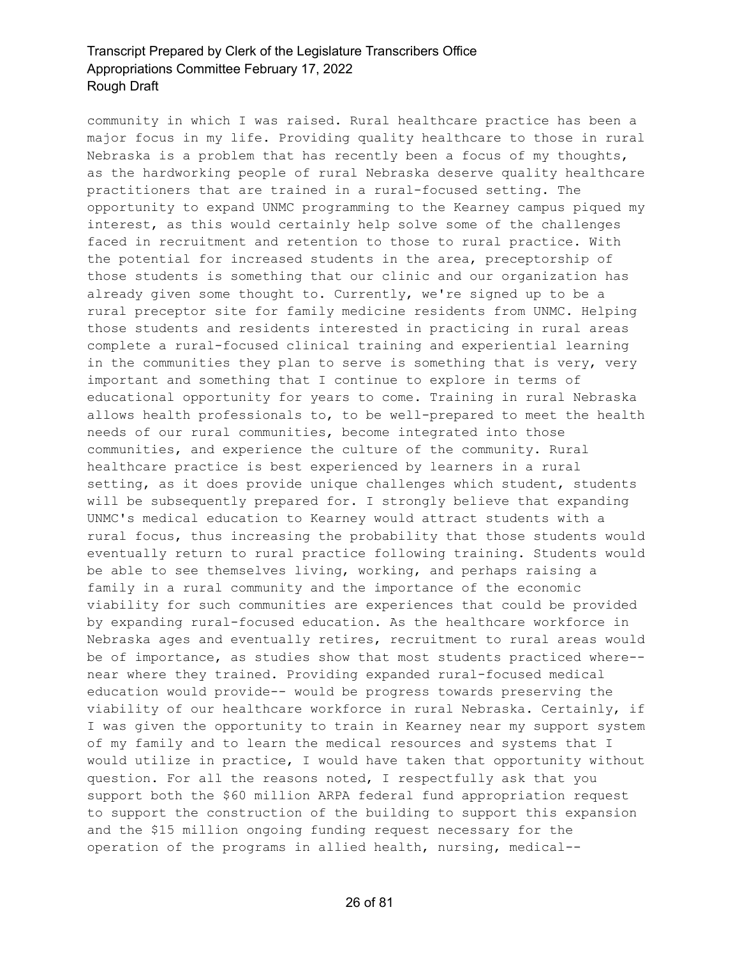community in which I was raised. Rural healthcare practice has been a major focus in my life. Providing quality healthcare to those in rural Nebraska is a problem that has recently been a focus of my thoughts, as the hardworking people of rural Nebraska deserve quality healthcare practitioners that are trained in a rural-focused setting. The opportunity to expand UNMC programming to the Kearney campus piqued my interest, as this would certainly help solve some of the challenges faced in recruitment and retention to those to rural practice. With the potential for increased students in the area, preceptorship of those students is something that our clinic and our organization has already given some thought to. Currently, we're signed up to be a rural preceptor site for family medicine residents from UNMC. Helping those students and residents interested in practicing in rural areas complete a rural-focused clinical training and experiential learning in the communities they plan to serve is something that is very, very important and something that I continue to explore in terms of educational opportunity for years to come. Training in rural Nebraska allows health professionals to, to be well-prepared to meet the health needs of our rural communities, become integrated into those communities, and experience the culture of the community. Rural healthcare practice is best experienced by learners in a rural setting, as it does provide unique challenges which student, students will be subsequently prepared for. I strongly believe that expanding UNMC's medical education to Kearney would attract students with a rural focus, thus increasing the probability that those students would eventually return to rural practice following training. Students would be able to see themselves living, working, and perhaps raising a family in a rural community and the importance of the economic viability for such communities are experiences that could be provided by expanding rural-focused education. As the healthcare workforce in Nebraska ages and eventually retires, recruitment to rural areas would be of importance, as studies show that most students practiced where- near where they trained. Providing expanded rural-focused medical education would provide-- would be progress towards preserving the viability of our healthcare workforce in rural Nebraska. Certainly, if I was given the opportunity to train in Kearney near my support system of my family and to learn the medical resources and systems that I would utilize in practice, I would have taken that opportunity without question. For all the reasons noted, I respectfully ask that you support both the \$60 million ARPA federal fund appropriation request to support the construction of the building to support this expansion and the \$15 million ongoing funding request necessary for the operation of the programs in allied health, nursing, medical--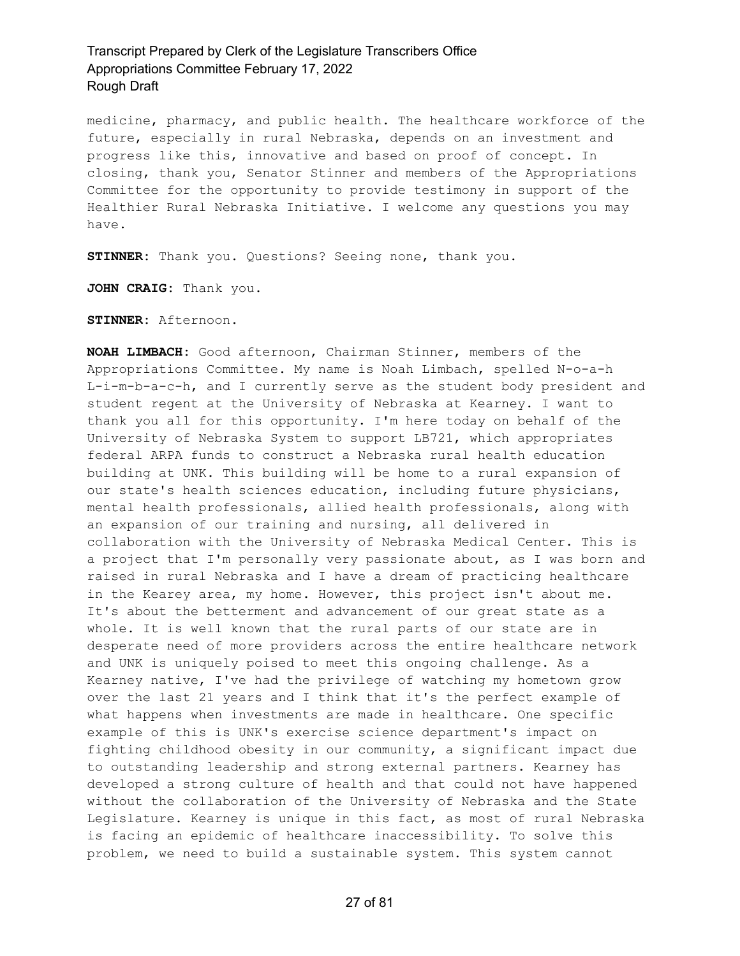medicine, pharmacy, and public health. The healthcare workforce of the future, especially in rural Nebraska, depends on an investment and progress like this, innovative and based on proof of concept. In closing, thank you, Senator Stinner and members of the Appropriations Committee for the opportunity to provide testimony in support of the Healthier Rural Nebraska Initiative. I welcome any questions you may have.

**STINNER:** Thank you. Questions? Seeing none, thank you.

**JOHN CRAIG:** Thank you.

**STINNER:** Afternoon.

**NOAH LIMBACH:** Good afternoon, Chairman Stinner, members of the Appropriations Committee. My name is Noah Limbach, spelled N-o-a-h L-i-m-b-a-c-h, and I currently serve as the student body president and student regent at the University of Nebraska at Kearney. I want to thank you all for this opportunity. I'm here today on behalf of the University of Nebraska System to support LB721, which appropriates federal ARPA funds to construct a Nebraska rural health education building at UNK. This building will be home to a rural expansion of our state's health sciences education, including future physicians, mental health professionals, allied health professionals, along with an expansion of our training and nursing, all delivered in collaboration with the University of Nebraska Medical Center. This is a project that I'm personally very passionate about, as I was born and raised in rural Nebraska and I have a dream of practicing healthcare in the Kearey area, my home. However, this project isn't about me. It's about the betterment and advancement of our great state as a whole. It is well known that the rural parts of our state are in desperate need of more providers across the entire healthcare network and UNK is uniquely poised to meet this ongoing challenge. As a Kearney native, I've had the privilege of watching my hometown grow over the last 21 years and I think that it's the perfect example of what happens when investments are made in healthcare. One specific example of this is UNK's exercise science department's impact on fighting childhood obesity in our community, a significant impact due to outstanding leadership and strong external partners. Kearney has developed a strong culture of health and that could not have happened without the collaboration of the University of Nebraska and the State Legislature. Kearney is unique in this fact, as most of rural Nebraska is facing an epidemic of healthcare inaccessibility. To solve this problem, we need to build a sustainable system. This system cannot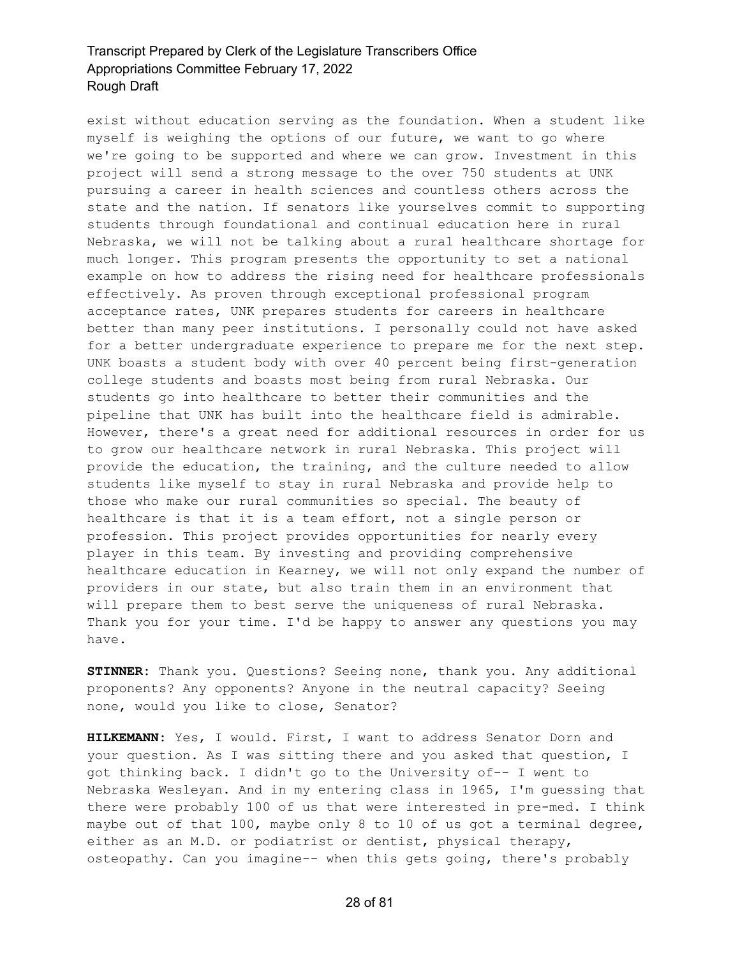exist without education serving as the foundation. When a student like myself is weighing the options of our future, we want to go where we're going to be supported and where we can grow. Investment in this project will send a strong message to the over 750 students at UNK pursuing a career in health sciences and countless others across the state and the nation. If senators like yourselves commit to supporting students through foundational and continual education here in rural Nebraska, we will not be talking about a rural healthcare shortage for much longer. This program presents the opportunity to set a national example on how to address the rising need for healthcare professionals effectively. As proven through exceptional professional program acceptance rates, UNK prepares students for careers in healthcare better than many peer institutions. I personally could not have asked for a better undergraduate experience to prepare me for the next step. UNK boasts a student body with over 40 percent being first-generation college students and boasts most being from rural Nebraska. Our students go into healthcare to better their communities and the pipeline that UNK has built into the healthcare field is admirable. However, there's a great need for additional resources in order for us to grow our healthcare network in rural Nebraska. This project will provide the education, the training, and the culture needed to allow students like myself to stay in rural Nebraska and provide help to those who make our rural communities so special. The beauty of healthcare is that it is a team effort, not a single person or profession. This project provides opportunities for nearly every player in this team. By investing and providing comprehensive healthcare education in Kearney, we will not only expand the number of providers in our state, but also train them in an environment that will prepare them to best serve the uniqueness of rural Nebraska. Thank you for your time. I'd be happy to answer any questions you may have.

**STINNER:** Thank you. Questions? Seeing none, thank you. Any additional proponents? Any opponents? Anyone in the neutral capacity? Seeing none, would you like to close, Senator?

**HILKEMANN:** Yes, I would. First, I want to address Senator Dorn and your question. As I was sitting there and you asked that question, I got thinking back. I didn't go to the University of-- I went to Nebraska Wesleyan. And in my entering class in 1965, I'm guessing that there were probably 100 of us that were interested in pre-med. I think maybe out of that 100, maybe only 8 to 10 of us got a terminal degree, either as an M.D. or podiatrist or dentist, physical therapy, osteopathy. Can you imagine-- when this gets going, there's probably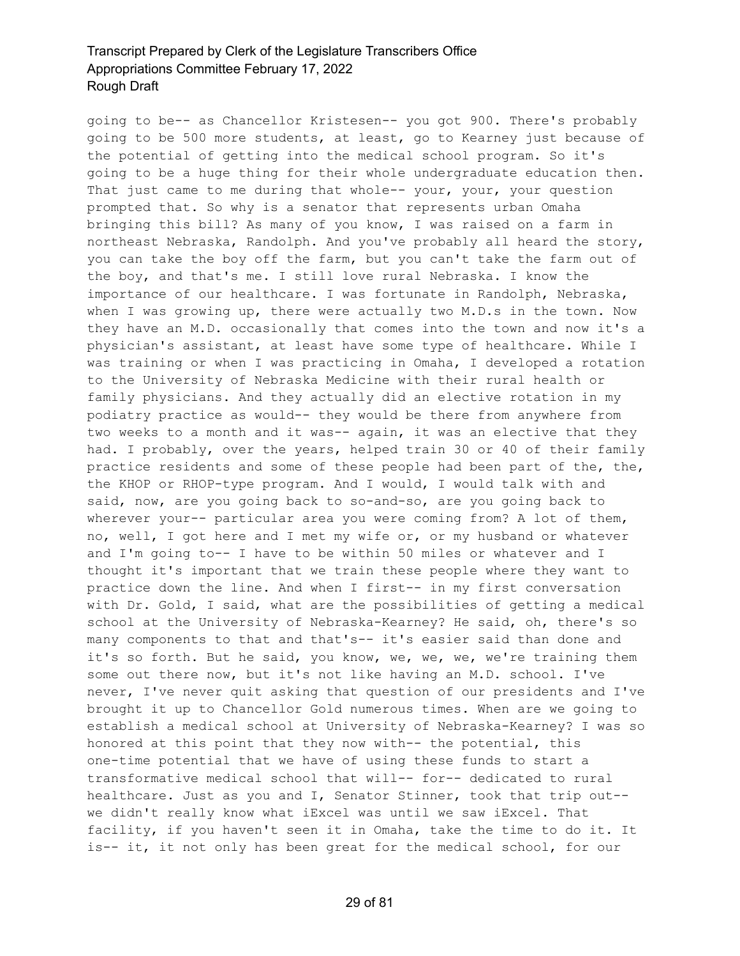going to be-- as Chancellor Kristesen-- you got 900. There's probably going to be 500 more students, at least, go to Kearney just because of the potential of getting into the medical school program. So it's going to be a huge thing for their whole undergraduate education then. That just came to me during that whole-- your, your, your question prompted that. So why is a senator that represents urban Omaha bringing this bill? As many of you know, I was raised on a farm in northeast Nebraska, Randolph. And you've probably all heard the story, you can take the boy off the farm, but you can't take the farm out of the boy, and that's me. I still love rural Nebraska. I know the importance of our healthcare. I was fortunate in Randolph, Nebraska, when I was growing up, there were actually two M.D.s in the town. Now they have an M.D. occasionally that comes into the town and now it's a physician's assistant, at least have some type of healthcare. While I was training or when I was practicing in Omaha, I developed a rotation to the University of Nebraska Medicine with their rural health or family physicians. And they actually did an elective rotation in my podiatry practice as would-- they would be there from anywhere from two weeks to a month and it was-- again, it was an elective that they had. I probably, over the years, helped train 30 or 40 of their family practice residents and some of these people had been part of the, the, the KHOP or RHOP-type program. And I would, I would talk with and said, now, are you going back to so-and-so, are you going back to wherever your-- particular area you were coming from? A lot of them, no, well, I got here and I met my wife or, or my husband or whatever and I'm going to-- I have to be within 50 miles or whatever and I thought it's important that we train these people where they want to practice down the line. And when I first-- in my first conversation with Dr. Gold, I said, what are the possibilities of getting a medical school at the University of Nebraska-Kearney? He said, oh, there's so many components to that and that's-- it's easier said than done and it's so forth. But he said, you know, we, we, we, we're training them some out there now, but it's not like having an M.D. school. I've never, I've never quit asking that question of our presidents and I've brought it up to Chancellor Gold numerous times. When are we going to establish a medical school at University of Nebraska-Kearney? I was so honored at this point that they now with-- the potential, this one-time potential that we have of using these funds to start a transformative medical school that will-- for-- dedicated to rural healthcare. Just as you and I, Senator Stinner, took that trip out- we didn't really know what iExcel was until we saw iExcel. That facility, if you haven't seen it in Omaha, take the time to do it. It is-- it, it not only has been great for the medical school, for our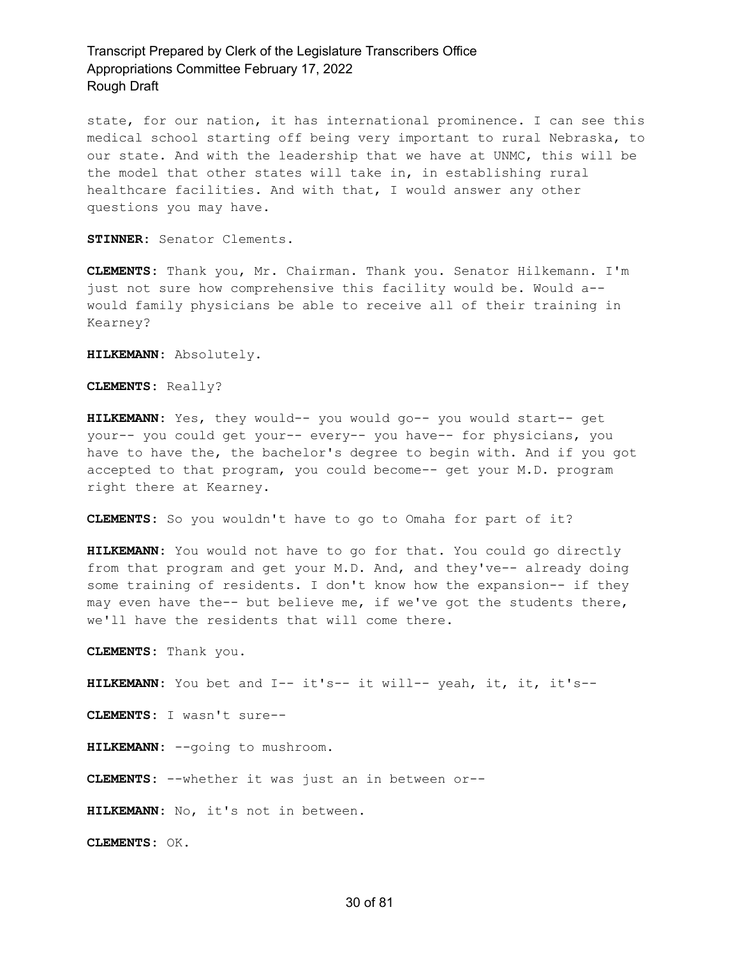state, for our nation, it has international prominence. I can see this medical school starting off being very important to rural Nebraska, to our state. And with the leadership that we have at UNMC, this will be the model that other states will take in, in establishing rural healthcare facilities. And with that, I would answer any other questions you may have.

**STINNER:** Senator Clements.

**CLEMENTS:** Thank you, Mr. Chairman. Thank you. Senator Hilkemann. I'm just not sure how comprehensive this facility would be. Would a- would family physicians be able to receive all of their training in Kearney?

**HILKEMANN:** Absolutely.

**CLEMENTS:** Really?

**HILKEMANN:** Yes, they would-- you would go-- you would start-- get your-- you could get your-- every-- you have-- for physicians, you have to have the, the bachelor's degree to begin with. And if you got accepted to that program, you could become-- get your M.D. program right there at Kearney.

**CLEMENTS:** So you wouldn't have to go to Omaha for part of it?

**HILKEMANN:** You would not have to go for that. You could go directly from that program and get your M.D. And, and they've-- already doing some training of residents. I don't know how the expansion-- if they may even have the-- but believe me, if we've got the students there, we'll have the residents that will come there.

**CLEMENTS:** Thank you.

**HILKEMANN:** You bet and I-- it's-- it will-- yeah, it, it, it's--

**CLEMENTS:** I wasn't sure--

**HILKEMANN:** --going to mushroom.

**CLEMENTS:** --whether it was just an in between or--

**HILKEMANN:** No, it's not in between.

**CLEMENTS:** OK.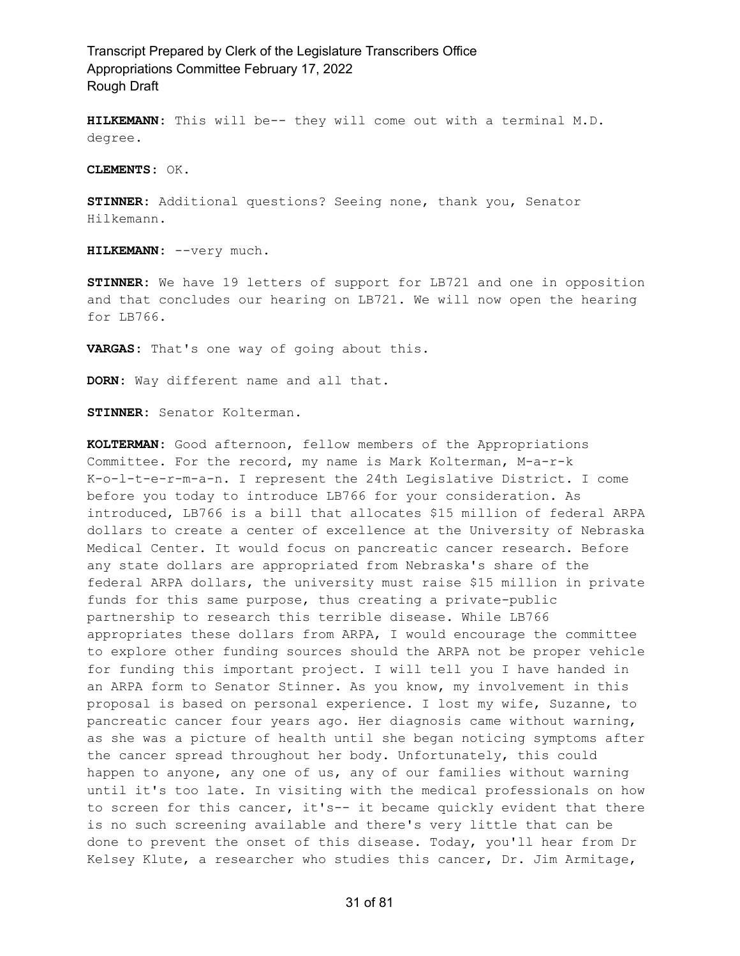**HILKEMANN:** This will be-- they will come out with a terminal M.D. degree.

**CLEMENTS:** OK.

**STINNER:** Additional questions? Seeing none, thank you, Senator Hilkemann.

HILKEMANN: -- very much.

**STINNER:** We have 19 letters of support for LB721 and one in opposition and that concludes our hearing on LB721. We will now open the hearing for LB766.

**VARGAS:** That's one way of going about this.

**DORN:** Way different name and all that.

**STINNER:** Senator Kolterman.

**KOLTERMAN:** Good afternoon, fellow members of the Appropriations Committee. For the record, my name is Mark Kolterman, M-a-r-k K-o-l-t-e-r-m-a-n. I represent the 24th Legislative District. I come before you today to introduce LB766 for your consideration. As introduced, LB766 is a bill that allocates \$15 million of federal ARPA dollars to create a center of excellence at the University of Nebraska Medical Center. It would focus on pancreatic cancer research. Before any state dollars are appropriated from Nebraska's share of the federal ARPA dollars, the university must raise \$15 million in private funds for this same purpose, thus creating a private-public partnership to research this terrible disease. While LB766 appropriates these dollars from ARPA, I would encourage the committee to explore other funding sources should the ARPA not be proper vehicle for funding this important project. I will tell you I have handed in an ARPA form to Senator Stinner. As you know, my involvement in this proposal is based on personal experience. I lost my wife, Suzanne, to pancreatic cancer four years ago. Her diagnosis came without warning, as she was a picture of health until she began noticing symptoms after the cancer spread throughout her body. Unfortunately, this could happen to anyone, any one of us, any of our families without warning until it's too late. In visiting with the medical professionals on how to screen for this cancer, it's-- it became quickly evident that there is no such screening available and there's very little that can be done to prevent the onset of this disease. Today, you'll hear from Dr Kelsey Klute, a researcher who studies this cancer, Dr. Jim Armitage,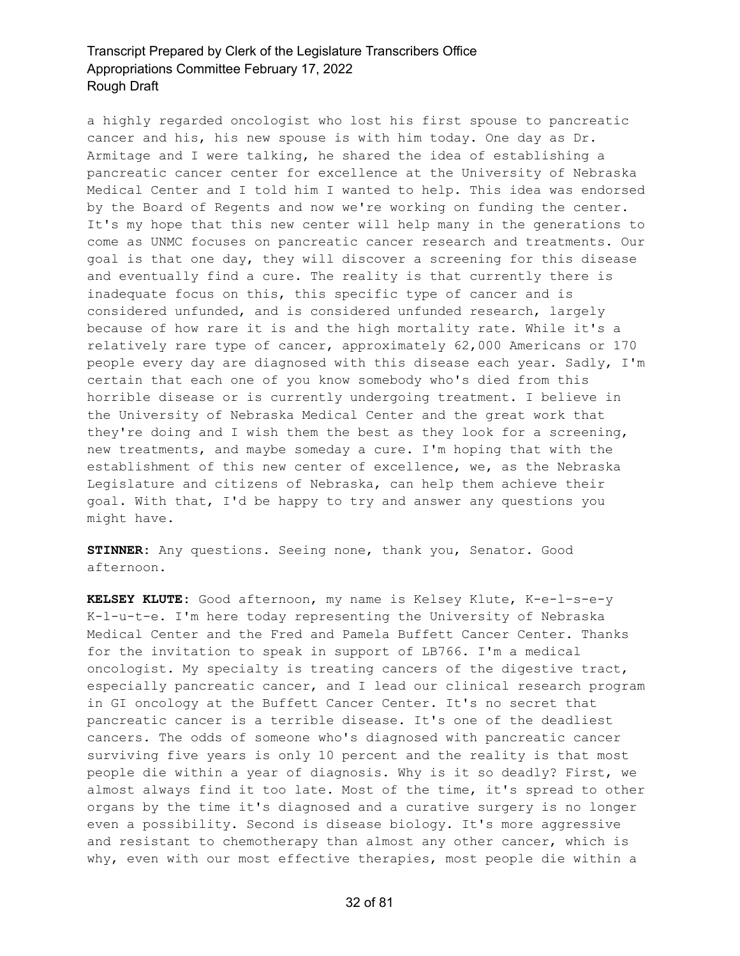a highly regarded oncologist who lost his first spouse to pancreatic cancer and his, his new spouse is with him today. One day as Dr. Armitage and I were talking, he shared the idea of establishing a pancreatic cancer center for excellence at the University of Nebraska Medical Center and I told him I wanted to help. This idea was endorsed by the Board of Regents and now we're working on funding the center. It's my hope that this new center will help many in the generations to come as UNMC focuses on pancreatic cancer research and treatments. Our goal is that one day, they will discover a screening for this disease and eventually find a cure. The reality is that currently there is inadequate focus on this, this specific type of cancer and is considered unfunded, and is considered unfunded research, largely because of how rare it is and the high mortality rate. While it's a relatively rare type of cancer, approximately 62,000 Americans or 170 people every day are diagnosed with this disease each year. Sadly, I'm certain that each one of you know somebody who's died from this horrible disease or is currently undergoing treatment. I believe in the University of Nebraska Medical Center and the great work that they're doing and I wish them the best as they look for a screening, new treatments, and maybe someday a cure. I'm hoping that with the establishment of this new center of excellence, we, as the Nebraska Legislature and citizens of Nebraska, can help them achieve their goal. With that, I'd be happy to try and answer any questions you might have.

**STINNER:** Any questions. Seeing none, thank you, Senator. Good afternoon.

**KELSEY KLUTE:** Good afternoon, my name is Kelsey Klute, K-e-l-s-e-y K-l-u-t-e. I'm here today representing the University of Nebraska Medical Center and the Fred and Pamela Buffett Cancer Center. Thanks for the invitation to speak in support of LB766. I'm a medical oncologist. My specialty is treating cancers of the digestive tract, especially pancreatic cancer, and I lead our clinical research program in GI oncology at the Buffett Cancer Center. It's no secret that pancreatic cancer is a terrible disease. It's one of the deadliest cancers. The odds of someone who's diagnosed with pancreatic cancer surviving five years is only 10 percent and the reality is that most people die within a year of diagnosis. Why is it so deadly? First, we almost always find it too late. Most of the time, it's spread to other organs by the time it's diagnosed and a curative surgery is no longer even a possibility. Second is disease biology. It's more aggressive and resistant to chemotherapy than almost any other cancer, which is why, even with our most effective therapies, most people die within a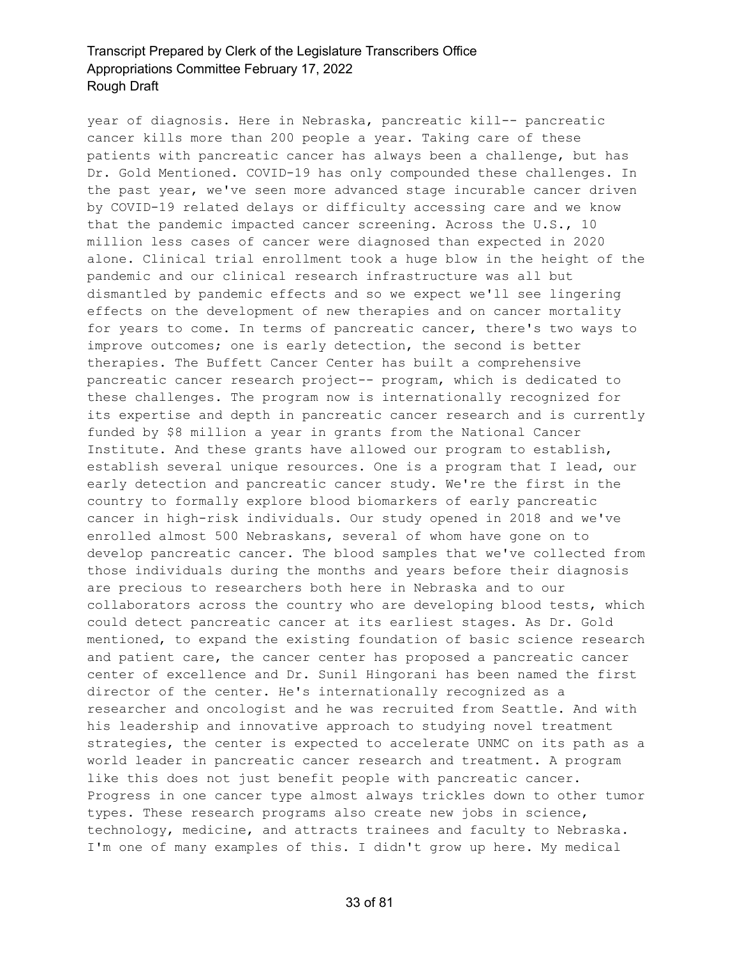year of diagnosis. Here in Nebraska, pancreatic kill-- pancreatic cancer kills more than 200 people a year. Taking care of these patients with pancreatic cancer has always been a challenge, but has Dr. Gold Mentioned. COVID-19 has only compounded these challenges. In the past year, we've seen more advanced stage incurable cancer driven by COVID-19 related delays or difficulty accessing care and we know that the pandemic impacted cancer screening. Across the U.S., 10 million less cases of cancer were diagnosed than expected in 2020 alone. Clinical trial enrollment took a huge blow in the height of the pandemic and our clinical research infrastructure was all but dismantled by pandemic effects and so we expect we'll see lingering effects on the development of new therapies and on cancer mortality for years to come. In terms of pancreatic cancer, there's two ways to improve outcomes; one is early detection, the second is better therapies. The Buffett Cancer Center has built a comprehensive pancreatic cancer research project-- program, which is dedicated to these challenges. The program now is internationally recognized for its expertise and depth in pancreatic cancer research and is currently funded by \$8 million a year in grants from the National Cancer Institute. And these grants have allowed our program to establish, establish several unique resources. One is a program that I lead, our early detection and pancreatic cancer study. We're the first in the country to formally explore blood biomarkers of early pancreatic cancer in high-risk individuals. Our study opened in 2018 and we've enrolled almost 500 Nebraskans, several of whom have gone on to develop pancreatic cancer. The blood samples that we've collected from those individuals during the months and years before their diagnosis are precious to researchers both here in Nebraska and to our collaborators across the country who are developing blood tests, which could detect pancreatic cancer at its earliest stages. As Dr. Gold mentioned, to expand the existing foundation of basic science research and patient care, the cancer center has proposed a pancreatic cancer center of excellence and Dr. Sunil Hingorani has been named the first director of the center. He's internationally recognized as a researcher and oncologist and he was recruited from Seattle. And with his leadership and innovative approach to studying novel treatment strategies, the center is expected to accelerate UNMC on its path as a world leader in pancreatic cancer research and treatment. A program like this does not just benefit people with pancreatic cancer. Progress in one cancer type almost always trickles down to other tumor types. These research programs also create new jobs in science, technology, medicine, and attracts trainees and faculty to Nebraska. I'm one of many examples of this. I didn't grow up here. My medical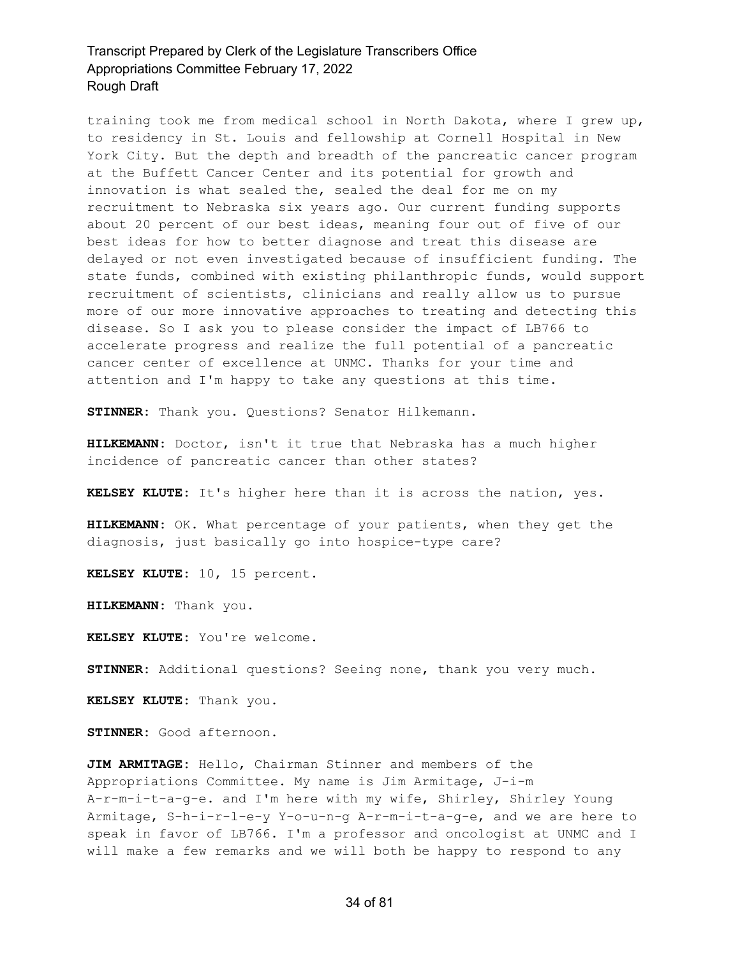training took me from medical school in North Dakota, where I grew up, to residency in St. Louis and fellowship at Cornell Hospital in New York City. But the depth and breadth of the pancreatic cancer program at the Buffett Cancer Center and its potential for growth and innovation is what sealed the, sealed the deal for me on my recruitment to Nebraska six years ago. Our current funding supports about 20 percent of our best ideas, meaning four out of five of our best ideas for how to better diagnose and treat this disease are delayed or not even investigated because of insufficient funding. The state funds, combined with existing philanthropic funds, would support recruitment of scientists, clinicians and really allow us to pursue more of our more innovative approaches to treating and detecting this disease. So I ask you to please consider the impact of LB766 to accelerate progress and realize the full potential of a pancreatic cancer center of excellence at UNMC. Thanks for your time and attention and I'm happy to take any questions at this time.

**STINNER:** Thank you. Questions? Senator Hilkemann.

**HILKEMANN:** Doctor, isn't it true that Nebraska has a much higher incidence of pancreatic cancer than other states?

**KELSEY KLUTE:** It's higher here than it is across the nation, yes.

**HILKEMANN:** OK. What percentage of your patients, when they get the diagnosis, just basically go into hospice-type care?

**KELSEY KLUTE:** 10, 15 percent.

**HILKEMANN:** Thank you.

**KELSEY KLUTE:** You're welcome.

**STINNER:** Additional questions? Seeing none, thank you very much.

**KELSEY KLUTE:** Thank you.

**STINNER:** Good afternoon.

**JIM ARMITAGE:** Hello, Chairman Stinner and members of the Appropriations Committee. My name is Jim Armitage, J-i-m A-r-m-i-t-a-g-e. and I'm here with my wife, Shirley, Shirley Young Armitage, S-h-i-r-l-e-y Y-o-u-n-g A-r-m-i-t-a-g-e, and we are here to speak in favor of LB766. I'm a professor and oncologist at UNMC and I will make a few remarks and we will both be happy to respond to any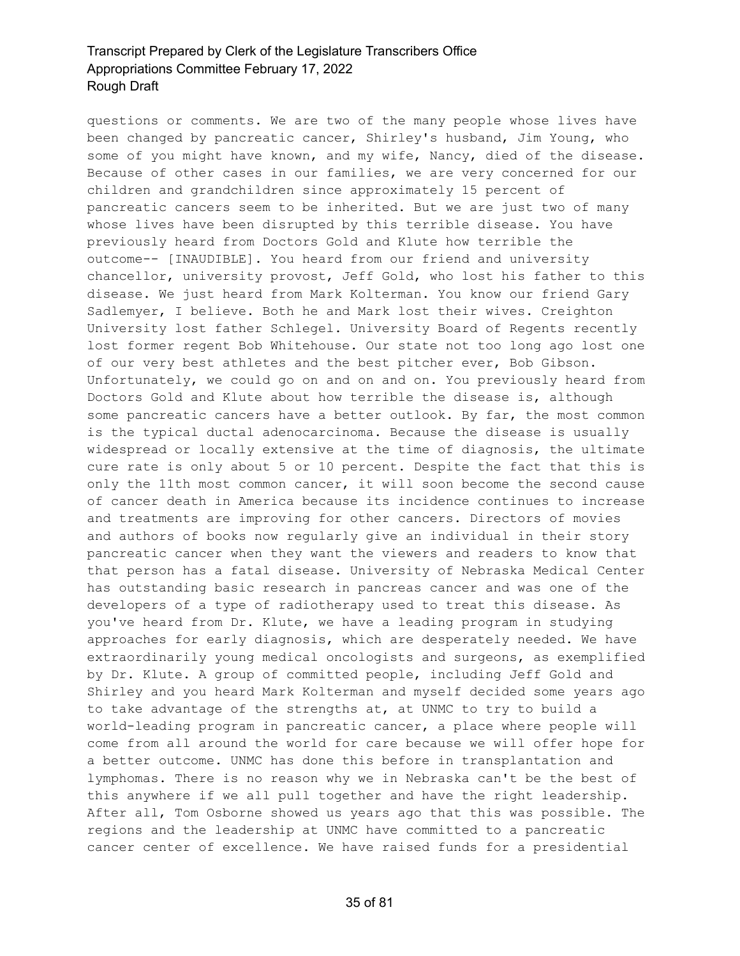questions or comments. We are two of the many people whose lives have been changed by pancreatic cancer, Shirley's husband, Jim Young, who some of you might have known, and my wife, Nancy, died of the disease. Because of other cases in our families, we are very concerned for our children and grandchildren since approximately 15 percent of pancreatic cancers seem to be inherited. But we are just two of many whose lives have been disrupted by this terrible disease. You have previously heard from Doctors Gold and Klute how terrible the outcome-- [INAUDIBLE]. You heard from our friend and university chancellor, university provost, Jeff Gold, who lost his father to this disease. We just heard from Mark Kolterman. You know our friend Gary Sadlemyer, I believe. Both he and Mark lost their wives. Creighton University lost father Schlegel. University Board of Regents recently lost former regent Bob Whitehouse. Our state not too long ago lost one of our very best athletes and the best pitcher ever, Bob Gibson. Unfortunately, we could go on and on and on. You previously heard from Doctors Gold and Klute about how terrible the disease is, although some pancreatic cancers have a better outlook. By far, the most common is the typical ductal adenocarcinoma. Because the disease is usually widespread or locally extensive at the time of diagnosis, the ultimate cure rate is only about 5 or 10 percent. Despite the fact that this is only the 11th most common cancer, it will soon become the second cause of cancer death in America because its incidence continues to increase and treatments are improving for other cancers. Directors of movies and authors of books now regularly give an individual in their story pancreatic cancer when they want the viewers and readers to know that that person has a fatal disease. University of Nebraska Medical Center has outstanding basic research in pancreas cancer and was one of the developers of a type of radiotherapy used to treat this disease. As you've heard from Dr. Klute, we have a leading program in studying approaches for early diagnosis, which are desperately needed. We have extraordinarily young medical oncologists and surgeons, as exemplified by Dr. Klute. A group of committed people, including Jeff Gold and Shirley and you heard Mark Kolterman and myself decided some years ago to take advantage of the strengths at, at UNMC to try to build a world-leading program in pancreatic cancer, a place where people will come from all around the world for care because we will offer hope for a better outcome. UNMC has done this before in transplantation and lymphomas. There is no reason why we in Nebraska can't be the best of this anywhere if we all pull together and have the right leadership. After all, Tom Osborne showed us years ago that this was possible. The regions and the leadership at UNMC have committed to a pancreatic cancer center of excellence. We have raised funds for a presidential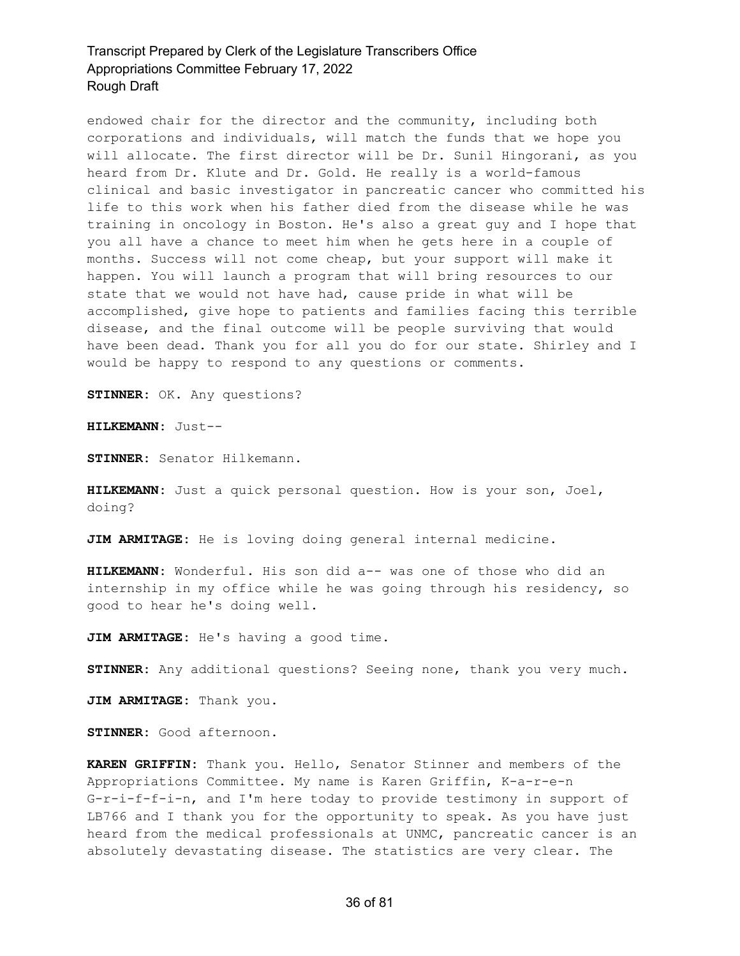endowed chair for the director and the community, including both corporations and individuals, will match the funds that we hope you will allocate. The first director will be Dr. Sunil Hingorani, as you heard from Dr. Klute and Dr. Gold. He really is a world-famous clinical and basic investigator in pancreatic cancer who committed his life to this work when his father died from the disease while he was training in oncology in Boston. He's also a great guy and I hope that you all have a chance to meet him when he gets here in a couple of months. Success will not come cheap, but your support will make it happen. You will launch a program that will bring resources to our state that we would not have had, cause pride in what will be accomplished, give hope to patients and families facing this terrible disease, and the final outcome will be people surviving that would have been dead. Thank you for all you do for our state. Shirley and I would be happy to respond to any questions or comments.

**STINNER:** OK. Any questions?

**HILKEMANN:** Just--

**STINNER:** Senator Hilkemann.

**HILKEMANN:** Just a quick personal question. How is your son, Joel, doing?

**JIM ARMITAGE:** He is loving doing general internal medicine.

**HILKEMANN:** Wonderful. His son did a-- was one of those who did an internship in my office while he was going through his residency, so good to hear he's doing well.

**JIM ARMITAGE:** He's having a good time.

**STINNER:** Any additional questions? Seeing none, thank you very much.

**JIM ARMITAGE:** Thank you.

**STINNER:** Good afternoon.

**KAREN GRIFFIN:** Thank you. Hello, Senator Stinner and members of the Appropriations Committee. My name is Karen Griffin, K-a-r-e-n G-r-i-f-f-i-n, and I'm here today to provide testimony in support of LB766 and I thank you for the opportunity to speak. As you have just heard from the medical professionals at UNMC, pancreatic cancer is an absolutely devastating disease. The statistics are very clear. The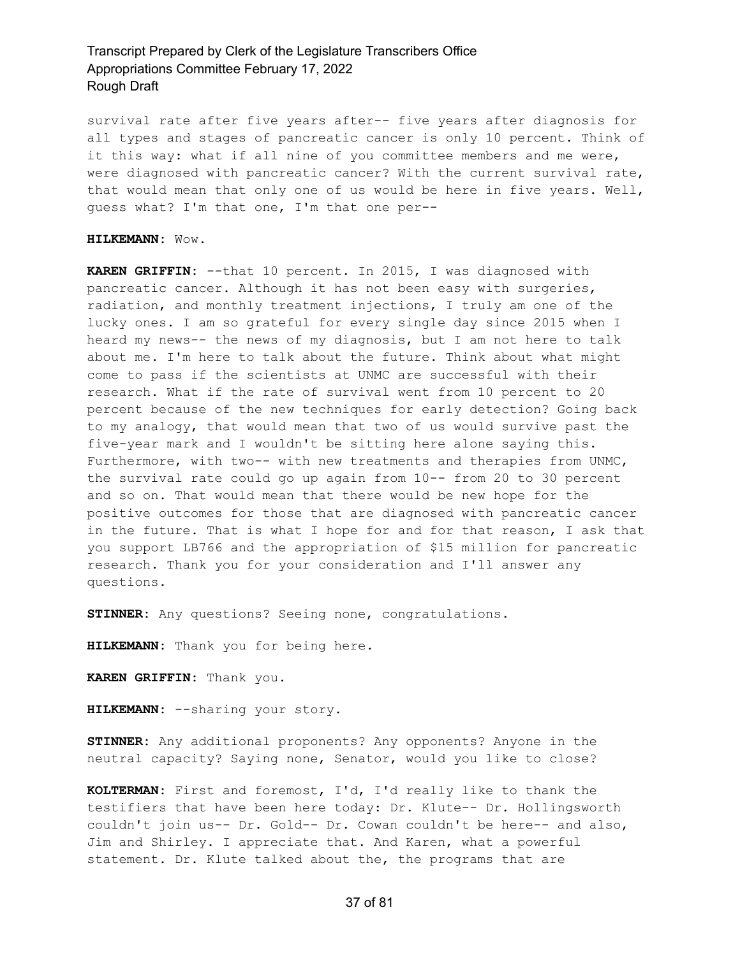survival rate after five years after-- five years after diagnosis for all types and stages of pancreatic cancer is only 10 percent. Think of it this way: what if all nine of you committee members and me were, were diagnosed with pancreatic cancer? With the current survival rate, that would mean that only one of us would be here in five years. Well, guess what? I'm that one, I'm that one per--

#### **HILKEMANN:** Wow.

**KAREN GRIFFIN:** --that 10 percent. In 2015, I was diagnosed with pancreatic cancer. Although it has not been easy with surgeries, radiation, and monthly treatment injections, I truly am one of the lucky ones. I am so grateful for every single day since 2015 when I heard my news-- the news of my diagnosis, but I am not here to talk about me. I'm here to talk about the future. Think about what might come to pass if the scientists at UNMC are successful with their research. What if the rate of survival went from 10 percent to 20 percent because of the new techniques for early detection? Going back to my analogy, that would mean that two of us would survive past the five-year mark and I wouldn't be sitting here alone saying this. Furthermore, with two-- with new treatments and therapies from UNMC, the survival rate could go up again from 10-- from 20 to 30 percent and so on. That would mean that there would be new hope for the positive outcomes for those that are diagnosed with pancreatic cancer in the future. That is what I hope for and for that reason, I ask that you support LB766 and the appropriation of \$15 million for pancreatic research. Thank you for your consideration and I'll answer any questions.

**STINNER:** Any questions? Seeing none, congratulations.

**HILKEMANN:** Thank you for being here.

**KAREN GRIFFIN:** Thank you.

**HILKEMANN:** --sharing your story.

**STINNER:** Any additional proponents? Any opponents? Anyone in the neutral capacity? Saying none, Senator, would you like to close?

**KOLTERMAN:** First and foremost, I'd, I'd really like to thank the testifiers that have been here today: Dr. Klute-- Dr. Hollingsworth couldn't join us-- Dr. Gold-- Dr. Cowan couldn't be here-- and also, Jim and Shirley. I appreciate that. And Karen, what a powerful statement. Dr. Klute talked about the, the programs that are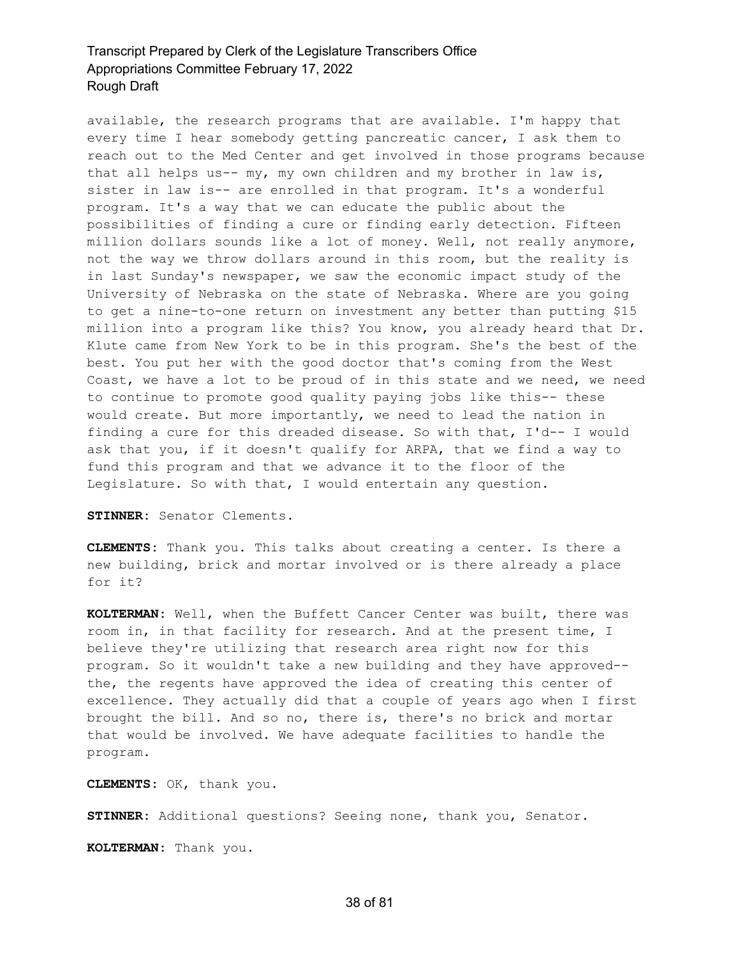available, the research programs that are available. I'm happy that every time I hear somebody getting pancreatic cancer, I ask them to reach out to the Med Center and get involved in those programs because that all helps us-- my, my own children and my brother in law is, sister in law is-- are enrolled in that program. It's a wonderful program. It's a way that we can educate the public about the possibilities of finding a cure or finding early detection. Fifteen million dollars sounds like a lot of money. Well, not really anymore, not the way we throw dollars around in this room, but the reality is in last Sunday's newspaper, we saw the economic impact study of the University of Nebraska on the state of Nebraska. Where are you going to get a nine-to-one return on investment any better than putting \$15 million into a program like this? You know, you already heard that Dr. Klute came from New York to be in this program. She's the best of the best. You put her with the good doctor that's coming from the West Coast, we have a lot to be proud of in this state and we need, we need to continue to promote good quality paying jobs like this-- these would create. But more importantly, we need to lead the nation in finding a cure for this dreaded disease. So with that, I'd-- I would ask that you, if it doesn't qualify for ARPA, that we find a way to fund this program and that we advance it to the floor of the Legislature. So with that, I would entertain any question.

**STINNER:** Senator Clements.

**CLEMENTS:** Thank you. This talks about creating a center. Is there a new building, brick and mortar involved or is there already a place for it?

**KOLTERMAN:** Well, when the Buffett Cancer Center was built, there was room in, in that facility for research. And at the present time, I believe they're utilizing that research area right now for this program. So it wouldn't take a new building and they have approved- the, the regents have approved the idea of creating this center of excellence. They actually did that a couple of years ago when I first brought the bill. And so no, there is, there's no brick and mortar that would be involved. We have adequate facilities to handle the program.

**CLEMENTS:** OK, thank you.

**STINNER:** Additional questions? Seeing none, thank you, Senator.

**KOLTERMAN:** Thank you.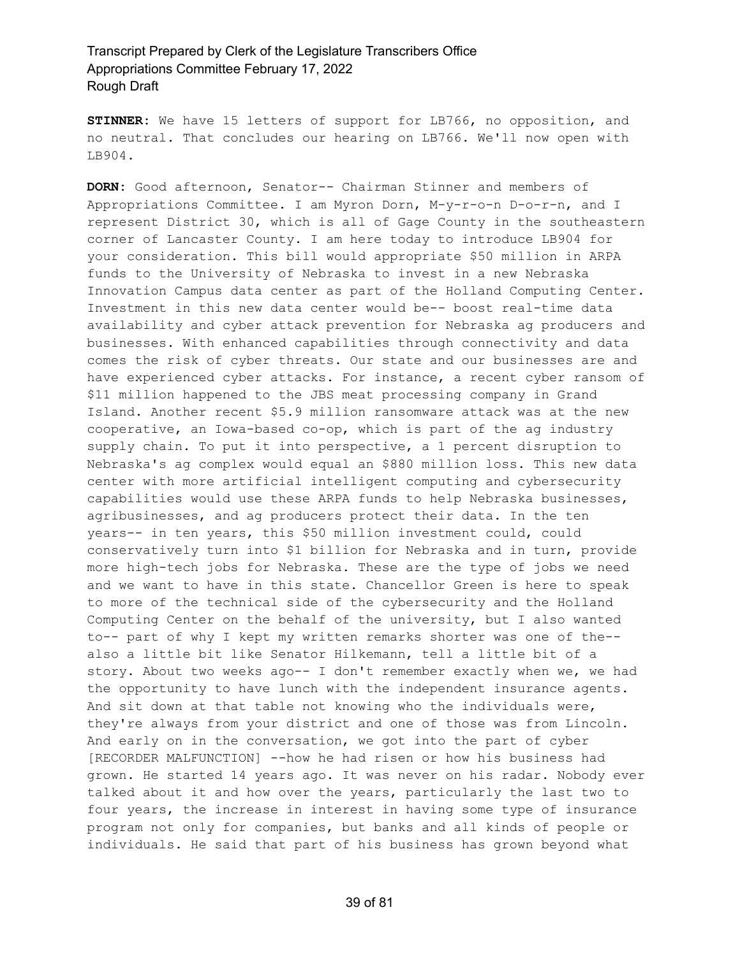**STINNER:** We have 15 letters of support for LB766, no opposition, and no neutral. That concludes our hearing on LB766. We'll now open with LB904.

**DORN:** Good afternoon, Senator-- Chairman Stinner and members of Appropriations Committee. I am Myron Dorn, M-y-r-o-n D-o-r-n, and I represent District 30, which is all of Gage County in the southeastern corner of Lancaster County. I am here today to introduce LB904 for your consideration. This bill would appropriate \$50 million in ARPA funds to the University of Nebraska to invest in a new Nebraska Innovation Campus data center as part of the Holland Computing Center. Investment in this new data center would be-- boost real-time data availability and cyber attack prevention for Nebraska ag producers and businesses. With enhanced capabilities through connectivity and data comes the risk of cyber threats. Our state and our businesses are and have experienced cyber attacks. For instance, a recent cyber ransom of \$11 million happened to the JBS meat processing company in Grand Island. Another recent \$5.9 million ransomware attack was at the new cooperative, an Iowa-based co-op, which is part of the ag industry supply chain. To put it into perspective, a 1 percent disruption to Nebraska's ag complex would equal an \$880 million loss. This new data center with more artificial intelligent computing and cybersecurity capabilities would use these ARPA funds to help Nebraska businesses, agribusinesses, and ag producers protect their data. In the ten years-- in ten years, this \$50 million investment could, could conservatively turn into \$1 billion for Nebraska and in turn, provide more high-tech jobs for Nebraska. These are the type of jobs we need and we want to have in this state. Chancellor Green is here to speak to more of the technical side of the cybersecurity and the Holland Computing Center on the behalf of the university, but I also wanted to-- part of why I kept my written remarks shorter was one of the- also a little bit like Senator Hilkemann, tell a little bit of a story. About two weeks ago-- I don't remember exactly when we, we had the opportunity to have lunch with the independent insurance agents. And sit down at that table not knowing who the individuals were, they're always from your district and one of those was from Lincoln. And early on in the conversation, we got into the part of cyber [RECORDER MALFUNCTION] --how he had risen or how his business had grown. He started 14 years ago. It was never on his radar. Nobody ever talked about it and how over the years, particularly the last two to four years, the increase in interest in having some type of insurance program not only for companies, but banks and all kinds of people or individuals. He said that part of his business has grown beyond what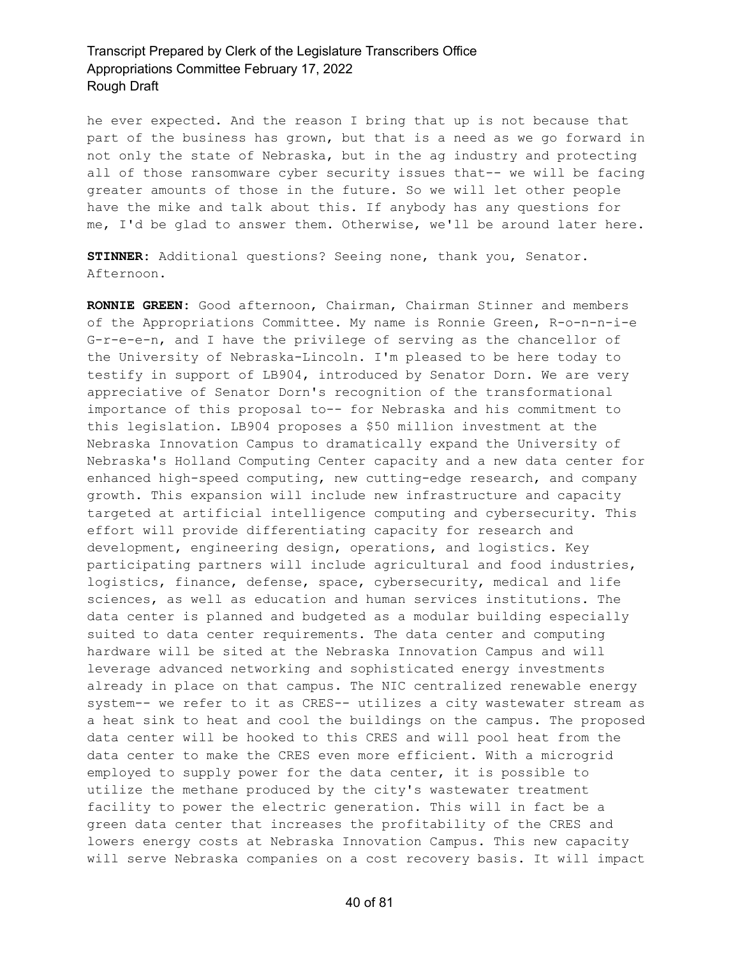he ever expected. And the reason I bring that up is not because that part of the business has grown, but that is a need as we go forward in not only the state of Nebraska, but in the ag industry and protecting all of those ransomware cyber security issues that-- we will be facing greater amounts of those in the future. So we will let other people have the mike and talk about this. If anybody has any questions for me, I'd be glad to answer them. Otherwise, we'll be around later here.

**STINNER:** Additional questions? Seeing none, thank you, Senator. Afternoon.

**RONNIE GREEN:** Good afternoon, Chairman, Chairman Stinner and members of the Appropriations Committee. My name is Ronnie Green, R-o-n-n-i-e G-r-e-e-n, and I have the privilege of serving as the chancellor of the University of Nebraska-Lincoln. I'm pleased to be here today to testify in support of LB904, introduced by Senator Dorn. We are very appreciative of Senator Dorn's recognition of the transformational importance of this proposal to-- for Nebraska and his commitment to this legislation. LB904 proposes a \$50 million investment at the Nebraska Innovation Campus to dramatically expand the University of Nebraska's Holland Computing Center capacity and a new data center for enhanced high-speed computing, new cutting-edge research, and company growth. This expansion will include new infrastructure and capacity targeted at artificial intelligence computing and cybersecurity. This effort will provide differentiating capacity for research and development, engineering design, operations, and logistics. Key participating partners will include agricultural and food industries, logistics, finance, defense, space, cybersecurity, medical and life sciences, as well as education and human services institutions. The data center is planned and budgeted as a modular building especially suited to data center requirements. The data center and computing hardware will be sited at the Nebraska Innovation Campus and will leverage advanced networking and sophisticated energy investments already in place on that campus. The NIC centralized renewable energy system-- we refer to it as CRES-- utilizes a city wastewater stream as a heat sink to heat and cool the buildings on the campus. The proposed data center will be hooked to this CRES and will pool heat from the data center to make the CRES even more efficient. With a microgrid employed to supply power for the data center, it is possible to utilize the methane produced by the city's wastewater treatment facility to power the electric generation. This will in fact be a green data center that increases the profitability of the CRES and lowers energy costs at Nebraska Innovation Campus. This new capacity will serve Nebraska companies on a cost recovery basis. It will impact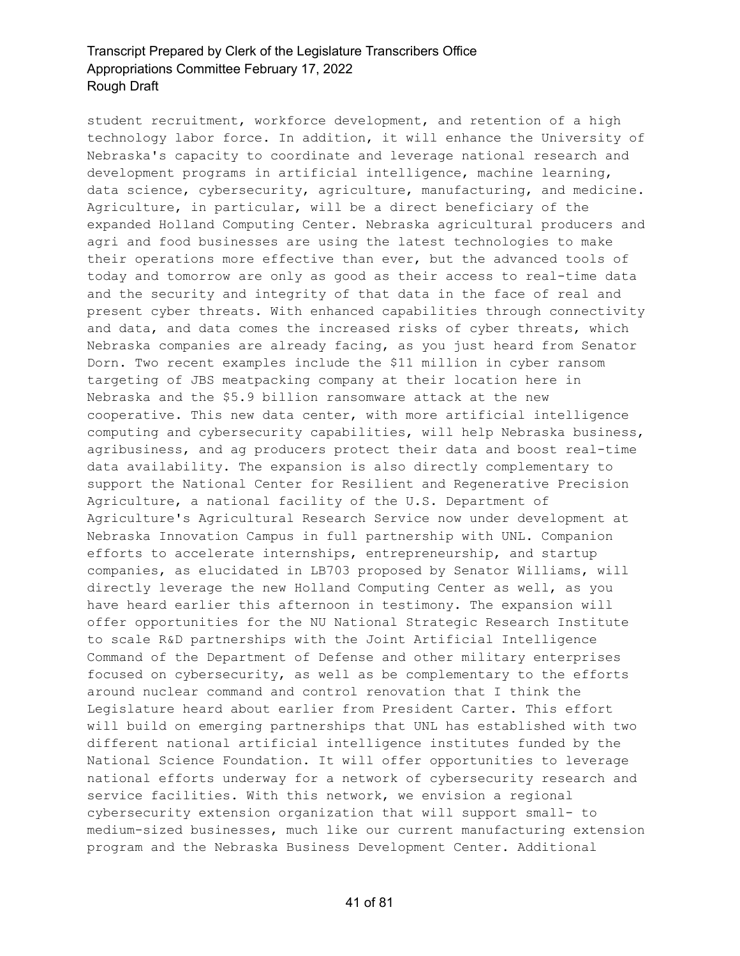student recruitment, workforce development, and retention of a high technology labor force. In addition, it will enhance the University of Nebraska's capacity to coordinate and leverage national research and development programs in artificial intelligence, machine learning, data science, cybersecurity, agriculture, manufacturing, and medicine. Agriculture, in particular, will be a direct beneficiary of the expanded Holland Computing Center. Nebraska agricultural producers and agri and food businesses are using the latest technologies to make their operations more effective than ever, but the advanced tools of today and tomorrow are only as good as their access to real-time data and the security and integrity of that data in the face of real and present cyber threats. With enhanced capabilities through connectivity and data, and data comes the increased risks of cyber threats, which Nebraska companies are already facing, as you just heard from Senator Dorn. Two recent examples include the \$11 million in cyber ransom targeting of JBS meatpacking company at their location here in Nebraska and the \$5.9 billion ransomware attack at the new cooperative. This new data center, with more artificial intelligence computing and cybersecurity capabilities, will help Nebraska business, agribusiness, and ag producers protect their data and boost real-time data availability. The expansion is also directly complementary to support the National Center for Resilient and Regenerative Precision Agriculture, a national facility of the U.S. Department of Agriculture's Agricultural Research Service now under development at Nebraska Innovation Campus in full partnership with UNL. Companion efforts to accelerate internships, entrepreneurship, and startup companies, as elucidated in LB703 proposed by Senator Williams, will directly leverage the new Holland Computing Center as well, as you have heard earlier this afternoon in testimony. The expansion will offer opportunities for the NU National Strategic Research Institute to scale R&D partnerships with the Joint Artificial Intelligence Command of the Department of Defense and other military enterprises focused on cybersecurity, as well as be complementary to the efforts around nuclear command and control renovation that I think the Legislature heard about earlier from President Carter. This effort will build on emerging partnerships that UNL has established with two different national artificial intelligence institutes funded by the National Science Foundation. It will offer opportunities to leverage national efforts underway for a network of cybersecurity research and service facilities. With this network, we envision a regional cybersecurity extension organization that will support small- to medium-sized businesses, much like our current manufacturing extension program and the Nebraska Business Development Center. Additional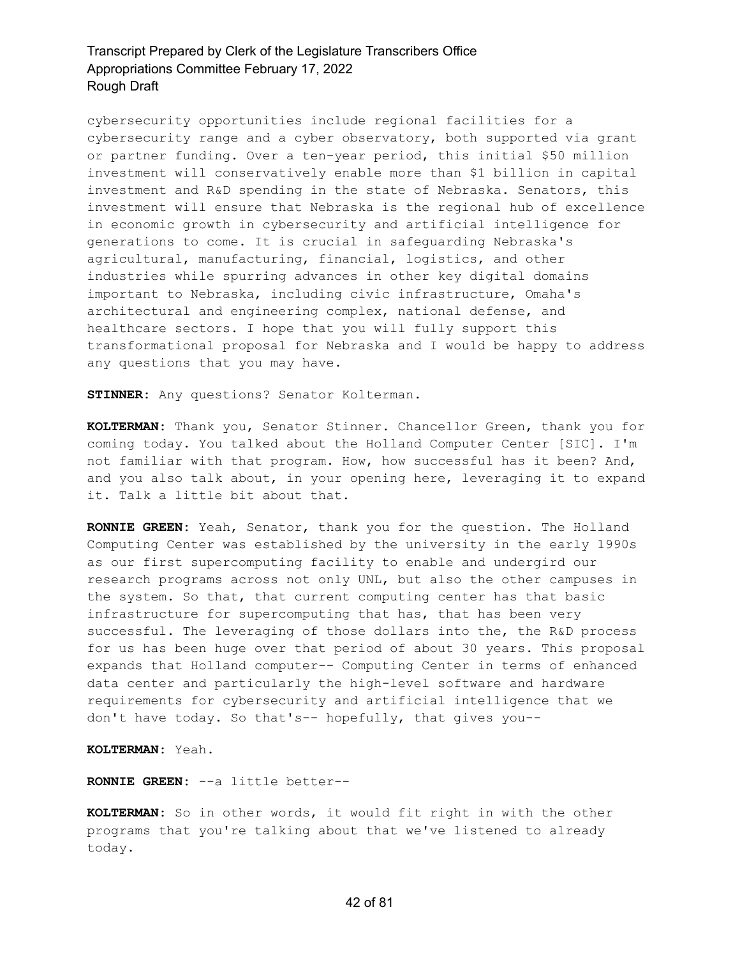cybersecurity opportunities include regional facilities for a cybersecurity range and a cyber observatory, both supported via grant or partner funding. Over a ten-year period, this initial \$50 million investment will conservatively enable more than \$1 billion in capital investment and R&D spending in the state of Nebraska. Senators, this investment will ensure that Nebraska is the regional hub of excellence in economic growth in cybersecurity and artificial intelligence for generations to come. It is crucial in safeguarding Nebraska's agricultural, manufacturing, financial, logistics, and other industries while spurring advances in other key digital domains important to Nebraska, including civic infrastructure, Omaha's architectural and engineering complex, national defense, and healthcare sectors. I hope that you will fully support this transformational proposal for Nebraska and I would be happy to address any questions that you may have.

**STINNER:** Any questions? Senator Kolterman.

**KOLTERMAN:** Thank you, Senator Stinner. Chancellor Green, thank you for coming today. You talked about the Holland Computer Center [SIC]. I'm not familiar with that program. How, how successful has it been? And, and you also talk about, in your opening here, leveraging it to expand it. Talk a little bit about that.

**RONNIE GREEN:** Yeah, Senator, thank you for the question. The Holland Computing Center was established by the university in the early 1990s as our first supercomputing facility to enable and undergird our research programs across not only UNL, but also the other campuses in the system. So that, that current computing center has that basic infrastructure for supercomputing that has, that has been very successful. The leveraging of those dollars into the, the R&D process for us has been huge over that period of about 30 years. This proposal expands that Holland computer-- Computing Center in terms of enhanced data center and particularly the high-level software and hardware requirements for cybersecurity and artificial intelligence that we don't have today. So that's-- hopefully, that gives you--

**KOLTERMAN:** Yeah.

**RONNIE GREEN:** --a little better--

**KOLTERMAN:** So in other words, it would fit right in with the other programs that you're talking about that we've listened to already today.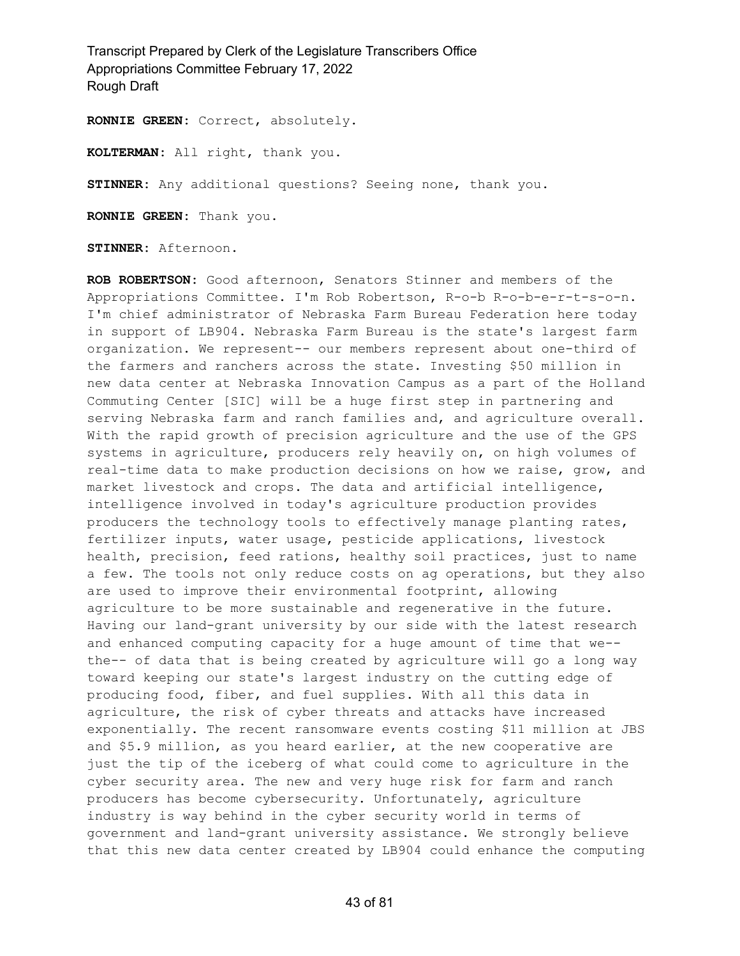**RONNIE GREEN:** Correct, absolutely.

**KOLTERMAN:** All right, thank you.

**STINNER:** Any additional questions? Seeing none, thank you.

**RONNIE GREEN:** Thank you.

**STINNER:** Afternoon.

**ROB ROBERTSON:** Good afternoon, Senators Stinner and members of the Appropriations Committee. I'm Rob Robertson, R-o-b R-o-b-e-r-t-s-o-n. I'm chief administrator of Nebraska Farm Bureau Federation here today in support of LB904. Nebraska Farm Bureau is the state's largest farm organization. We represent-- our members represent about one-third of the farmers and ranchers across the state. Investing \$50 million in new data center at Nebraska Innovation Campus as a part of the Holland Commuting Center [SIC] will be a huge first step in partnering and serving Nebraska farm and ranch families and, and agriculture overall. With the rapid growth of precision agriculture and the use of the GPS systems in agriculture, producers rely heavily on, on high volumes of real-time data to make production decisions on how we raise, grow, and market livestock and crops. The data and artificial intelligence, intelligence involved in today's agriculture production provides producers the technology tools to effectively manage planting rates, fertilizer inputs, water usage, pesticide applications, livestock health, precision, feed rations, healthy soil practices, just to name a few. The tools not only reduce costs on ag operations, but they also are used to improve their environmental footprint, allowing agriculture to be more sustainable and regenerative in the future. Having our land-grant university by our side with the latest research and enhanced computing capacity for a huge amount of time that we- the-- of data that is being created by agriculture will go a long way toward keeping our state's largest industry on the cutting edge of producing food, fiber, and fuel supplies. With all this data in agriculture, the risk of cyber threats and attacks have increased exponentially. The recent ransomware events costing \$11 million at JBS and \$5.9 million, as you heard earlier, at the new cooperative are just the tip of the iceberg of what could come to agriculture in the cyber security area. The new and very huge risk for farm and ranch producers has become cybersecurity. Unfortunately, agriculture industry is way behind in the cyber security world in terms of government and land-grant university assistance. We strongly believe that this new data center created by LB904 could enhance the computing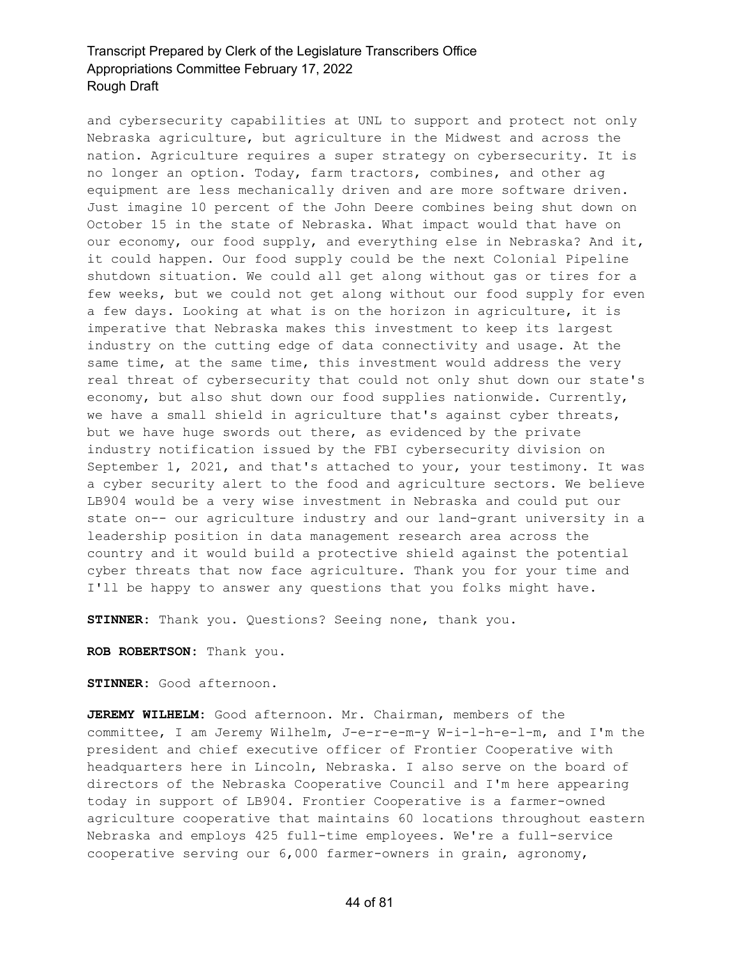and cybersecurity capabilities at UNL to support and protect not only Nebraska agriculture, but agriculture in the Midwest and across the nation. Agriculture requires a super strategy on cybersecurity. It is no longer an option. Today, farm tractors, combines, and other ag equipment are less mechanically driven and are more software driven. Just imagine 10 percent of the John Deere combines being shut down on October 15 in the state of Nebraska. What impact would that have on our economy, our food supply, and everything else in Nebraska? And it, it could happen. Our food supply could be the next Colonial Pipeline shutdown situation. We could all get along without gas or tires for a few weeks, but we could not get along without our food supply for even a few days. Looking at what is on the horizon in agriculture, it is imperative that Nebraska makes this investment to keep its largest industry on the cutting edge of data connectivity and usage. At the same time, at the same time, this investment would address the very real threat of cybersecurity that could not only shut down our state's economy, but also shut down our food supplies nationwide. Currently, we have a small shield in agriculture that's against cyber threats, but we have huge swords out there, as evidenced by the private industry notification issued by the FBI cybersecurity division on September 1, 2021, and that's attached to your, your testimony. It was a cyber security alert to the food and agriculture sectors. We believe LB904 would be a very wise investment in Nebraska and could put our state on-- our agriculture industry and our land-grant university in a leadership position in data management research area across the country and it would build a protective shield against the potential cyber threats that now face agriculture. Thank you for your time and I'll be happy to answer any questions that you folks might have.

**STINNER:** Thank you. Questions? Seeing none, thank you.

**ROB ROBERTSON:** Thank you.

**STINNER:** Good afternoon.

**JEREMY WILHELM:** Good afternoon. Mr. Chairman, members of the committee, I am Jeremy Wilhelm, J-e-r-e-m-y W-i-l-h-e-l-m, and I'm the president and chief executive officer of Frontier Cooperative with headquarters here in Lincoln, Nebraska. I also serve on the board of directors of the Nebraska Cooperative Council and I'm here appearing today in support of LB904. Frontier Cooperative is a farmer-owned agriculture cooperative that maintains 60 locations throughout eastern Nebraska and employs 425 full-time employees. We're a full-service cooperative serving our 6,000 farmer-owners in grain, agronomy,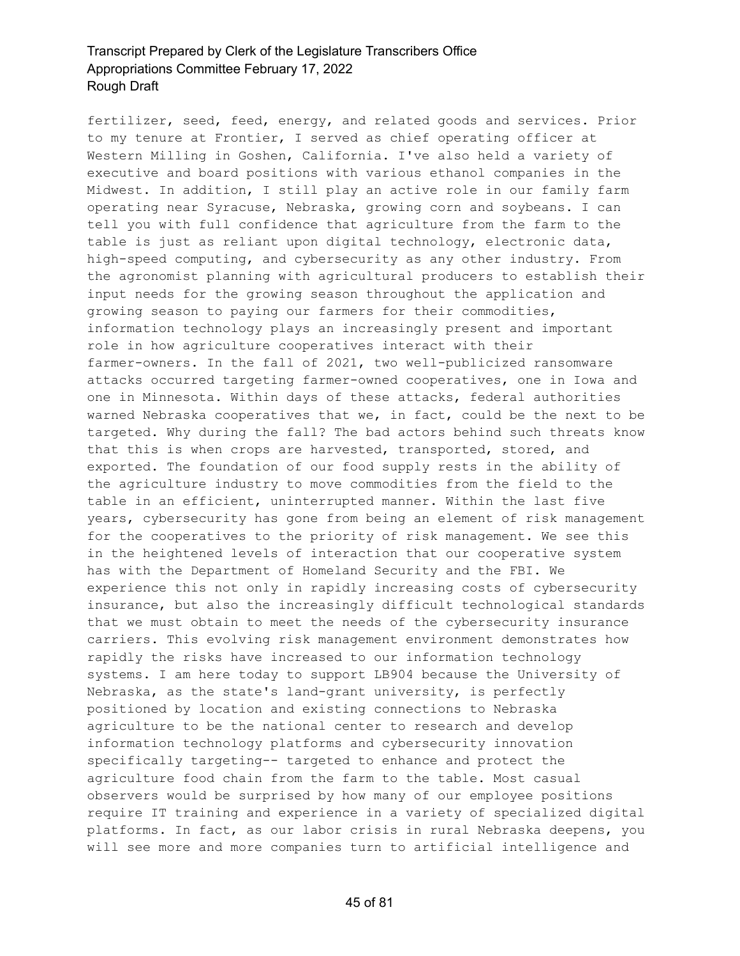fertilizer, seed, feed, energy, and related goods and services. Prior to my tenure at Frontier, I served as chief operating officer at Western Milling in Goshen, California. I've also held a variety of executive and board positions with various ethanol companies in the Midwest. In addition, I still play an active role in our family farm operating near Syracuse, Nebraska, growing corn and soybeans. I can tell you with full confidence that agriculture from the farm to the table is just as reliant upon digital technology, electronic data, high-speed computing, and cybersecurity as any other industry. From the agronomist planning with agricultural producers to establish their input needs for the growing season throughout the application and growing season to paying our farmers for their commodities, information technology plays an increasingly present and important role in how agriculture cooperatives interact with their farmer-owners. In the fall of 2021, two well-publicized ransomware attacks occurred targeting farmer-owned cooperatives, one in Iowa and one in Minnesota. Within days of these attacks, federal authorities warned Nebraska cooperatives that we, in fact, could be the next to be targeted. Why during the fall? The bad actors behind such threats know that this is when crops are harvested, transported, stored, and exported. The foundation of our food supply rests in the ability of the agriculture industry to move commodities from the field to the table in an efficient, uninterrupted manner. Within the last five years, cybersecurity has gone from being an element of risk management for the cooperatives to the priority of risk management. We see this in the heightened levels of interaction that our cooperative system has with the Department of Homeland Security and the FBI. We experience this not only in rapidly increasing costs of cybersecurity insurance, but also the increasingly difficult technological standards that we must obtain to meet the needs of the cybersecurity insurance carriers. This evolving risk management environment demonstrates how rapidly the risks have increased to our information technology systems. I am here today to support LB904 because the University of Nebraska, as the state's land-grant university, is perfectly positioned by location and existing connections to Nebraska agriculture to be the national center to research and develop information technology platforms and cybersecurity innovation specifically targeting-- targeted to enhance and protect the agriculture food chain from the farm to the table. Most casual observers would be surprised by how many of our employee positions require IT training and experience in a variety of specialized digital platforms. In fact, as our labor crisis in rural Nebraska deepens, you will see more and more companies turn to artificial intelligence and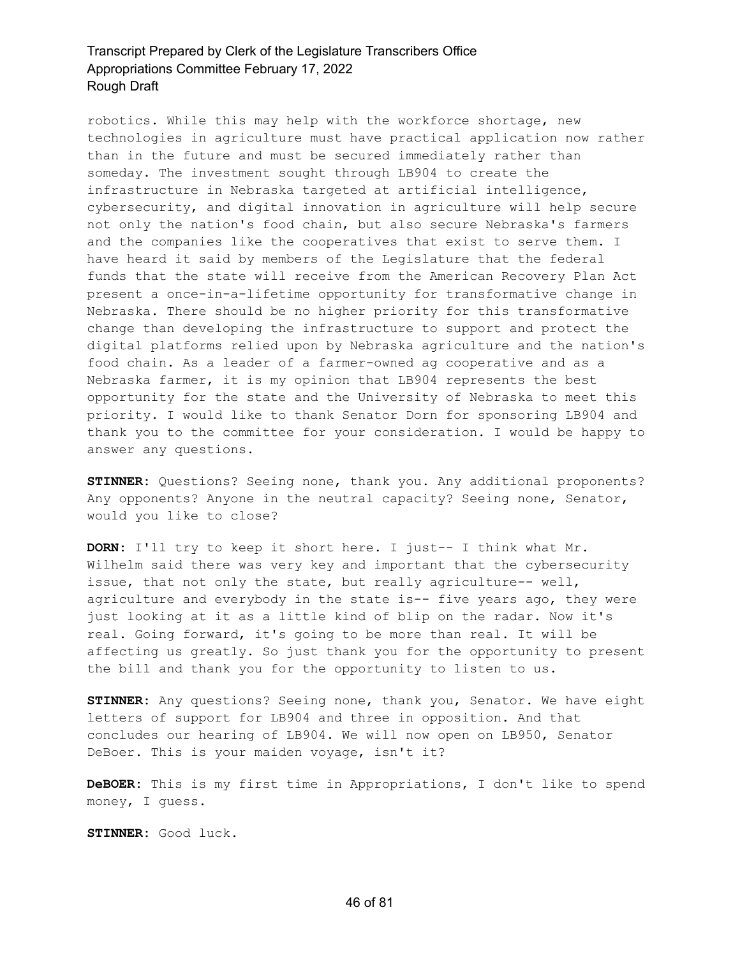robotics. While this may help with the workforce shortage, new technologies in agriculture must have practical application now rather than in the future and must be secured immediately rather than someday. The investment sought through LB904 to create the infrastructure in Nebraska targeted at artificial intelligence, cybersecurity, and digital innovation in agriculture will help secure not only the nation's food chain, but also secure Nebraska's farmers and the companies like the cooperatives that exist to serve them. I have heard it said by members of the Legislature that the federal funds that the state will receive from the American Recovery Plan Act present a once-in-a-lifetime opportunity for transformative change in Nebraska. There should be no higher priority for this transformative change than developing the infrastructure to support and protect the digital platforms relied upon by Nebraska agriculture and the nation's food chain. As a leader of a farmer-owned ag cooperative and as a Nebraska farmer, it is my opinion that LB904 represents the best opportunity for the state and the University of Nebraska to meet this priority. I would like to thank Senator Dorn for sponsoring LB904 and thank you to the committee for your consideration. I would be happy to answer any questions.

**STINNER:** Questions? Seeing none, thank you. Any additional proponents? Any opponents? Anyone in the neutral capacity? Seeing none, Senator, would you like to close?

**DORN:** I'll try to keep it short here. I just-- I think what Mr. Wilhelm said there was very key and important that the cybersecurity issue, that not only the state, but really agriculture-- well, agriculture and everybody in the state is-- five years ago, they were just looking at it as a little kind of blip on the radar. Now it's real. Going forward, it's going to be more than real. It will be affecting us greatly. So just thank you for the opportunity to present the bill and thank you for the opportunity to listen to us.

**STINNER:** Any questions? Seeing none, thank you, Senator. We have eight letters of support for LB904 and three in opposition. And that concludes our hearing of LB904. We will now open on LB950, Senator DeBoer. This is your maiden voyage, isn't it?

**DeBOER:** This is my first time in Appropriations, I don't like to spend money, I guess.

**STINNER:** Good luck.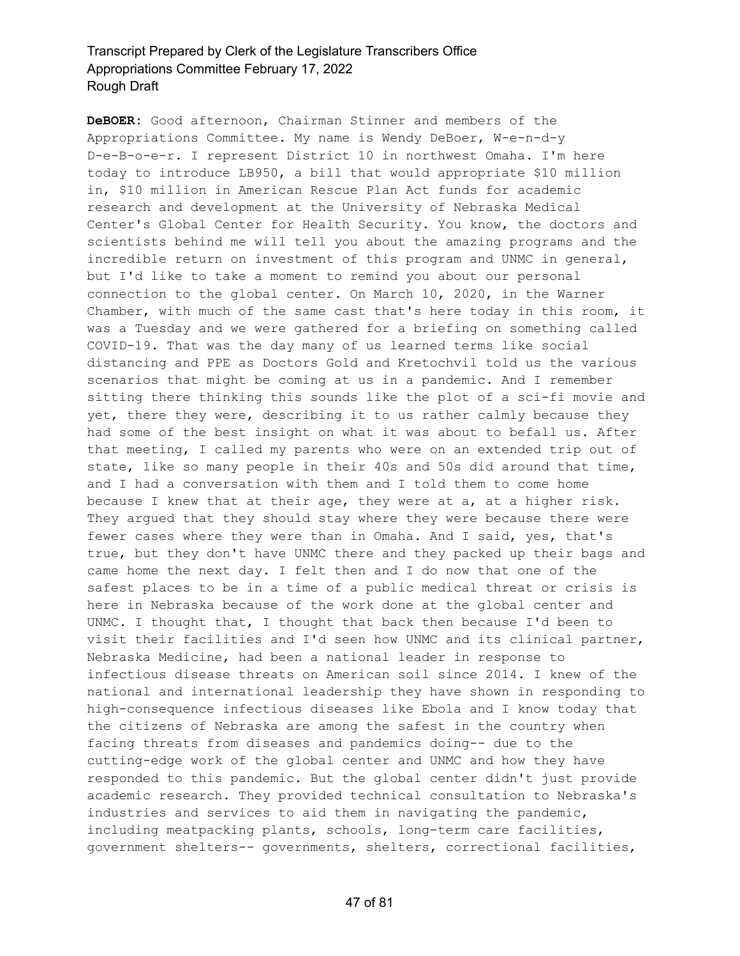**DeBOER:** Good afternoon, Chairman Stinner and members of the Appropriations Committee. My name is Wendy DeBoer, W-e-n-d-y D-e-B-o-e-r. I represent District 10 in northwest Omaha. I'm here today to introduce LB950, a bill that would appropriate \$10 million in, \$10 million in American Rescue Plan Act funds for academic research and development at the University of Nebraska Medical Center's Global Center for Health Security. You know, the doctors and scientists behind me will tell you about the amazing programs and the incredible return on investment of this program and UNMC in general, but I'd like to take a moment to remind you about our personal connection to the global center. On March 10, 2020, in the Warner Chamber, with much of the same cast that's here today in this room, it was a Tuesday and we were gathered for a briefing on something called COVID-19. That was the day many of us learned terms like social distancing and PPE as Doctors Gold and Kretochvil told us the various scenarios that might be coming at us in a pandemic. And I remember sitting there thinking this sounds like the plot of a sci-fi movie and yet, there they were, describing it to us rather calmly because they had some of the best insight on what it was about to befall us. After that meeting, I called my parents who were on an extended trip out of state, like so many people in their 40s and 50s did around that time, and I had a conversation with them and I told them to come home because I knew that at their age, they were at a, at a higher risk. They argued that they should stay where they were because there were fewer cases where they were than in Omaha. And I said, yes, that's true, but they don't have UNMC there and they packed up their bags and came home the next day. I felt then and I do now that one of the safest places to be in a time of a public medical threat or crisis is here in Nebraska because of the work done at the global center and UNMC. I thought that, I thought that back then because I'd been to visit their facilities and I'd seen how UNMC and its clinical partner, Nebraska Medicine, had been a national leader in response to infectious disease threats on American soil since 2014. I knew of the national and international leadership they have shown in responding to high-consequence infectious diseases like Ebola and I know today that the citizens of Nebraska are among the safest in the country when facing threats from diseases and pandemics doing-- due to the cutting-edge work of the global center and UNMC and how they have responded to this pandemic. But the global center didn't just provide academic research. They provided technical consultation to Nebraska's industries and services to aid them in navigating the pandemic, including meatpacking plants, schools, long-term care facilities, government shelters-- governments, shelters, correctional facilities,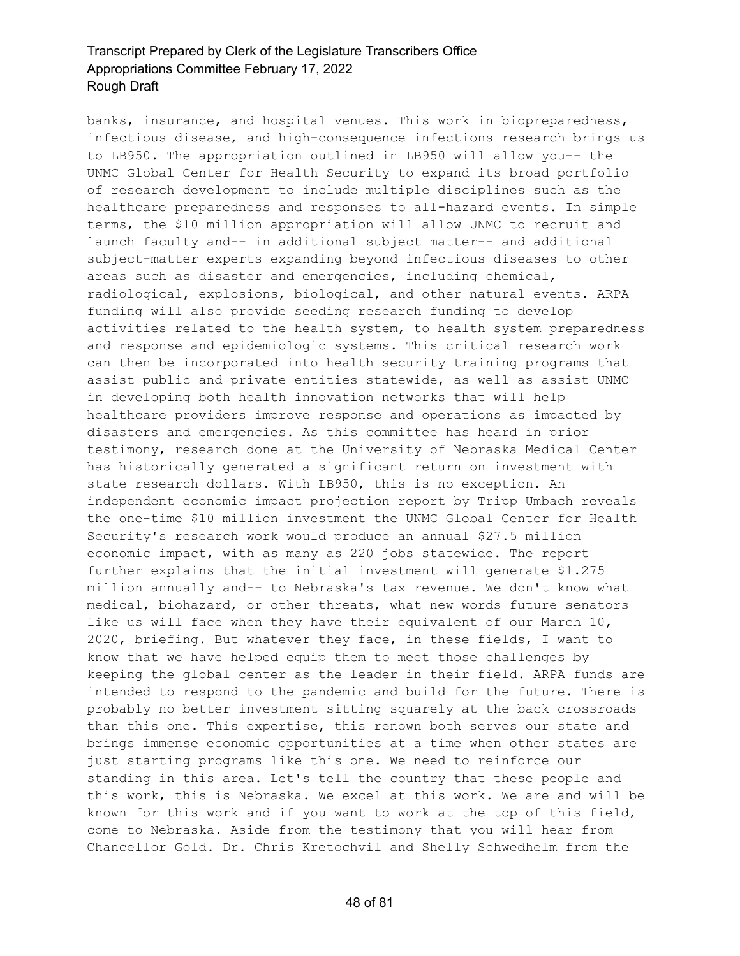banks, insurance, and hospital venues. This work in biopreparedness, infectious disease, and high-consequence infections research brings us to LB950. The appropriation outlined in LB950 will allow you-- the UNMC Global Center for Health Security to expand its broad portfolio of research development to include multiple disciplines such as the healthcare preparedness and responses to all-hazard events. In simple terms, the \$10 million appropriation will allow UNMC to recruit and launch faculty and-- in additional subject matter-- and additional subject-matter experts expanding beyond infectious diseases to other areas such as disaster and emergencies, including chemical, radiological, explosions, biological, and other natural events. ARPA funding will also provide seeding research funding to develop activities related to the health system, to health system preparedness and response and epidemiologic systems. This critical research work can then be incorporated into health security training programs that assist public and private entities statewide, as well as assist UNMC in developing both health innovation networks that will help healthcare providers improve response and operations as impacted by disasters and emergencies. As this committee has heard in prior testimony, research done at the University of Nebraska Medical Center has historically generated a significant return on investment with state research dollars. With LB950, this is no exception. An independent economic impact projection report by Tripp Umbach reveals the one-time \$10 million investment the UNMC Global Center for Health Security's research work would produce an annual \$27.5 million economic impact, with as many as 220 jobs statewide. The report further explains that the initial investment will generate \$1.275 million annually and-- to Nebraska's tax revenue. We don't know what medical, biohazard, or other threats, what new words future senators like us will face when they have their equivalent of our March 10, 2020, briefing. But whatever they face, in these fields, I want to know that we have helped equip them to meet those challenges by keeping the global center as the leader in their field. ARPA funds are intended to respond to the pandemic and build for the future. There is probably no better investment sitting squarely at the back crossroads than this one. This expertise, this renown both serves our state and brings immense economic opportunities at a time when other states are just starting programs like this one. We need to reinforce our standing in this area. Let's tell the country that these people and this work, this is Nebraska. We excel at this work. We are and will be known for this work and if you want to work at the top of this field, come to Nebraska. Aside from the testimony that you will hear from Chancellor Gold. Dr. Chris Kretochvil and Shelly Schwedhelm from the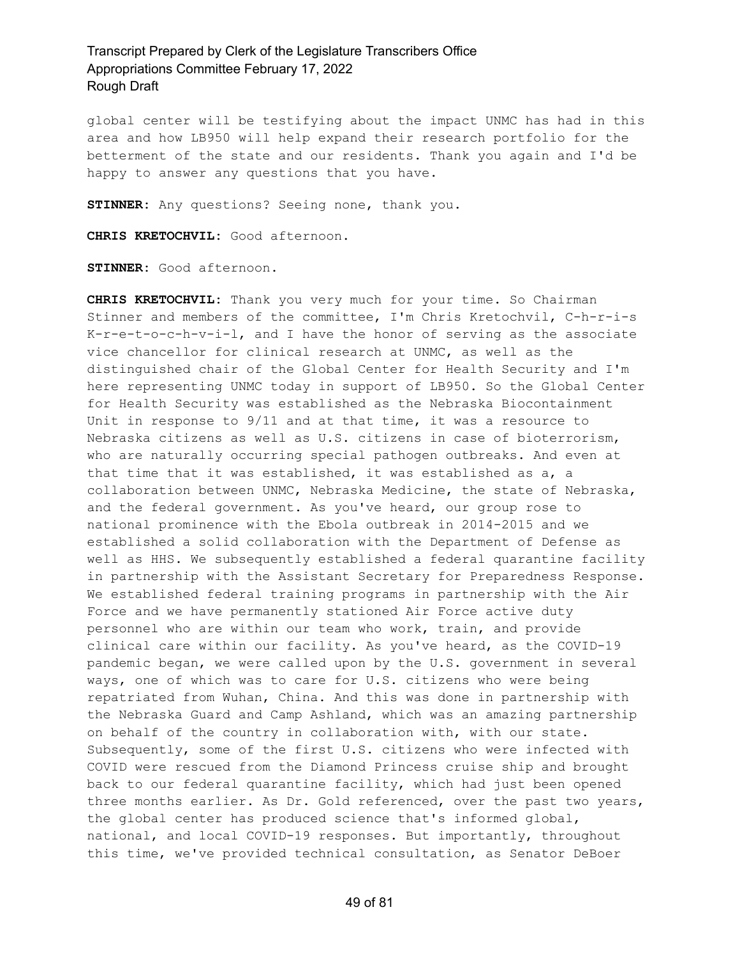global center will be testifying about the impact UNMC has had in this area and how LB950 will help expand their research portfolio for the betterment of the state and our residents. Thank you again and I'd be happy to answer any questions that you have.

**STINNER:** Any questions? Seeing none, thank you.

**CHRIS KRETOCHVIL:** Good afternoon.

**STINNER:** Good afternoon.

**CHRIS KRETOCHVIL:** Thank you very much for your time. So Chairman Stinner and members of the committee, I'm Chris Kretochvil, C-h-r-i-s K-r-e-t-o-c-h-v-i-l, and I have the honor of serving as the associate vice chancellor for clinical research at UNMC, as well as the distinguished chair of the Global Center for Health Security and I'm here representing UNMC today in support of LB950. So the Global Center for Health Security was established as the Nebraska Biocontainment Unit in response to 9/11 and at that time, it was a resource to Nebraska citizens as well as U.S. citizens in case of bioterrorism, who are naturally occurring special pathogen outbreaks. And even at that time that it was established, it was established as a, a collaboration between UNMC, Nebraska Medicine, the state of Nebraska, and the federal government. As you've heard, our group rose to national prominence with the Ebola outbreak in 2014-2015 and we established a solid collaboration with the Department of Defense as well as HHS. We subsequently established a federal quarantine facility in partnership with the Assistant Secretary for Preparedness Response. We established federal training programs in partnership with the Air Force and we have permanently stationed Air Force active duty personnel who are within our team who work, train, and provide clinical care within our facility. As you've heard, as the COVID-19 pandemic began, we were called upon by the U.S. government in several ways, one of which was to care for U.S. citizens who were being repatriated from Wuhan, China. And this was done in partnership with the Nebraska Guard and Camp Ashland, which was an amazing partnership on behalf of the country in collaboration with, with our state. Subsequently, some of the first U.S. citizens who were infected with COVID were rescued from the Diamond Princess cruise ship and brought back to our federal quarantine facility, which had just been opened three months earlier. As Dr. Gold referenced, over the past two years, the global center has produced science that's informed global, national, and local COVID-19 responses. But importantly, throughout this time, we've provided technical consultation, as Senator DeBoer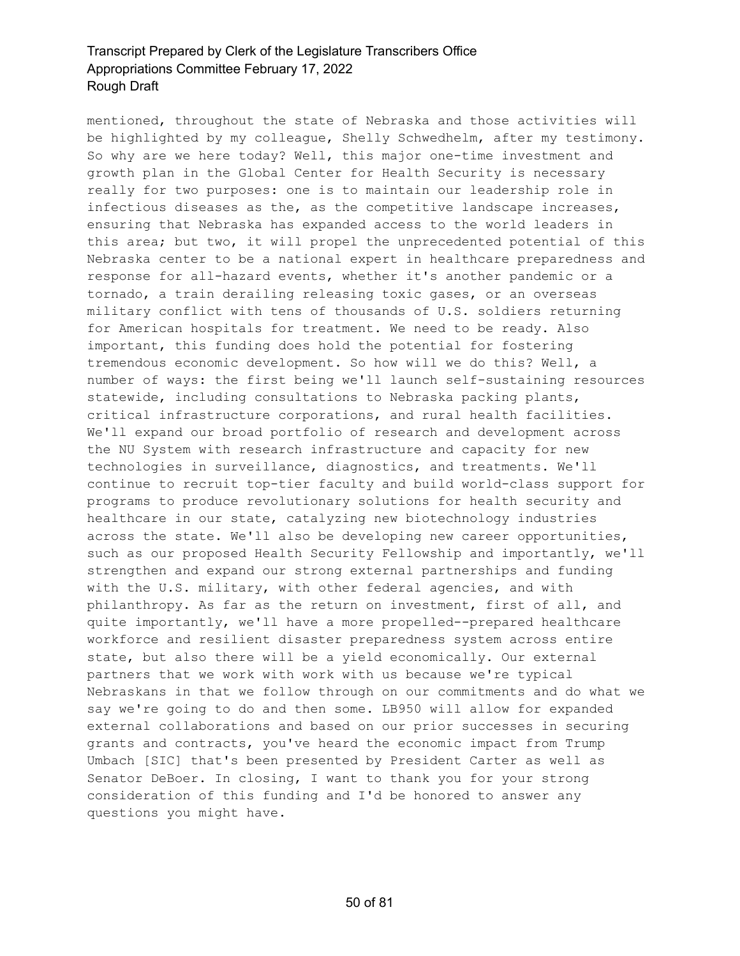mentioned, throughout the state of Nebraska and those activities will be highlighted by my colleague, Shelly Schwedhelm, after my testimony. So why are we here today? Well, this major one-time investment and growth plan in the Global Center for Health Security is necessary really for two purposes: one is to maintain our leadership role in infectious diseases as the, as the competitive landscape increases, ensuring that Nebraska has expanded access to the world leaders in this area; but two, it will propel the unprecedented potential of this Nebraska center to be a national expert in healthcare preparedness and response for all-hazard events, whether it's another pandemic or a tornado, a train derailing releasing toxic gases, or an overseas military conflict with tens of thousands of U.S. soldiers returning for American hospitals for treatment. We need to be ready. Also important, this funding does hold the potential for fostering tremendous economic development. So how will we do this? Well, a number of ways: the first being we'll launch self-sustaining resources statewide, including consultations to Nebraska packing plants, critical infrastructure corporations, and rural health facilities. We'll expand our broad portfolio of research and development across the NU System with research infrastructure and capacity for new technologies in surveillance, diagnostics, and treatments. We'll continue to recruit top-tier faculty and build world-class support for programs to produce revolutionary solutions for health security and healthcare in our state, catalyzing new biotechnology industries across the state. We'll also be developing new career opportunities, such as our proposed Health Security Fellowship and importantly, we'll strengthen and expand our strong external partnerships and funding with the U.S. military, with other federal agencies, and with philanthropy. As far as the return on investment, first of all, and quite importantly, we'll have a more propelled--prepared healthcare workforce and resilient disaster preparedness system across entire state, but also there will be a yield economically. Our external partners that we work with work with us because we're typical Nebraskans in that we follow through on our commitments and do what we say we're going to do and then some. LB950 will allow for expanded external collaborations and based on our prior successes in securing grants and contracts, you've heard the economic impact from Trump Umbach [SIC] that's been presented by President Carter as well as Senator DeBoer. In closing, I want to thank you for your strong consideration of this funding and I'd be honored to answer any questions you might have.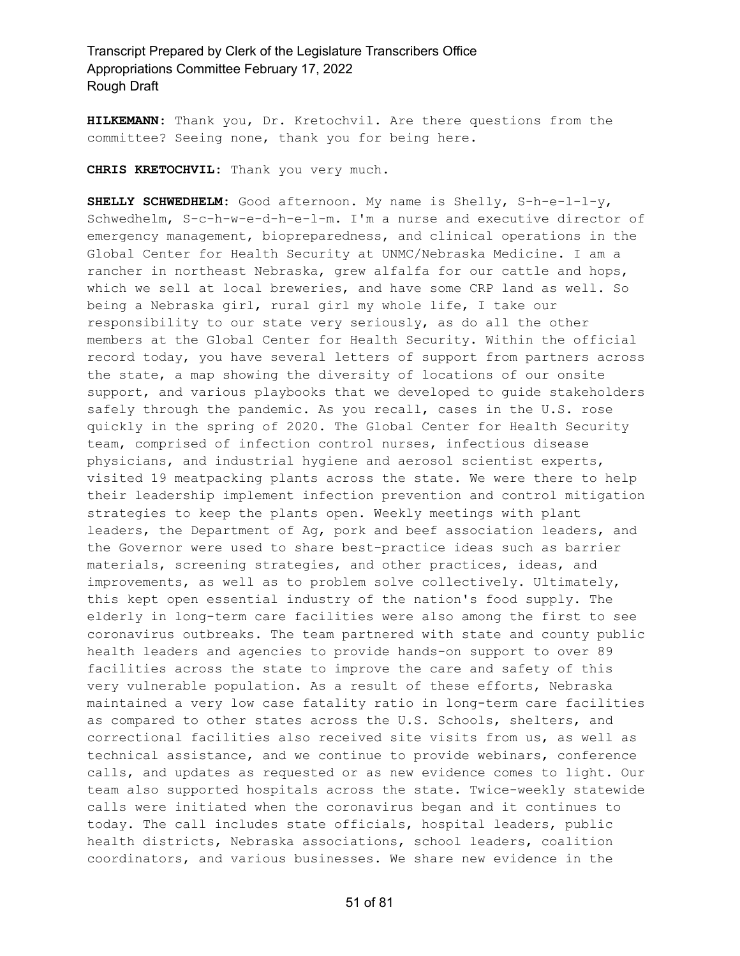**HILKEMANN:** Thank you, Dr. Kretochvil. Are there questions from the committee? Seeing none, thank you for being here.

**CHRIS KRETOCHVIL:** Thank you very much.

**SHELLY SCHWEDHELM:** Good afternoon. My name is Shelly, S-h-e-l-l-y, Schwedhelm, S-c-h-w-e-d-h-e-l-m. I'm a nurse and executive director of emergency management, biopreparedness, and clinical operations in the Global Center for Health Security at UNMC/Nebraska Medicine. I am a rancher in northeast Nebraska, grew alfalfa for our cattle and hops, which we sell at local breweries, and have some CRP land as well. So being a Nebraska girl, rural girl my whole life, I take our responsibility to our state very seriously, as do all the other members at the Global Center for Health Security. Within the official record today, you have several letters of support from partners across the state, a map showing the diversity of locations of our onsite support, and various playbooks that we developed to guide stakeholders safely through the pandemic. As you recall, cases in the U.S. rose quickly in the spring of 2020. The Global Center for Health Security team, comprised of infection control nurses, infectious disease physicians, and industrial hygiene and aerosol scientist experts, visited 19 meatpacking plants across the state. We were there to help their leadership implement infection prevention and control mitigation strategies to keep the plants open. Weekly meetings with plant leaders, the Department of Ag, pork and beef association leaders, and the Governor were used to share best-practice ideas such as barrier materials, screening strategies, and other practices, ideas, and improvements, as well as to problem solve collectively. Ultimately, this kept open essential industry of the nation's food supply. The elderly in long-term care facilities were also among the first to see coronavirus outbreaks. The team partnered with state and county public health leaders and agencies to provide hands-on support to over 89 facilities across the state to improve the care and safety of this very vulnerable population. As a result of these efforts, Nebraska maintained a very low case fatality ratio in long-term care facilities as compared to other states across the U.S. Schools, shelters, and correctional facilities also received site visits from us, as well as technical assistance, and we continue to provide webinars, conference calls, and updates as requested or as new evidence comes to light. Our team also supported hospitals across the state. Twice-weekly statewide calls were initiated when the coronavirus began and it continues to today. The call includes state officials, hospital leaders, public health districts, Nebraska associations, school leaders, coalition coordinators, and various businesses. We share new evidence in the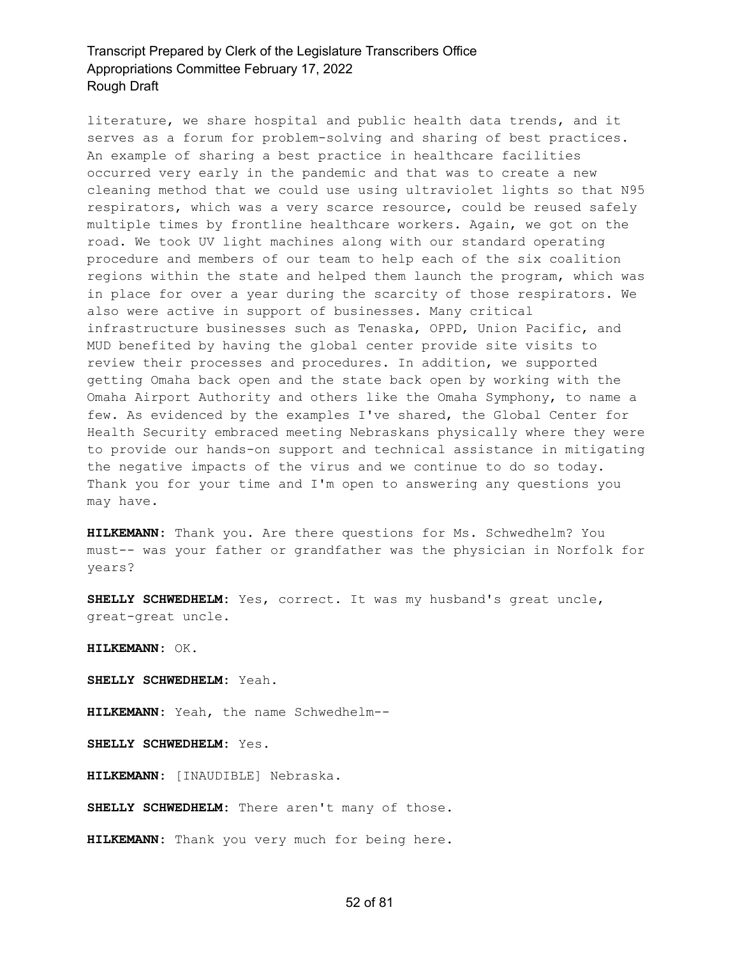literature, we share hospital and public health data trends, and it serves as a forum for problem-solving and sharing of best practices. An example of sharing a best practice in healthcare facilities occurred very early in the pandemic and that was to create a new cleaning method that we could use using ultraviolet lights so that N95 respirators, which was a very scarce resource, could be reused safely multiple times by frontline healthcare workers. Again, we got on the road. We took UV light machines along with our standard operating procedure and members of our team to help each of the six coalition regions within the state and helped them launch the program, which was in place for over a year during the scarcity of those respirators. We also were active in support of businesses. Many critical infrastructure businesses such as Tenaska, OPPD, Union Pacific, and MUD benefited by having the global center provide site visits to review their processes and procedures. In addition, we supported getting Omaha back open and the state back open by working with the Omaha Airport Authority and others like the Omaha Symphony, to name a few. As evidenced by the examples I've shared, the Global Center for Health Security embraced meeting Nebraskans physically where they were to provide our hands-on support and technical assistance in mitigating the negative impacts of the virus and we continue to do so today. Thank you for your time and I'm open to answering any questions you may have.

**HILKEMANN:** Thank you. Are there questions for Ms. Schwedhelm? You must-- was your father or grandfather was the physician in Norfolk for years?

**SHELLY SCHWEDHELM:** Yes, correct. It was my husband's great uncle, great-great uncle.

**HILKEMANN:** OK.

**SHELLY SCHWEDHELM:** Yeah.

**HILKEMANN:** Yeah, the name Schwedhelm--

**SHELLY SCHWEDHELM:** Yes.

**HILKEMANN:** [INAUDIBLE] Nebraska.

**SHELLY SCHWEDHELM:** There aren't many of those.

**HILKEMANN:** Thank you very much for being here.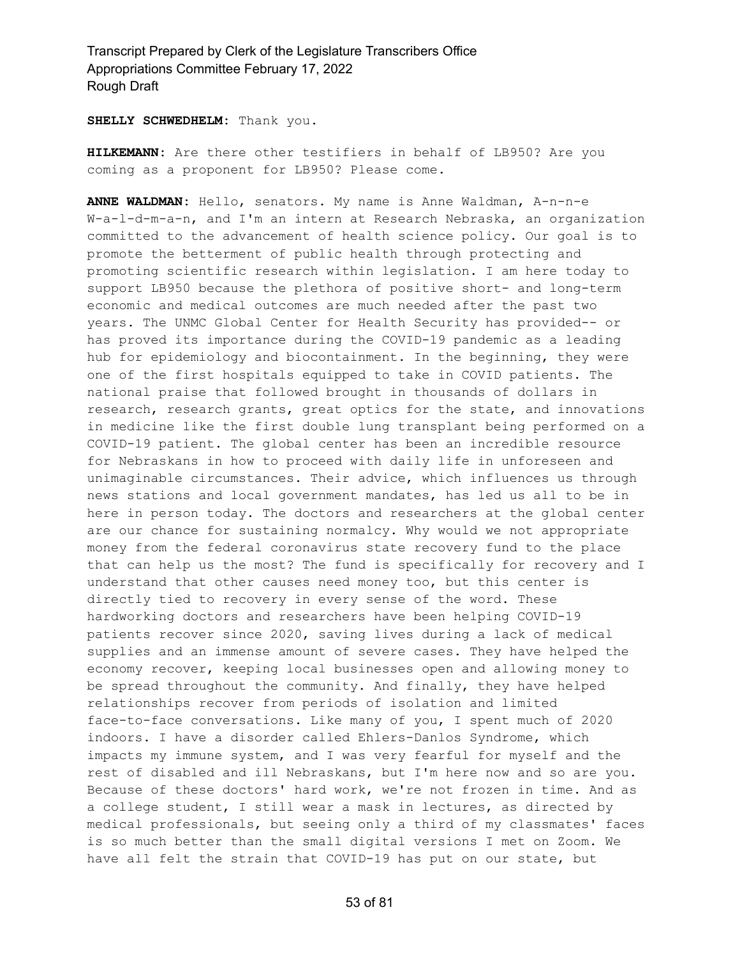**SHELLY SCHWEDHELM:** Thank you.

**HILKEMANN:** Are there other testifiers in behalf of LB950? Are you coming as a proponent for LB950? Please come.

**ANNE WALDMAN:** Hello, senators. My name is Anne Waldman, A-n-n-e W-a-l-d-m-a-n, and I'm an intern at Research Nebraska, an organization committed to the advancement of health science policy. Our goal is to promote the betterment of public health through protecting and promoting scientific research within legislation. I am here today to support LB950 because the plethora of positive short- and long-term economic and medical outcomes are much needed after the past two years. The UNMC Global Center for Health Security has provided-- or has proved its importance during the COVID-19 pandemic as a leading hub for epidemiology and biocontainment. In the beginning, they were one of the first hospitals equipped to take in COVID patients. The national praise that followed brought in thousands of dollars in research, research grants, great optics for the state, and innovations in medicine like the first double lung transplant being performed on a COVID-19 patient. The global center has been an incredible resource for Nebraskans in how to proceed with daily life in unforeseen and unimaginable circumstances. Their advice, which influences us through news stations and local government mandates, has led us all to be in here in person today. The doctors and researchers at the global center are our chance for sustaining normalcy. Why would we not appropriate money from the federal coronavirus state recovery fund to the place that can help us the most? The fund is specifically for recovery and I understand that other causes need money too, but this center is directly tied to recovery in every sense of the word. These hardworking doctors and researchers have been helping COVID-19 patients recover since 2020, saving lives during a lack of medical supplies and an immense amount of severe cases. They have helped the economy recover, keeping local businesses open and allowing money to be spread throughout the community. And finally, they have helped relationships recover from periods of isolation and limited face-to-face conversations. Like many of you, I spent much of 2020 indoors. I have a disorder called Ehlers-Danlos Syndrome, which impacts my immune system, and I was very fearful for myself and the rest of disabled and ill Nebraskans, but I'm here now and so are you. Because of these doctors' hard work, we're not frozen in time. And as a college student, I still wear a mask in lectures, as directed by medical professionals, but seeing only a third of my classmates' faces is so much better than the small digital versions I met on Zoom. We have all felt the strain that COVID-19 has put on our state, but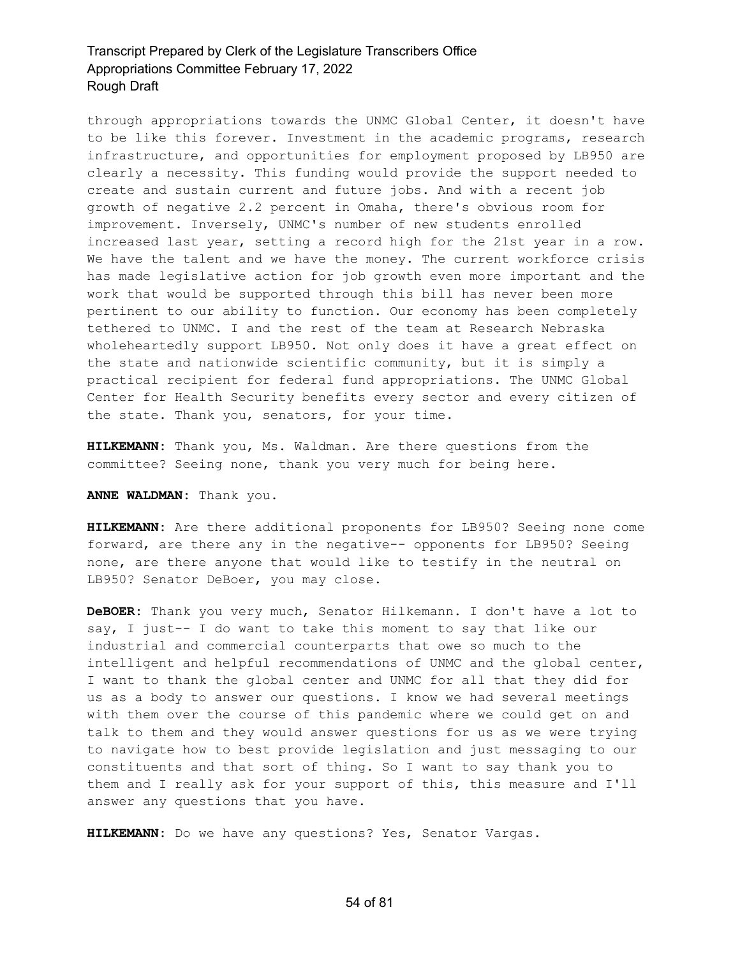through appropriations towards the UNMC Global Center, it doesn't have to be like this forever. Investment in the academic programs, research infrastructure, and opportunities for employment proposed by LB950 are clearly a necessity. This funding would provide the support needed to create and sustain current and future jobs. And with a recent job growth of negative 2.2 percent in Omaha, there's obvious room for improvement. Inversely, UNMC's number of new students enrolled increased last year, setting a record high for the 21st year in a row. We have the talent and we have the money. The current workforce crisis has made legislative action for job growth even more important and the work that would be supported through this bill has never been more pertinent to our ability to function. Our economy has been completely tethered to UNMC. I and the rest of the team at Research Nebraska wholeheartedly support LB950. Not only does it have a great effect on the state and nationwide scientific community, but it is simply a practical recipient for federal fund appropriations. The UNMC Global Center for Health Security benefits every sector and every citizen of the state. Thank you, senators, for your time.

**HILKEMANN:** Thank you, Ms. Waldman. Are there questions from the committee? Seeing none, thank you very much for being here.

#### **ANNE WALDMAN:** Thank you.

**HILKEMANN:** Are there additional proponents for LB950? Seeing none come forward, are there any in the negative-- opponents for LB950? Seeing none, are there anyone that would like to testify in the neutral on LB950? Senator DeBoer, you may close.

**DeBOER:** Thank you very much, Senator Hilkemann. I don't have a lot to say, I just-- I do want to take this moment to say that like our industrial and commercial counterparts that owe so much to the intelligent and helpful recommendations of UNMC and the global center, I want to thank the global center and UNMC for all that they did for us as a body to answer our questions. I know we had several meetings with them over the course of this pandemic where we could get on and talk to them and they would answer questions for us as we were trying to navigate how to best provide legislation and just messaging to our constituents and that sort of thing. So I want to say thank you to them and I really ask for your support of this, this measure and I'll answer any questions that you have.

**HILKEMANN:** Do we have any questions? Yes, Senator Vargas.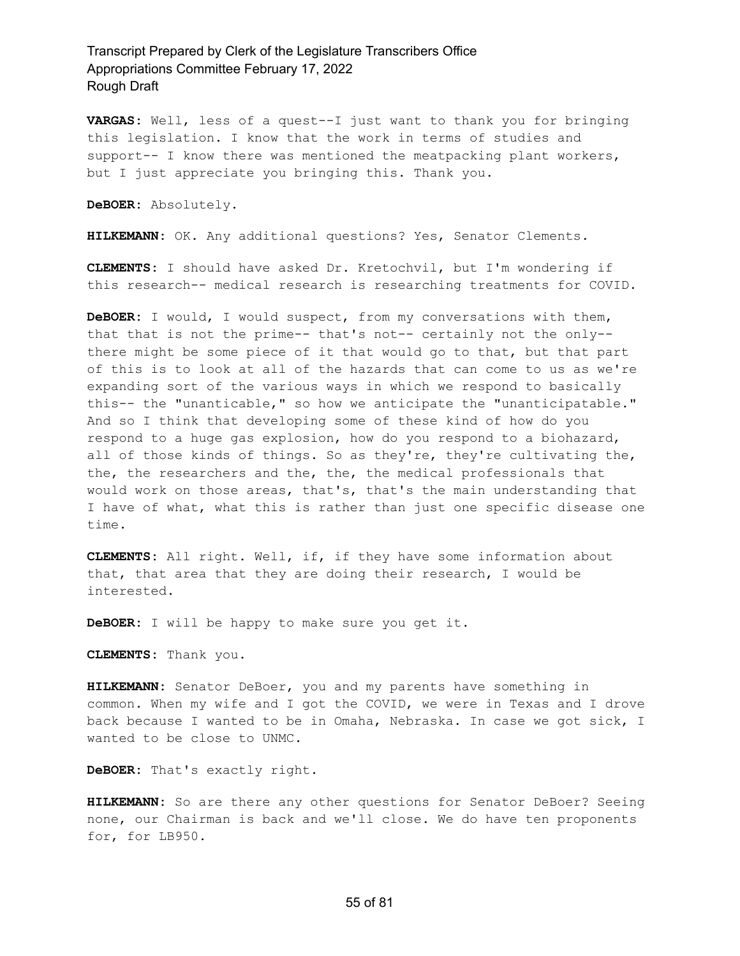**VARGAS:** Well, less of a quest--I just want to thank you for bringing this legislation. I know that the work in terms of studies and support-- I know there was mentioned the meatpacking plant workers, but I just appreciate you bringing this. Thank you.

**DeBOER:** Absolutely.

**HILKEMANN:** OK. Any additional questions? Yes, Senator Clements.

**CLEMENTS:** I should have asked Dr. Kretochvil, but I'm wondering if this research-- medical research is researching treatments for COVID.

**DeBOER:** I would, I would suspect, from my conversations with them, that that is not the prime-- that's not-- certainly not the only- there might be some piece of it that would go to that, but that part of this is to look at all of the hazards that can come to us as we're expanding sort of the various ways in which we respond to basically this-- the "unanticable," so how we anticipate the "unanticipatable." And so I think that developing some of these kind of how do you respond to a huge gas explosion, how do you respond to a biohazard, all of those kinds of things. So as they're, they're cultivating the, the, the researchers and the, the, the medical professionals that would work on those areas, that's, that's the main understanding that I have of what, what this is rather than just one specific disease one time.

**CLEMENTS:** All right. Well, if, if they have some information about that, that area that they are doing their research, I would be interested.

**DeBOER:** I will be happy to make sure you get it.

**CLEMENTS:** Thank you.

**HILKEMANN:** Senator DeBoer, you and my parents have something in common. When my wife and I got the COVID, we were in Texas and I drove back because I wanted to be in Omaha, Nebraska. In case we got sick, I wanted to be close to UNMC.

**DeBOER:** That's exactly right.

**HILKEMANN:** So are there any other questions for Senator DeBoer? Seeing none, our Chairman is back and we'll close. We do have ten proponents for, for LB950.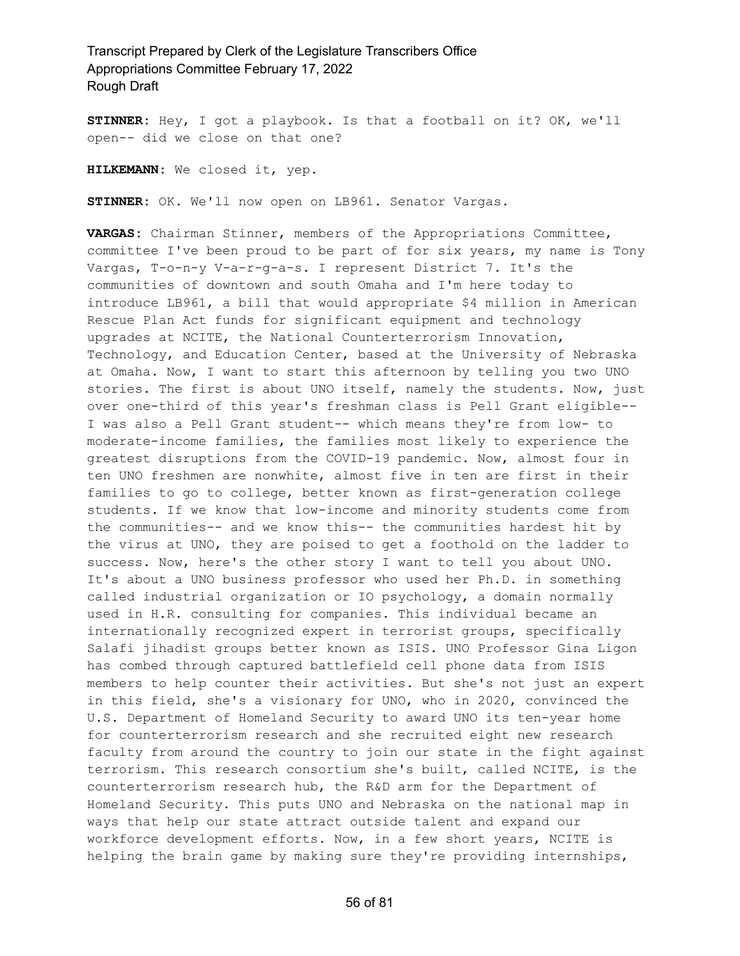**STINNER:** Hey, I got a playbook. Is that a football on it? OK, we'll open-- did we close on that one?

**HILKEMANN:** We closed it, yep.

**STINNER:** OK. We'll now open on LB961. Senator Vargas.

**VARGAS:** Chairman Stinner, members of the Appropriations Committee, committee I've been proud to be part of for six years, my name is Tony Vargas, T-o-n-y V-a-r-g-a-s. I represent District 7. It's the communities of downtown and south Omaha and I'm here today to introduce LB961, a bill that would appropriate \$4 million in American Rescue Plan Act funds for significant equipment and technology upgrades at NCITE, the National Counterterrorism Innovation, Technology, and Education Center, based at the University of Nebraska at Omaha. Now, I want to start this afternoon by telling you two UNO stories. The first is about UNO itself, namely the students. Now, just over one-third of this year's freshman class is Pell Grant eligible-- I was also a Pell Grant student-- which means they're from low- to moderate-income families, the families most likely to experience the greatest disruptions from the COVID-19 pandemic. Now, almost four in ten UNO freshmen are nonwhite, almost five in ten are first in their families to go to college, better known as first-generation college students. If we know that low-income and minority students come from the communities-- and we know this-- the communities hardest hit by the virus at UNO, they are poised to get a foothold on the ladder to success. Now, here's the other story I want to tell you about UNO. It's about a UNO business professor who used her Ph.D. in something called industrial organization or IO psychology, a domain normally used in H.R. consulting for companies. This individual became an internationally recognized expert in terrorist groups, specifically Salafi jihadist groups better known as ISIS. UNO Professor Gina Ligon has combed through captured battlefield cell phone data from ISIS members to help counter their activities. But she's not just an expert in this field, she's a visionary for UNO, who in 2020, convinced the U.S. Department of Homeland Security to award UNO its ten-year home for counterterrorism research and she recruited eight new research faculty from around the country to join our state in the fight against terrorism. This research consortium she's built, called NCITE, is the counterterrorism research hub, the R&D arm for the Department of Homeland Security. This puts UNO and Nebraska on the national map in ways that help our state attract outside talent and expand our workforce development efforts. Now, in a few short years, NCITE is helping the brain game by making sure they're providing internships,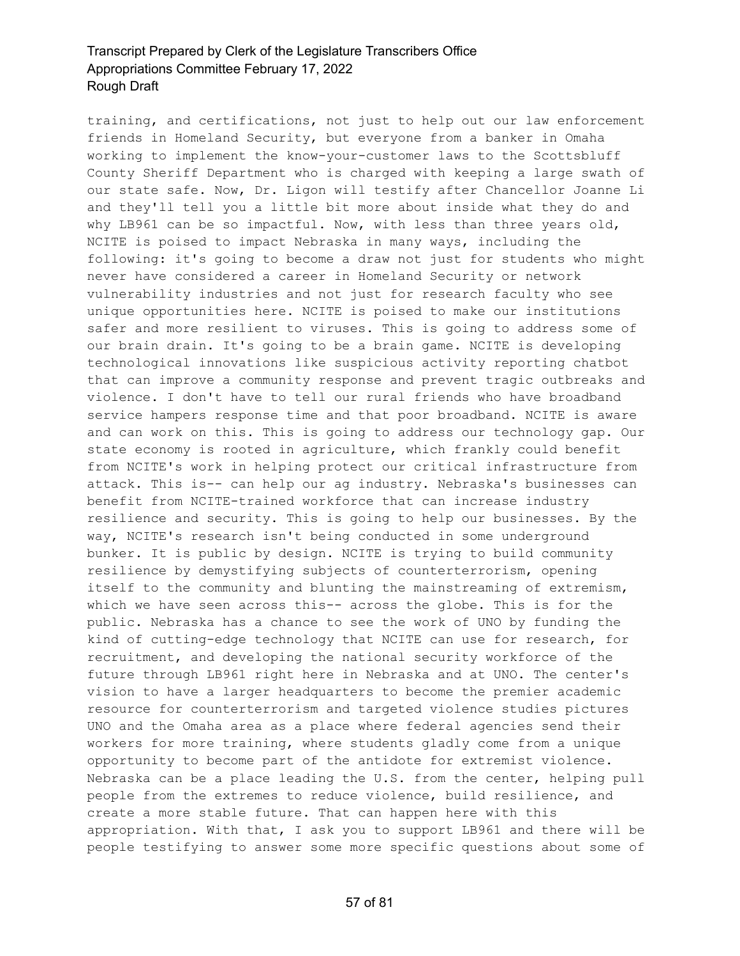training, and certifications, not just to help out our law enforcement friends in Homeland Security, but everyone from a banker in Omaha working to implement the know-your-customer laws to the Scottsbluff County Sheriff Department who is charged with keeping a large swath of our state safe. Now, Dr. Ligon will testify after Chancellor Joanne Li and they'll tell you a little bit more about inside what they do and why LB961 can be so impactful. Now, with less than three years old, NCITE is poised to impact Nebraska in many ways, including the following: it's going to become a draw not just for students who might never have considered a career in Homeland Security or network vulnerability industries and not just for research faculty who see unique opportunities here. NCITE is poised to make our institutions safer and more resilient to viruses. This is going to address some of our brain drain. It's going to be a brain game. NCITE is developing technological innovations like suspicious activity reporting chatbot that can improve a community response and prevent tragic outbreaks and violence. I don't have to tell our rural friends who have broadband service hampers response time and that poor broadband. NCITE is aware and can work on this. This is going to address our technology gap. Our state economy is rooted in agriculture, which frankly could benefit from NCITE's work in helping protect our critical infrastructure from attack. This is-- can help our ag industry. Nebraska's businesses can benefit from NCITE-trained workforce that can increase industry resilience and security. This is going to help our businesses. By the way, NCITE's research isn't being conducted in some underground bunker. It is public by design. NCITE is trying to build community resilience by demystifying subjects of counterterrorism, opening itself to the community and blunting the mainstreaming of extremism, which we have seen across this-- across the globe. This is for the public. Nebraska has a chance to see the work of UNO by funding the kind of cutting-edge technology that NCITE can use for research, for recruitment, and developing the national security workforce of the future through LB961 right here in Nebraska and at UNO. The center's vision to have a larger headquarters to become the premier academic resource for counterterrorism and targeted violence studies pictures UNO and the Omaha area as a place where federal agencies send their workers for more training, where students gladly come from a unique opportunity to become part of the antidote for extremist violence. Nebraska can be a place leading the U.S. from the center, helping pull people from the extremes to reduce violence, build resilience, and create a more stable future. That can happen here with this appropriation. With that, I ask you to support LB961 and there will be people testifying to answer some more specific questions about some of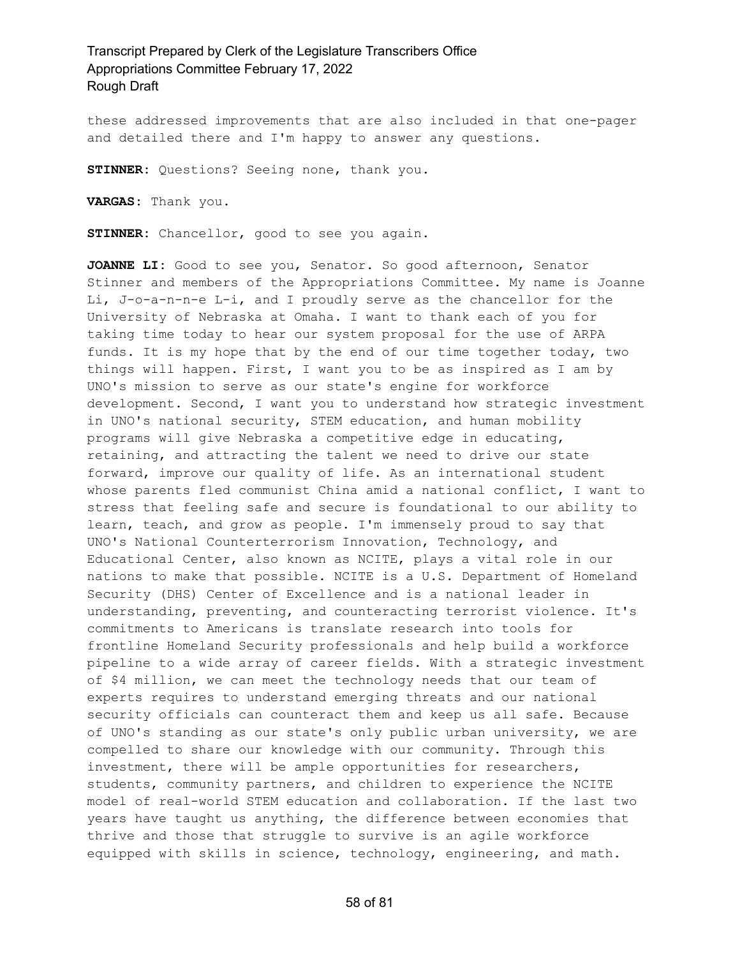these addressed improvements that are also included in that one-pager and detailed there and I'm happy to answer any questions.

**STINNER:** Questions? Seeing none, thank you.

**VARGAS:** Thank you.

**STINNER:** Chancellor, good to see you again.

**JOANNE LI:** Good to see you, Senator. So good afternoon, Senator Stinner and members of the Appropriations Committee. My name is Joanne Li, J-o-a-n-n-e L-i, and I proudly serve as the chancellor for the University of Nebraska at Omaha. I want to thank each of you for taking time today to hear our system proposal for the use of ARPA funds. It is my hope that by the end of our time together today, two things will happen. First, I want you to be as inspired as I am by UNO's mission to serve as our state's engine for workforce development. Second, I want you to understand how strategic investment in UNO's national security, STEM education, and human mobility programs will give Nebraska a competitive edge in educating, retaining, and attracting the talent we need to drive our state forward, improve our quality of life. As an international student whose parents fled communist China amid a national conflict, I want to stress that feeling safe and secure is foundational to our ability to learn, teach, and grow as people. I'm immensely proud to say that UNO's National Counterterrorism Innovation, Technology, and Educational Center, also known as NCITE, plays a vital role in our nations to make that possible. NCITE is a U.S. Department of Homeland Security (DHS) Center of Excellence and is a national leader in understanding, preventing, and counteracting terrorist violence. It's commitments to Americans is translate research into tools for frontline Homeland Security professionals and help build a workforce pipeline to a wide array of career fields. With a strategic investment of \$4 million, we can meet the technology needs that our team of experts requires to understand emerging threats and our national security officials can counteract them and keep us all safe. Because of UNO's standing as our state's only public urban university, we are compelled to share our knowledge with our community. Through this investment, there will be ample opportunities for researchers, students, community partners, and children to experience the NCITE model of real-world STEM education and collaboration. If the last two years have taught us anything, the difference between economies that thrive and those that struggle to survive is an agile workforce equipped with skills in science, technology, engineering, and math.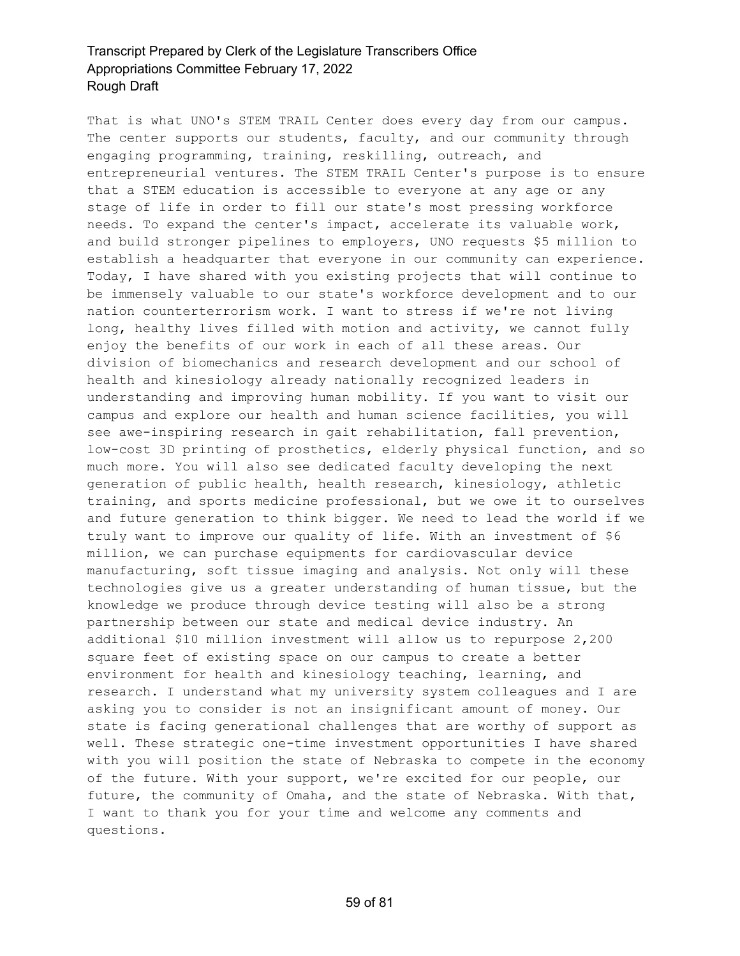That is what UNO's STEM TRAIL Center does every day from our campus. The center supports our students, faculty, and our community through engaging programming, training, reskilling, outreach, and entrepreneurial ventures. The STEM TRAIL Center's purpose is to ensure that a STEM education is accessible to everyone at any age or any stage of life in order to fill our state's most pressing workforce needs. To expand the center's impact, accelerate its valuable work, and build stronger pipelines to employers, UNO requests \$5 million to establish a headquarter that everyone in our community can experience. Today, I have shared with you existing projects that will continue to be immensely valuable to our state's workforce development and to our nation counterterrorism work. I want to stress if we're not living long, healthy lives filled with motion and activity, we cannot fully enjoy the benefits of our work in each of all these areas. Our division of biomechanics and research development and our school of health and kinesiology already nationally recognized leaders in understanding and improving human mobility. If you want to visit our campus and explore our health and human science facilities, you will see awe-inspiring research in gait rehabilitation, fall prevention, low-cost 3D printing of prosthetics, elderly physical function, and so much more. You will also see dedicated faculty developing the next generation of public health, health research, kinesiology, athletic training, and sports medicine professional, but we owe it to ourselves and future generation to think bigger. We need to lead the world if we truly want to improve our quality of life. With an investment of \$6 million, we can purchase equipments for cardiovascular device manufacturing, soft tissue imaging and analysis. Not only will these technologies give us a greater understanding of human tissue, but the knowledge we produce through device testing will also be a strong partnership between our state and medical device industry. An additional \$10 million investment will allow us to repurpose 2,200 square feet of existing space on our campus to create a better environment for health and kinesiology teaching, learning, and research. I understand what my university system colleagues and I are asking you to consider is not an insignificant amount of money. Our state is facing generational challenges that are worthy of support as well. These strategic one-time investment opportunities I have shared with you will position the state of Nebraska to compete in the economy of the future. With your support, we're excited for our people, our future, the community of Omaha, and the state of Nebraska. With that, I want to thank you for your time and welcome any comments and questions.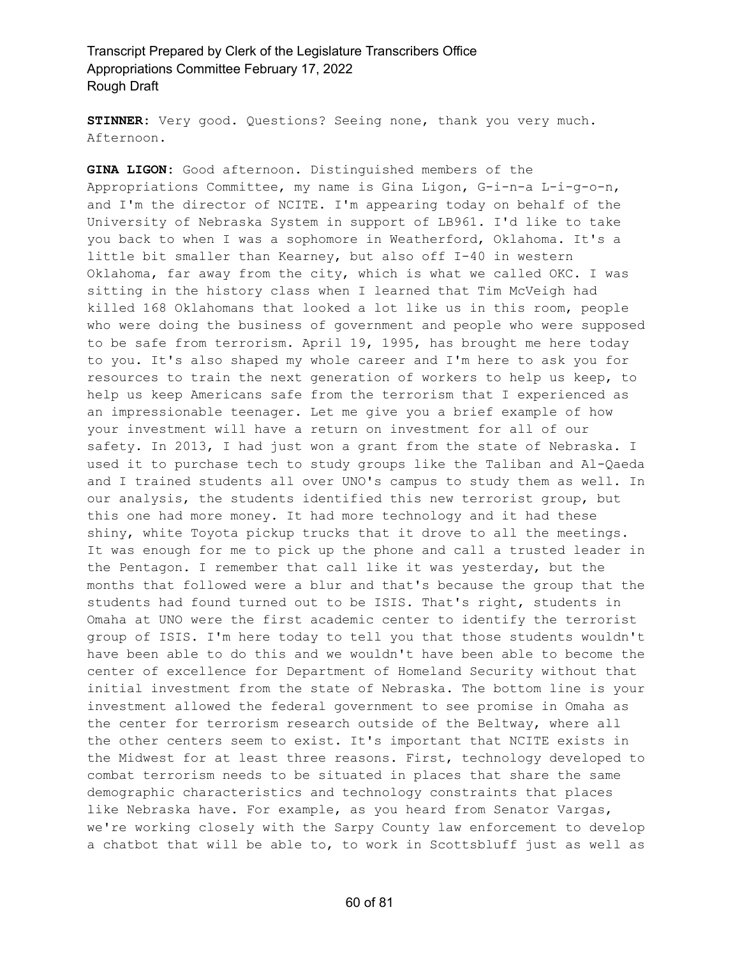**STINNER:** Very good. Questions? Seeing none, thank you very much. Afternoon.

**GINA LIGON:** Good afternoon. Distinguished members of the Appropriations Committee, my name is Gina Ligon, G-i-n-a L-i-g-o-n, and I'm the director of NCITE. I'm appearing today on behalf of the University of Nebraska System in support of LB961. I'd like to take you back to when I was a sophomore in Weatherford, Oklahoma. It's a little bit smaller than Kearney, but also off I-40 in western Oklahoma, far away from the city, which is what we called OKC. I was sitting in the history class when I learned that Tim McVeigh had killed 168 Oklahomans that looked a lot like us in this room, people who were doing the business of government and people who were supposed to be safe from terrorism. April 19, 1995, has brought me here today to you. It's also shaped my whole career and I'm here to ask you for resources to train the next generation of workers to help us keep, to help us keep Americans safe from the terrorism that I experienced as an impressionable teenager. Let me give you a brief example of how your investment will have a return on investment for all of our safety. In 2013, I had just won a grant from the state of Nebraska. I used it to purchase tech to study groups like the Taliban and Al-Qaeda and I trained students all over UNO's campus to study them as well. In our analysis, the students identified this new terrorist group, but this one had more money. It had more technology and it had these shiny, white Toyota pickup trucks that it drove to all the meetings. It was enough for me to pick up the phone and call a trusted leader in the Pentagon. I remember that call like it was yesterday, but the months that followed were a blur and that's because the group that the students had found turned out to be ISIS. That's right, students in Omaha at UNO were the first academic center to identify the terrorist group of ISIS. I'm here today to tell you that those students wouldn't have been able to do this and we wouldn't have been able to become the center of excellence for Department of Homeland Security without that initial investment from the state of Nebraska. The bottom line is your investment allowed the federal government to see promise in Omaha as the center for terrorism research outside of the Beltway, where all the other centers seem to exist. It's important that NCITE exists in the Midwest for at least three reasons. First, technology developed to combat terrorism needs to be situated in places that share the same demographic characteristics and technology constraints that places like Nebraska have. For example, as you heard from Senator Vargas, we're working closely with the Sarpy County law enforcement to develop a chatbot that will be able to, to work in Scottsbluff just as well as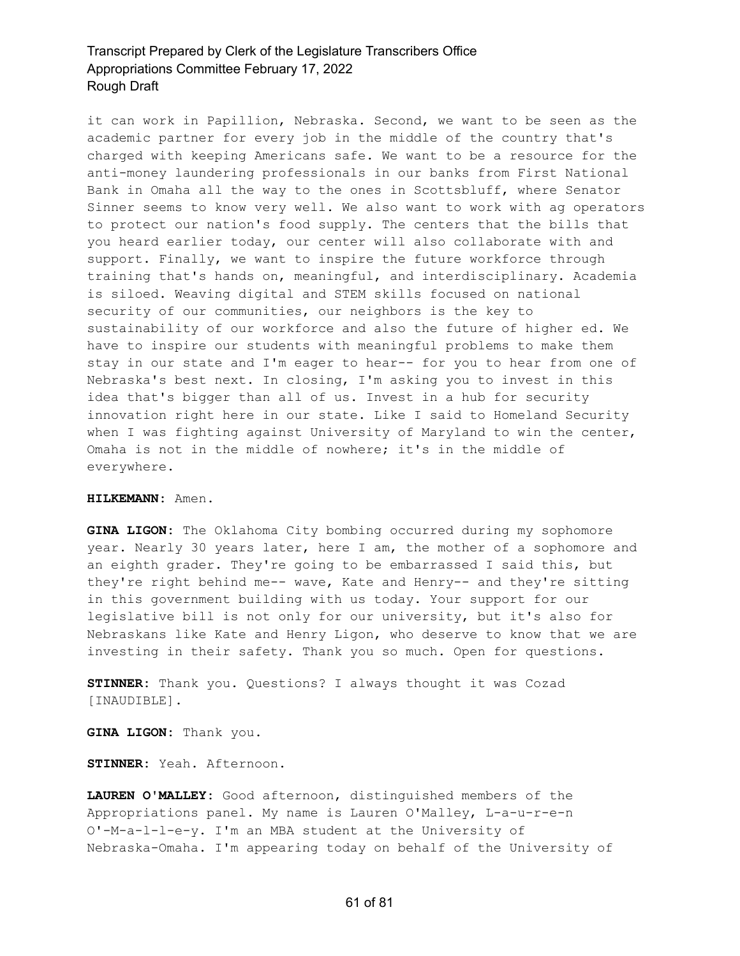it can work in Papillion, Nebraska. Second, we want to be seen as the academic partner for every job in the middle of the country that's charged with keeping Americans safe. We want to be a resource for the anti-money laundering professionals in our banks from First National Bank in Omaha all the way to the ones in Scottsbluff, where Senator Sinner seems to know very well. We also want to work with ag operators to protect our nation's food supply. The centers that the bills that you heard earlier today, our center will also collaborate with and support. Finally, we want to inspire the future workforce through training that's hands on, meaningful, and interdisciplinary. Academia is siloed. Weaving digital and STEM skills focused on national security of our communities, our neighbors is the key to sustainability of our workforce and also the future of higher ed. We have to inspire our students with meaningful problems to make them stay in our state and I'm eager to hear-- for you to hear from one of Nebraska's best next. In closing, I'm asking you to invest in this idea that's bigger than all of us. Invest in a hub for security innovation right here in our state. Like I said to Homeland Security when I was fighting against University of Maryland to win the center, Omaha is not in the middle of nowhere; it's in the middle of everywhere.

#### **HILKEMANN:** Amen.

**GINA LIGON:** The Oklahoma City bombing occurred during my sophomore year. Nearly 30 years later, here I am, the mother of a sophomore and an eighth grader. They're going to be embarrassed I said this, but they're right behind me-- wave, Kate and Henry-- and they're sitting in this government building with us today. Your support for our legislative bill is not only for our university, but it's also for Nebraskans like Kate and Henry Ligon, who deserve to know that we are investing in their safety. Thank you so much. Open for questions.

**STINNER:** Thank you. Questions? I always thought it was Cozad [INAUDIBLE].

**GINA LIGON:** Thank you.

**STINNER:** Yeah. Afternoon.

**LAUREN O'MALLEY:** Good afternoon, distinguished members of the Appropriations panel. My name is Lauren O'Malley, L-a-u-r-e-n O'-M-a-l-l-e-y. I'm an MBA student at the University of Nebraska-Omaha. I'm appearing today on behalf of the University of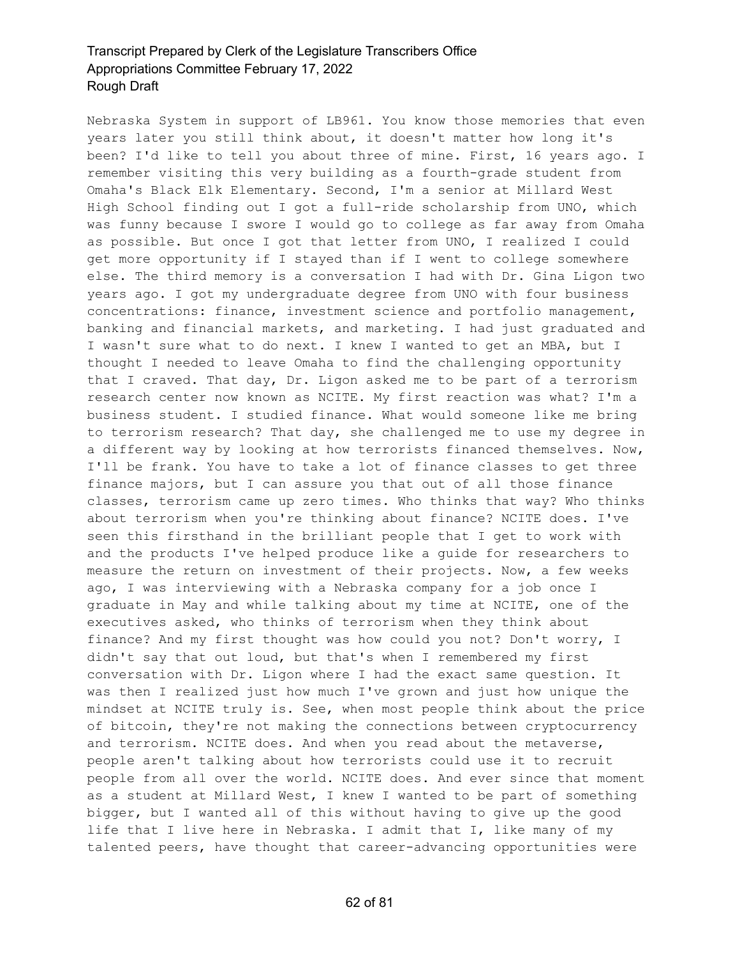Nebraska System in support of LB961. You know those memories that even years later you still think about, it doesn't matter how long it's been? I'd like to tell you about three of mine. First, 16 years ago. I remember visiting this very building as a fourth-grade student from Omaha's Black Elk Elementary. Second, I'm a senior at Millard West High School finding out I got a full-ride scholarship from UNO, which was funny because I swore I would go to college as far away from Omaha as possible. But once I got that letter from UNO, I realized I could get more opportunity if I stayed than if I went to college somewhere else. The third memory is a conversation I had with Dr. Gina Ligon two years ago. I got my undergraduate degree from UNO with four business concentrations: finance, investment science and portfolio management, banking and financial markets, and marketing. I had just graduated and I wasn't sure what to do next. I knew I wanted to get an MBA, but I thought I needed to leave Omaha to find the challenging opportunity that I craved. That day, Dr. Ligon asked me to be part of a terrorism research center now known as NCITE. My first reaction was what? I'm a business student. I studied finance. What would someone like me bring to terrorism research? That day, she challenged me to use my degree in a different way by looking at how terrorists financed themselves. Now, I'll be frank. You have to take a lot of finance classes to get three finance majors, but I can assure you that out of all those finance classes, terrorism came up zero times. Who thinks that way? Who thinks about terrorism when you're thinking about finance? NCITE does. I've seen this firsthand in the brilliant people that I get to work with and the products I've helped produce like a guide for researchers to measure the return on investment of their projects. Now, a few weeks ago, I was interviewing with a Nebraska company for a job once I graduate in May and while talking about my time at NCITE, one of the executives asked, who thinks of terrorism when they think about finance? And my first thought was how could you not? Don't worry, I didn't say that out loud, but that's when I remembered my first conversation with Dr. Ligon where I had the exact same question. It was then I realized just how much I've grown and just how unique the mindset at NCITE truly is. See, when most people think about the price of bitcoin, they're not making the connections between cryptocurrency and terrorism. NCITE does. And when you read about the metaverse, people aren't talking about how terrorists could use it to recruit people from all over the world. NCITE does. And ever since that moment as a student at Millard West, I knew I wanted to be part of something bigger, but I wanted all of this without having to give up the good life that I live here in Nebraska. I admit that I, like many of my talented peers, have thought that career-advancing opportunities were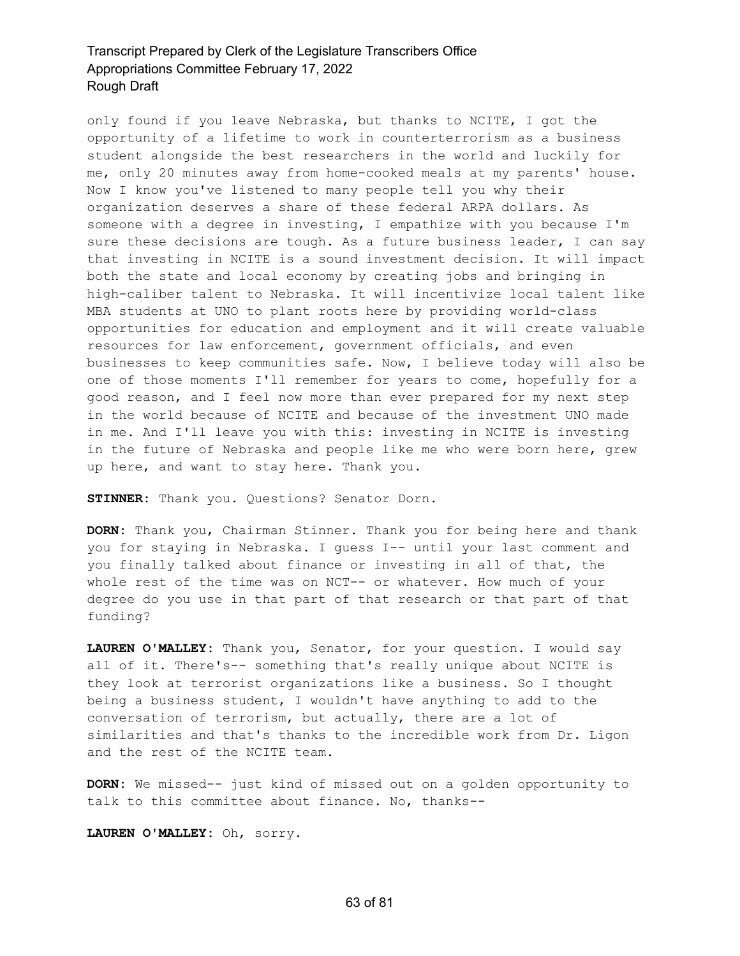only found if you leave Nebraska, but thanks to NCITE, I got the opportunity of a lifetime to work in counterterrorism as a business student alongside the best researchers in the world and luckily for me, only 20 minutes away from home-cooked meals at my parents' house. Now I know you've listened to many people tell you why their organization deserves a share of these federal ARPA dollars. As someone with a degree in investing, I empathize with you because I'm sure these decisions are tough. As a future business leader, I can say that investing in NCITE is a sound investment decision. It will impact both the state and local economy by creating jobs and bringing in high-caliber talent to Nebraska. It will incentivize local talent like MBA students at UNO to plant roots here by providing world-class opportunities for education and employment and it will create valuable resources for law enforcement, government officials, and even businesses to keep communities safe. Now, I believe today will also be one of those moments I'll remember for years to come, hopefully for a good reason, and I feel now more than ever prepared for my next step in the world because of NCITE and because of the investment UNO made in me. And I'll leave you with this: investing in NCITE is investing in the future of Nebraska and people like me who were born here, grew up here, and want to stay here. Thank you.

**STINNER:** Thank you. Questions? Senator Dorn.

**DORN:** Thank you, Chairman Stinner. Thank you for being here and thank you for staying in Nebraska. I guess I-- until your last comment and you finally talked about finance or investing in all of that, the whole rest of the time was on NCT-- or whatever. How much of your degree do you use in that part of that research or that part of that funding?

**LAUREN O'MALLEY:** Thank you, Senator, for your question. I would say all of it. There's-- something that's really unique about NCITE is they look at terrorist organizations like a business. So I thought being a business student, I wouldn't have anything to add to the conversation of terrorism, but actually, there are a lot of similarities and that's thanks to the incredible work from Dr. Ligon and the rest of the NCITE team.

**DORN:** We missed-- just kind of missed out on a golden opportunity to talk to this committee about finance. No, thanks--

**LAUREN O'MALLEY:** Oh, sorry.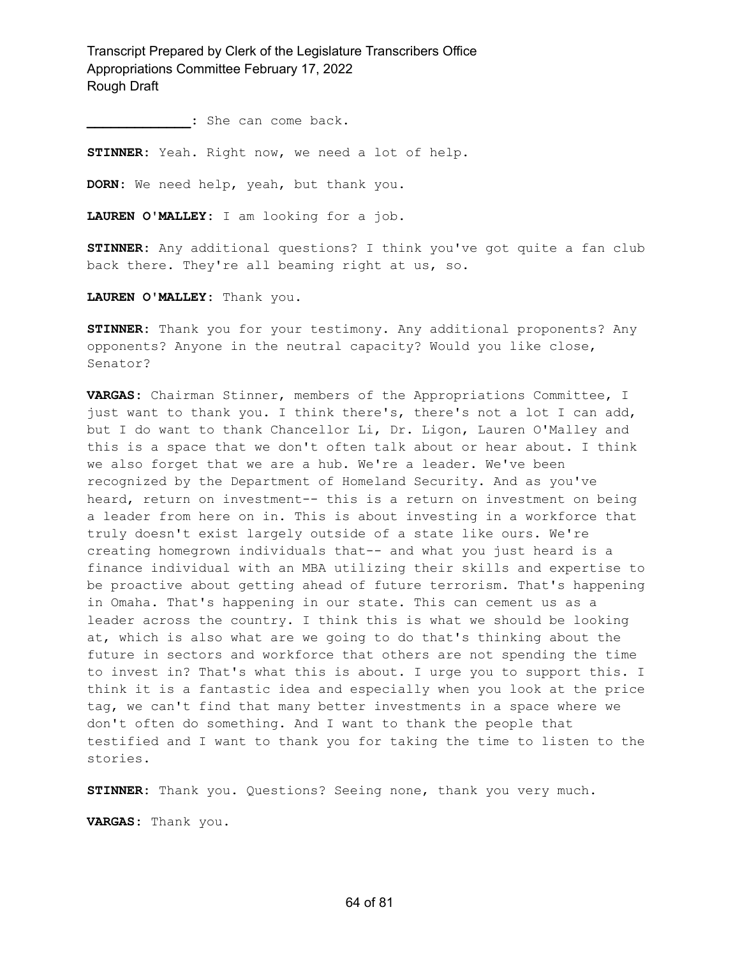**\_\_\_\_\_\_\_\_\_\_\_\_\_:** She can come back.

**STINNER:** Yeah. Right now, we need a lot of help.

**DORN:** We need help, yeah, but thank you.

**LAUREN O'MALLEY:** I am looking for a job.

**STINNER:** Any additional questions? I think you've got quite a fan club back there. They're all beaming right at us, so.

**LAUREN O'MALLEY:** Thank you.

**STINNER:** Thank you for your testimony. Any additional proponents? Any opponents? Anyone in the neutral capacity? Would you like close, Senator?

**VARGAS:** Chairman Stinner, members of the Appropriations Committee, I just want to thank you. I think there's, there's not a lot I can add, but I do want to thank Chancellor Li, Dr. Ligon, Lauren O'Malley and this is a space that we don't often talk about or hear about. I think we also forget that we are a hub. We're a leader. We've been recognized by the Department of Homeland Security. And as you've heard, return on investment-- this is a return on investment on being a leader from here on in. This is about investing in a workforce that truly doesn't exist largely outside of a state like ours. We're creating homegrown individuals that-- and what you just heard is a finance individual with an MBA utilizing their skills and expertise to be proactive about getting ahead of future terrorism. That's happening in Omaha. That's happening in our state. This can cement us as a leader across the country. I think this is what we should be looking at, which is also what are we going to do that's thinking about the future in sectors and workforce that others are not spending the time to invest in? That's what this is about. I urge you to support this. I think it is a fantastic idea and especially when you look at the price tag, we can't find that many better investments in a space where we don't often do something. And I want to thank the people that testified and I want to thank you for taking the time to listen to the stories.

**STINNER:** Thank you. Questions? Seeing none, thank you very much.

**VARGAS:** Thank you.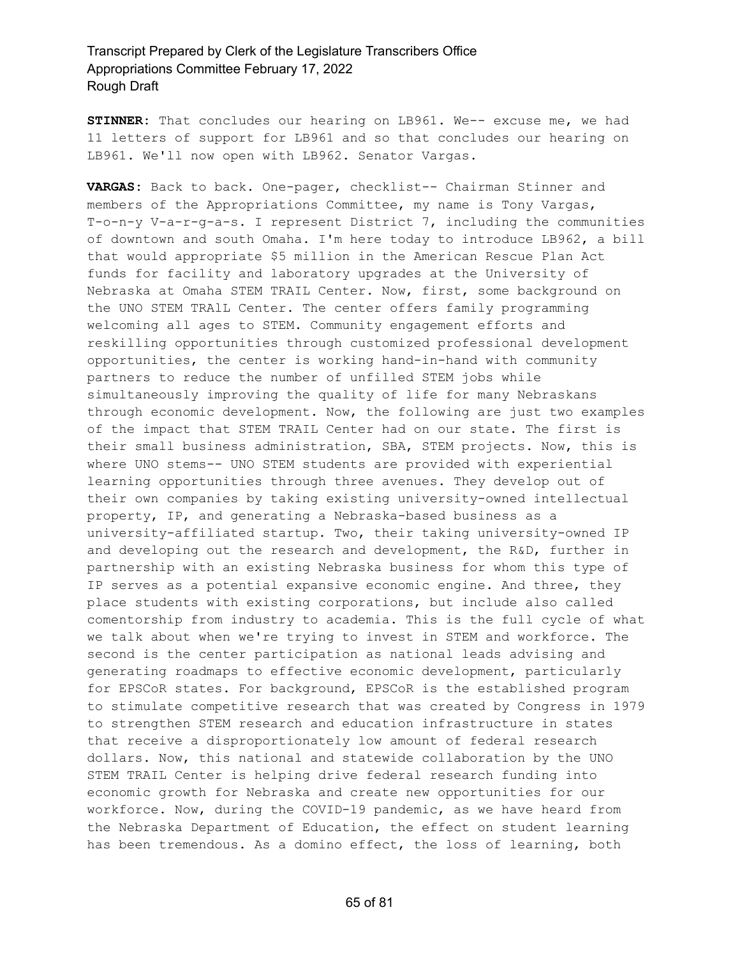**STINNER:** That concludes our hearing on LB961. We-- excuse me, we had 11 letters of support for LB961 and so that concludes our hearing on LB961. We'll now open with LB962. Senator Vargas.

**VARGAS:** Back to back. One-pager, checklist-- Chairman Stinner and members of the Appropriations Committee, my name is Tony Vargas, T-o-n-y V-a-r-g-a-s. I represent District 7, including the communities of downtown and south Omaha. I'm here today to introduce LB962, a bill that would appropriate \$5 million in the American Rescue Plan Act funds for facility and laboratory upgrades at the University of Nebraska at Omaha STEM TRAIL Center. Now, first, some background on the UNO STEM TRAlL Center. The center offers family programming welcoming all ages to STEM. Community engagement efforts and reskilling opportunities through customized professional development opportunities, the center is working hand-in-hand with community partners to reduce the number of unfilled STEM jobs while simultaneously improving the quality of life for many Nebraskans through economic development. Now, the following are just two examples of the impact that STEM TRAIL Center had on our state. The first is their small business administration, SBA, STEM projects. Now, this is where UNO stems-- UNO STEM students are provided with experiential learning opportunities through three avenues. They develop out of their own companies by taking existing university-owned intellectual property, IP, and generating a Nebraska-based business as a university-affiliated startup. Two, their taking university-owned IP and developing out the research and development, the R&D, further in partnership with an existing Nebraska business for whom this type of IP serves as a potential expansive economic engine. And three, they place students with existing corporations, but include also called comentorship from industry to academia. This is the full cycle of what we talk about when we're trying to invest in STEM and workforce. The second is the center participation as national leads advising and generating roadmaps to effective economic development, particularly for EPSCoR states. For background, EPSCoR is the established program to stimulate competitive research that was created by Congress in 1979 to strengthen STEM research and education infrastructure in states that receive a disproportionately low amount of federal research dollars. Now, this national and statewide collaboration by the UNO STEM TRAIL Center is helping drive federal research funding into economic growth for Nebraska and create new opportunities for our workforce. Now, during the COVID-19 pandemic, as we have heard from the Nebraska Department of Education, the effect on student learning has been tremendous. As a domino effect, the loss of learning, both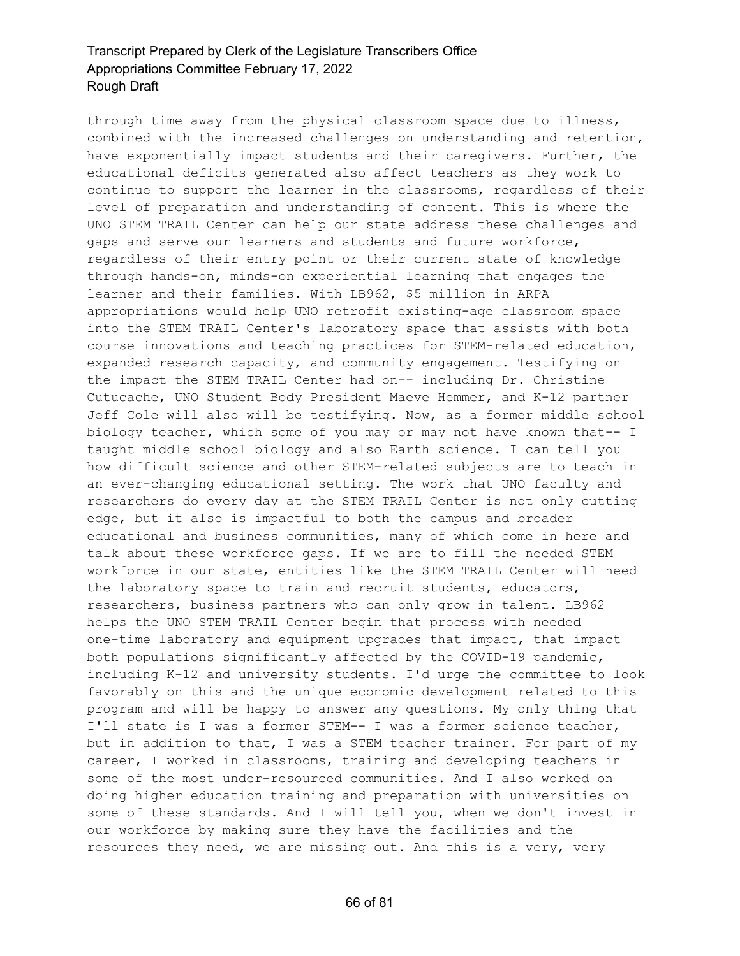through time away from the physical classroom space due to illness, combined with the increased challenges on understanding and retention, have exponentially impact students and their caregivers. Further, the educational deficits generated also affect teachers as they work to continue to support the learner in the classrooms, regardless of their level of preparation and understanding of content. This is where the UNO STEM TRAIL Center can help our state address these challenges and gaps and serve our learners and students and future workforce, regardless of their entry point or their current state of knowledge through hands-on, minds-on experiential learning that engages the learner and their families. With LB962, \$5 million in ARPA appropriations would help UNO retrofit existing-age classroom space into the STEM TRAIL Center's laboratory space that assists with both course innovations and teaching practices for STEM-related education, expanded research capacity, and community engagement. Testifying on the impact the STEM TRAIL Center had on-- including Dr. Christine Cutucache, UNO Student Body President Maeve Hemmer, and K-12 partner Jeff Cole will also will be testifying. Now, as a former middle school biology teacher, which some of you may or may not have known that-- I taught middle school biology and also Earth science. I can tell you how difficult science and other STEM-related subjects are to teach in an ever-changing educational setting. The work that UNO faculty and researchers do every day at the STEM TRAIL Center is not only cutting edge, but it also is impactful to both the campus and broader educational and business communities, many of which come in here and talk about these workforce gaps. If we are to fill the needed STEM workforce in our state, entities like the STEM TRAIL Center will need the laboratory space to train and recruit students, educators, researchers, business partners who can only grow in talent. LB962 helps the UNO STEM TRAIL Center begin that process with needed one-time laboratory and equipment upgrades that impact, that impact both populations significantly affected by the COVID-19 pandemic, including K-12 and university students. I'd urge the committee to look favorably on this and the unique economic development related to this program and will be happy to answer any questions. My only thing that I'll state is I was a former STEM-- I was a former science teacher, but in addition to that, I was a STEM teacher trainer. For part of my career, I worked in classrooms, training and developing teachers in some of the most under-resourced communities. And I also worked on doing higher education training and preparation with universities on some of these standards. And I will tell you, when we don't invest in our workforce by making sure they have the facilities and the resources they need, we are missing out. And this is a very, very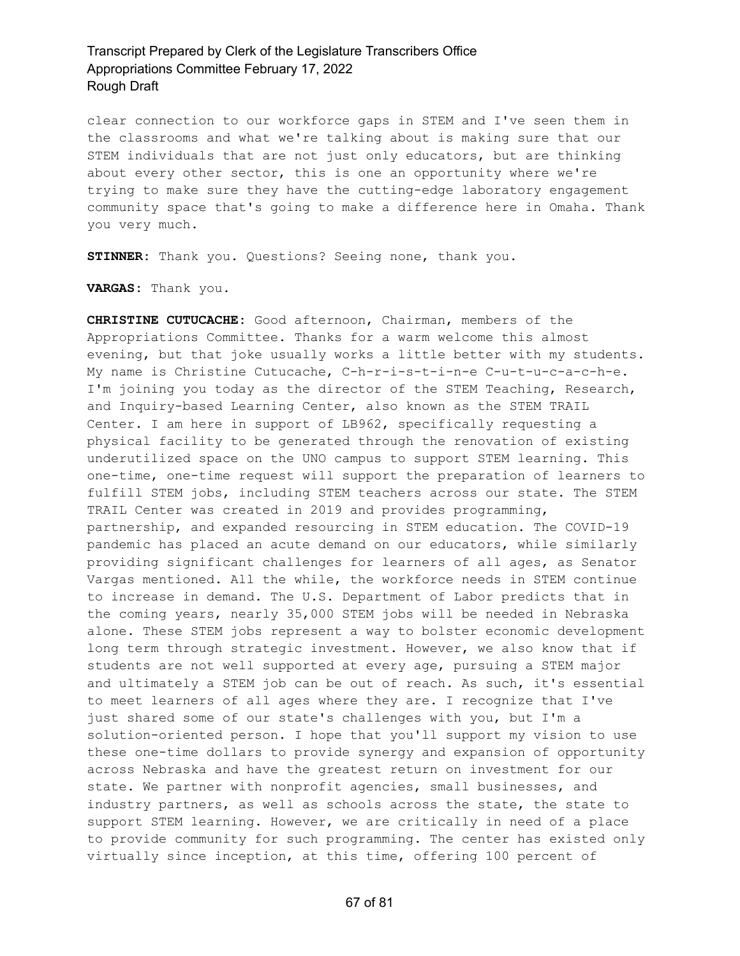clear connection to our workforce gaps in STEM and I've seen them in the classrooms and what we're talking about is making sure that our STEM individuals that are not just only educators, but are thinking about every other sector, this is one an opportunity where we're trying to make sure they have the cutting-edge laboratory engagement community space that's going to make a difference here in Omaha. Thank you very much.

**STINNER:** Thank you. Questions? Seeing none, thank you.

**VARGAS:** Thank you.

**CHRISTINE CUTUCACHE:** Good afternoon, Chairman, members of the Appropriations Committee. Thanks for a warm welcome this almost evening, but that joke usually works a little better with my students. My name is Christine Cutucache, C-h-r-i-s-t-i-n-e C-u-t-u-c-a-c-h-e. I'm joining you today as the director of the STEM Teaching, Research, and Inquiry-based Learning Center, also known as the STEM TRAIL Center. I am here in support of LB962, specifically requesting a physical facility to be generated through the renovation of existing underutilized space on the UNO campus to support STEM learning. This one-time, one-time request will support the preparation of learners to fulfill STEM jobs, including STEM teachers across our state. The STEM TRAIL Center was created in 2019 and provides programming, partnership, and expanded resourcing in STEM education. The COVID-19 pandemic has placed an acute demand on our educators, while similarly providing significant challenges for learners of all ages, as Senator Vargas mentioned. All the while, the workforce needs in STEM continue to increase in demand. The U.S. Department of Labor predicts that in the coming years, nearly 35,000 STEM jobs will be needed in Nebraska alone. These STEM jobs represent a way to bolster economic development long term through strategic investment. However, we also know that if students are not well supported at every age, pursuing a STEM major and ultimately a STEM job can be out of reach. As such, it's essential to meet learners of all ages where they are. I recognize that I've just shared some of our state's challenges with you, but I'm a solution-oriented person. I hope that you'll support my vision to use these one-time dollars to provide synergy and expansion of opportunity across Nebraska and have the greatest return on investment for our state. We partner with nonprofit agencies, small businesses, and industry partners, as well as schools across the state, the state to support STEM learning. However, we are critically in need of a place to provide community for such programming. The center has existed only virtually since inception, at this time, offering 100 percent of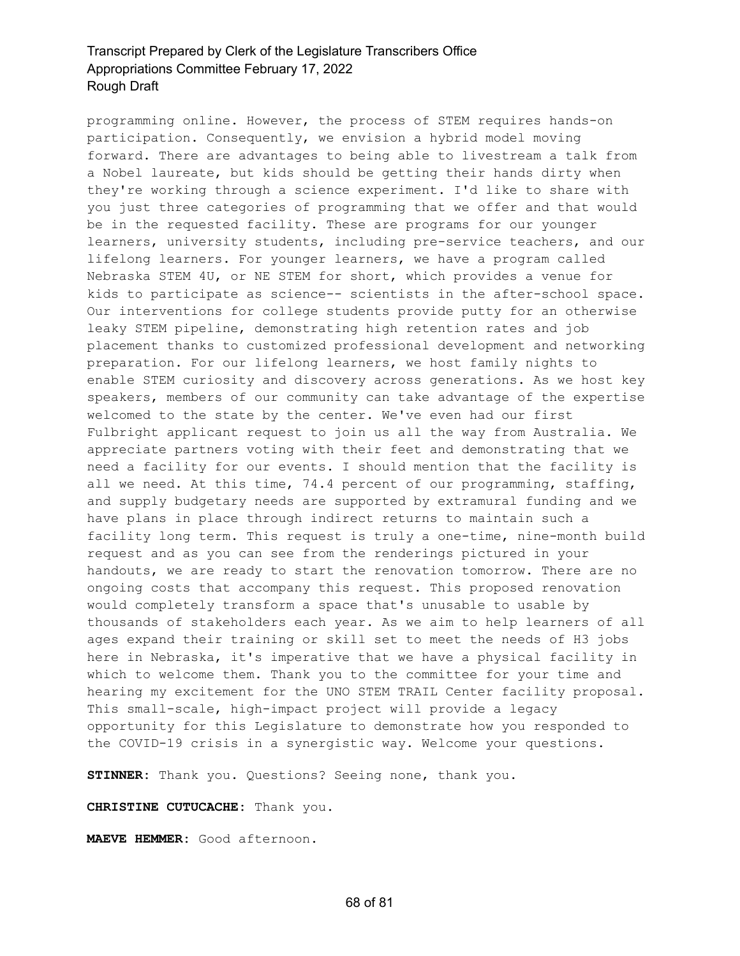programming online. However, the process of STEM requires hands-on participation. Consequently, we envision a hybrid model moving forward. There are advantages to being able to livestream a talk from a Nobel laureate, but kids should be getting their hands dirty when they're working through a science experiment. I'd like to share with you just three categories of programming that we offer and that would be in the requested facility. These are programs for our younger learners, university students, including pre-service teachers, and our lifelong learners. For younger learners, we have a program called Nebraska STEM 4U, or NE STEM for short, which provides a venue for kids to participate as science-- scientists in the after-school space. Our interventions for college students provide putty for an otherwise leaky STEM pipeline, demonstrating high retention rates and job placement thanks to customized professional development and networking preparation. For our lifelong learners, we host family nights to enable STEM curiosity and discovery across generations. As we host key speakers, members of our community can take advantage of the expertise welcomed to the state by the center. We've even had our first Fulbright applicant request to join us all the way from Australia. We appreciate partners voting with their feet and demonstrating that we need a facility for our events. I should mention that the facility is all we need. At this time, 74.4 percent of our programming, staffing, and supply budgetary needs are supported by extramural funding and we have plans in place through indirect returns to maintain such a facility long term. This request is truly a one-time, nine-month build request and as you can see from the renderings pictured in your handouts, we are ready to start the renovation tomorrow. There are no ongoing costs that accompany this request. This proposed renovation would completely transform a space that's unusable to usable by thousands of stakeholders each year. As we aim to help learners of all ages expand their training or skill set to meet the needs of H3 jobs here in Nebraska, it's imperative that we have a physical facility in which to welcome them. Thank you to the committee for your time and hearing my excitement for the UNO STEM TRAIL Center facility proposal. This small-scale, high-impact project will provide a legacy opportunity for this Legislature to demonstrate how you responded to the COVID-19 crisis in a synergistic way. Welcome your questions.

**STINNER:** Thank you. Questions? Seeing none, thank you.

**CHRISTINE CUTUCACHE:** Thank you.

**MAEVE HEMMER:** Good afternoon.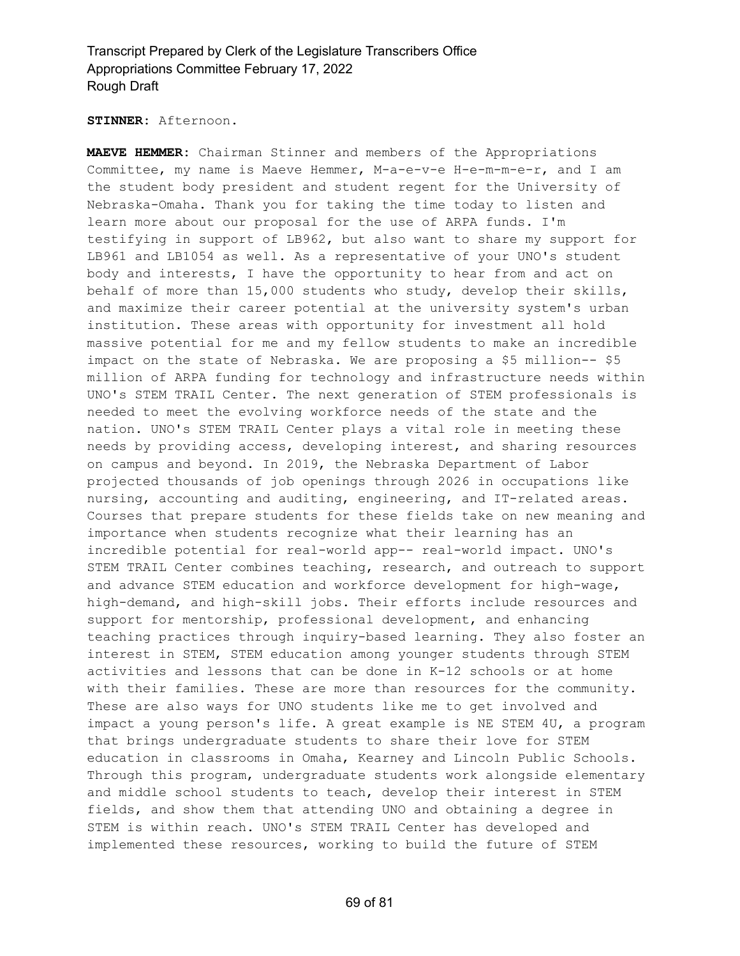#### **STINNER:** Afternoon.

**MAEVE HEMMER:** Chairman Stinner and members of the Appropriations Committee, my name is Maeve Hemmer, M-a-e-v-e H-e-m-m-e-r, and I am the student body president and student regent for the University of Nebraska-Omaha. Thank you for taking the time today to listen and learn more about our proposal for the use of ARPA funds. I'm testifying in support of LB962, but also want to share my support for LB961 and LB1054 as well. As a representative of your UNO's student body and interests, I have the opportunity to hear from and act on behalf of more than 15,000 students who study, develop their skills, and maximize their career potential at the university system's urban institution. These areas with opportunity for investment all hold massive potential for me and my fellow students to make an incredible impact on the state of Nebraska. We are proposing a \$5 million-- \$5 million of ARPA funding for technology and infrastructure needs within UNO's STEM TRAIL Center. The next generation of STEM professionals is needed to meet the evolving workforce needs of the state and the nation. UNO's STEM TRAIL Center plays a vital role in meeting these needs by providing access, developing interest, and sharing resources on campus and beyond. In 2019, the Nebraska Department of Labor projected thousands of job openings through 2026 in occupations like nursing, accounting and auditing, engineering, and IT-related areas. Courses that prepare students for these fields take on new meaning and importance when students recognize what their learning has an incredible potential for real-world app-- real-world impact. UNO's STEM TRAIL Center combines teaching, research, and outreach to support and advance STEM education and workforce development for high-wage, high-demand, and high-skill jobs. Their efforts include resources and support for mentorship, professional development, and enhancing teaching practices through inquiry-based learning. They also foster an interest in STEM, STEM education among younger students through STEM activities and lessons that can be done in K-12 schools or at home with their families. These are more than resources for the community. These are also ways for UNO students like me to get involved and impact a young person's life. A great example is NE STEM 4U, a program that brings undergraduate students to share their love for STEM education in classrooms in Omaha, Kearney and Lincoln Public Schools. Through this program, undergraduate students work alongside elementary and middle school students to teach, develop their interest in STEM fields, and show them that attending UNO and obtaining a degree in STEM is within reach. UNO's STEM TRAIL Center has developed and implemented these resources, working to build the future of STEM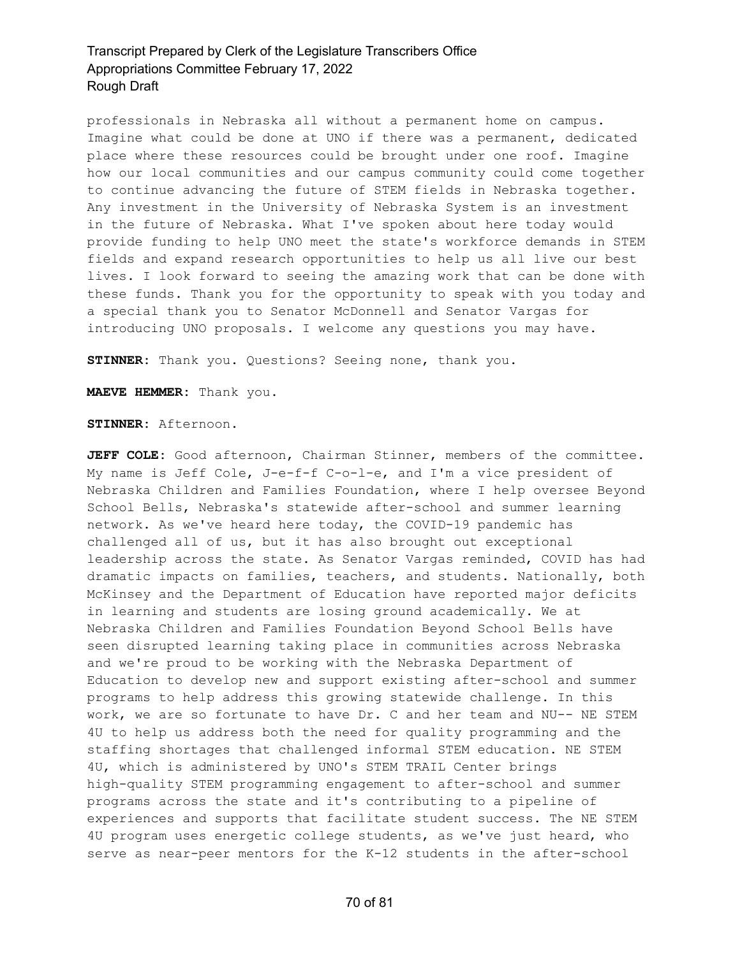professionals in Nebraska all without a permanent home on campus. Imagine what could be done at UNO if there was a permanent, dedicated place where these resources could be brought under one roof. Imagine how our local communities and our campus community could come together to continue advancing the future of STEM fields in Nebraska together. Any investment in the University of Nebraska System is an investment in the future of Nebraska. What I've spoken about here today would provide funding to help UNO meet the state's workforce demands in STEM fields and expand research opportunities to help us all live our best lives. I look forward to seeing the amazing work that can be done with these funds. Thank you for the opportunity to speak with you today and a special thank you to Senator McDonnell and Senator Vargas for introducing UNO proposals. I welcome any questions you may have.

**STINNER:** Thank you. Questions? Seeing none, thank you.

**MAEVE HEMMER:** Thank you.

**STINNER:** Afternoon.

**JEFF COLE:** Good afternoon, Chairman Stinner, members of the committee. My name is Jeff Cole, J-e-f-f C-o-l-e, and I'm a vice president of Nebraska Children and Families Foundation, where I help oversee Beyond School Bells, Nebraska's statewide after-school and summer learning network. As we've heard here today, the COVID-19 pandemic has challenged all of us, but it has also brought out exceptional leadership across the state. As Senator Vargas reminded, COVID has had dramatic impacts on families, teachers, and students. Nationally, both McKinsey and the Department of Education have reported major deficits in learning and students are losing ground academically. We at Nebraska Children and Families Foundation Beyond School Bells have seen disrupted learning taking place in communities across Nebraska and we're proud to be working with the Nebraska Department of Education to develop new and support existing after-school and summer programs to help address this growing statewide challenge. In this work, we are so fortunate to have Dr. C and her team and NU-- NE STEM 4U to help us address both the need for quality programming and the staffing shortages that challenged informal STEM education. NE STEM 4U, which is administered by UNO's STEM TRAIL Center brings high-quality STEM programming engagement to after-school and summer programs across the state and it's contributing to a pipeline of experiences and supports that facilitate student success. The NE STEM 4U program uses energetic college students, as we've just heard, who serve as near-peer mentors for the K-12 students in the after-school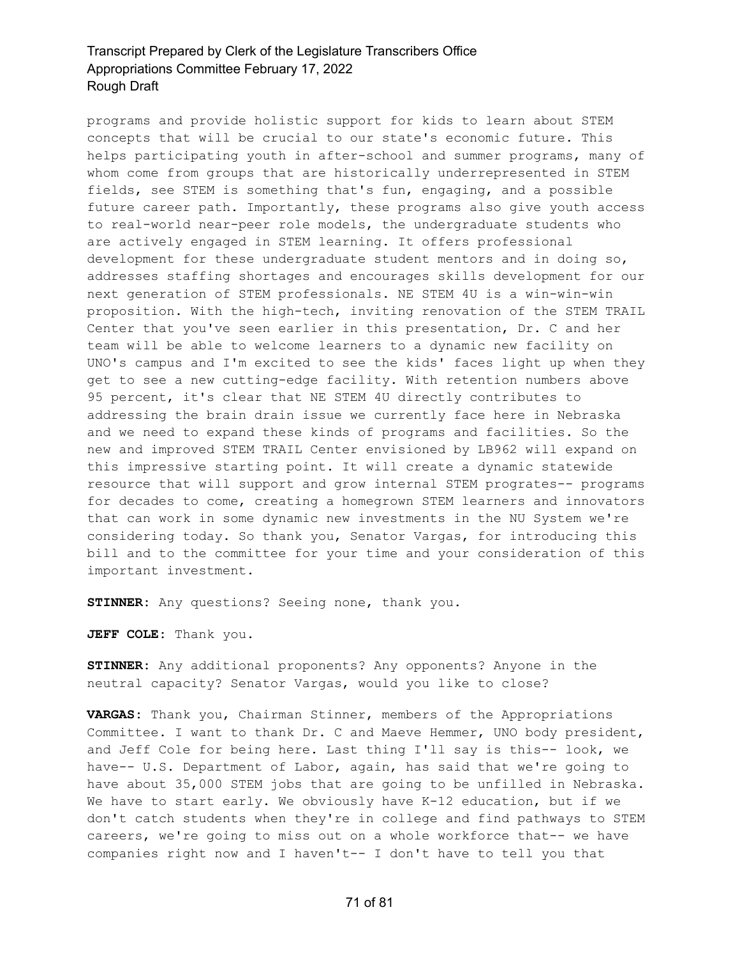programs and provide holistic support for kids to learn about STEM concepts that will be crucial to our state's economic future. This helps participating youth in after-school and summer programs, many of whom come from groups that are historically underrepresented in STEM fields, see STEM is something that's fun, engaging, and a possible future career path. Importantly, these programs also give youth access to real-world near-peer role models, the undergraduate students who are actively engaged in STEM learning. It offers professional development for these undergraduate student mentors and in doing so, addresses staffing shortages and encourages skills development for our next generation of STEM professionals. NE STEM 4U is a win-win-win proposition. With the high-tech, inviting renovation of the STEM TRAIL Center that you've seen earlier in this presentation, Dr. C and her team will be able to welcome learners to a dynamic new facility on UNO's campus and I'm excited to see the kids' faces light up when they get to see a new cutting-edge facility. With retention numbers above 95 percent, it's clear that NE STEM 4U directly contributes to addressing the brain drain issue we currently face here in Nebraska and we need to expand these kinds of programs and facilities. So the new and improved STEM TRAIL Center envisioned by LB962 will expand on this impressive starting point. It will create a dynamic statewide resource that will support and grow internal STEM progrates-- programs for decades to come, creating a homegrown STEM learners and innovators that can work in some dynamic new investments in the NU System we're considering today. So thank you, Senator Vargas, for introducing this bill and to the committee for your time and your consideration of this important investment.

**STINNER:** Any questions? Seeing none, thank you.

**JEFF COLE:** Thank you.

**STINNER:** Any additional proponents? Any opponents? Anyone in the neutral capacity? Senator Vargas, would you like to close?

**VARGAS:** Thank you, Chairman Stinner, members of the Appropriations Committee. I want to thank Dr. C and Maeve Hemmer, UNO body president, and Jeff Cole for being here. Last thing I'll say is this-- look, we have-- U.S. Department of Labor, again, has said that we're going to have about 35,000 STEM jobs that are going to be unfilled in Nebraska. We have to start early. We obviously have K-12 education, but if we don't catch students when they're in college and find pathways to STEM careers, we're going to miss out on a whole workforce that-- we have companies right now and I haven't-- I don't have to tell you that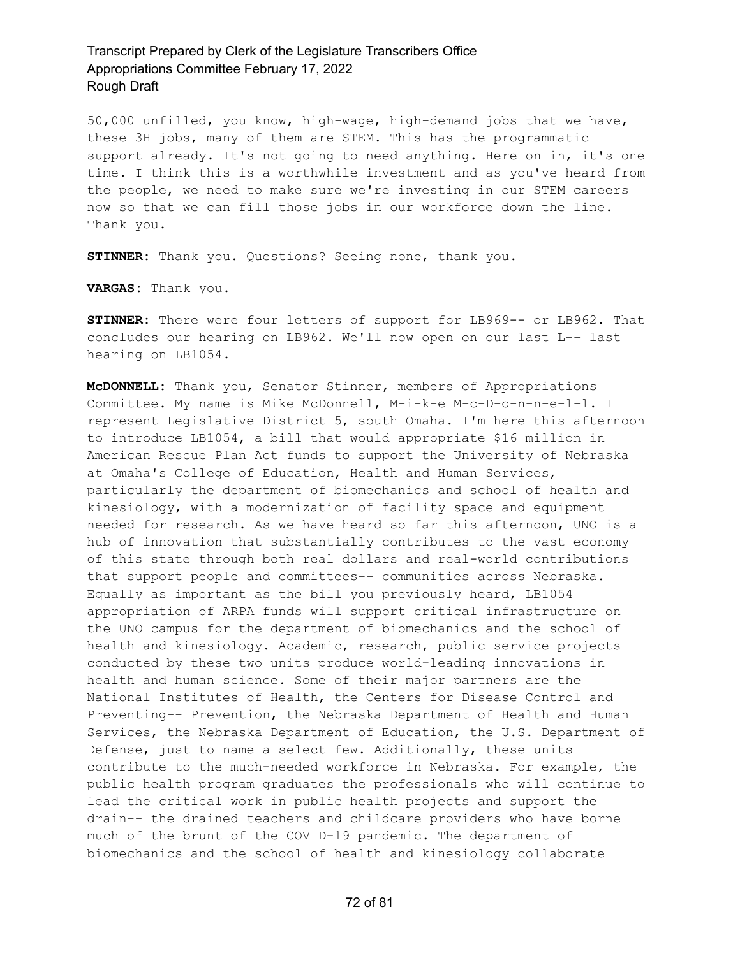50,000 unfilled, you know, high-wage, high-demand jobs that we have, these 3H jobs, many of them are STEM. This has the programmatic support already. It's not going to need anything. Here on in, it's one time. I think this is a worthwhile investment and as you've heard from the people, we need to make sure we're investing in our STEM careers now so that we can fill those jobs in our workforce down the line. Thank you.

**STINNER:** Thank you. Questions? Seeing none, thank you.

**VARGAS:** Thank you.

**STINNER:** There were four letters of support for LB969-- or LB962. That concludes our hearing on LB962. We'll now open on our last L-- last hearing on LB1054.

**McDONNELL:** Thank you, Senator Stinner, members of Appropriations Committee. My name is Mike McDonnell, M-i-k-e M-c-D-o-n-n-e-l-l. I represent Legislative District 5, south Omaha. I'm here this afternoon to introduce LB1054, a bill that would appropriate \$16 million in American Rescue Plan Act funds to support the University of Nebraska at Omaha's College of Education, Health and Human Services, particularly the department of biomechanics and school of health and kinesiology, with a modernization of facility space and equipment needed for research. As we have heard so far this afternoon, UNO is a hub of innovation that substantially contributes to the vast economy of this state through both real dollars and real-world contributions that support people and committees-- communities across Nebraska. Equally as important as the bill you previously heard, LB1054 appropriation of ARPA funds will support critical infrastructure on the UNO campus for the department of biomechanics and the school of health and kinesiology. Academic, research, public service projects conducted by these two units produce world-leading innovations in health and human science. Some of their major partners are the National Institutes of Health, the Centers for Disease Control and Preventing-- Prevention, the Nebraska Department of Health and Human Services, the Nebraska Department of Education, the U.S. Department of Defense, just to name a select few. Additionally, these units contribute to the much-needed workforce in Nebraska. For example, the public health program graduates the professionals who will continue to lead the critical work in public health projects and support the drain-- the drained teachers and childcare providers who have borne much of the brunt of the COVID-19 pandemic. The department of biomechanics and the school of health and kinesiology collaborate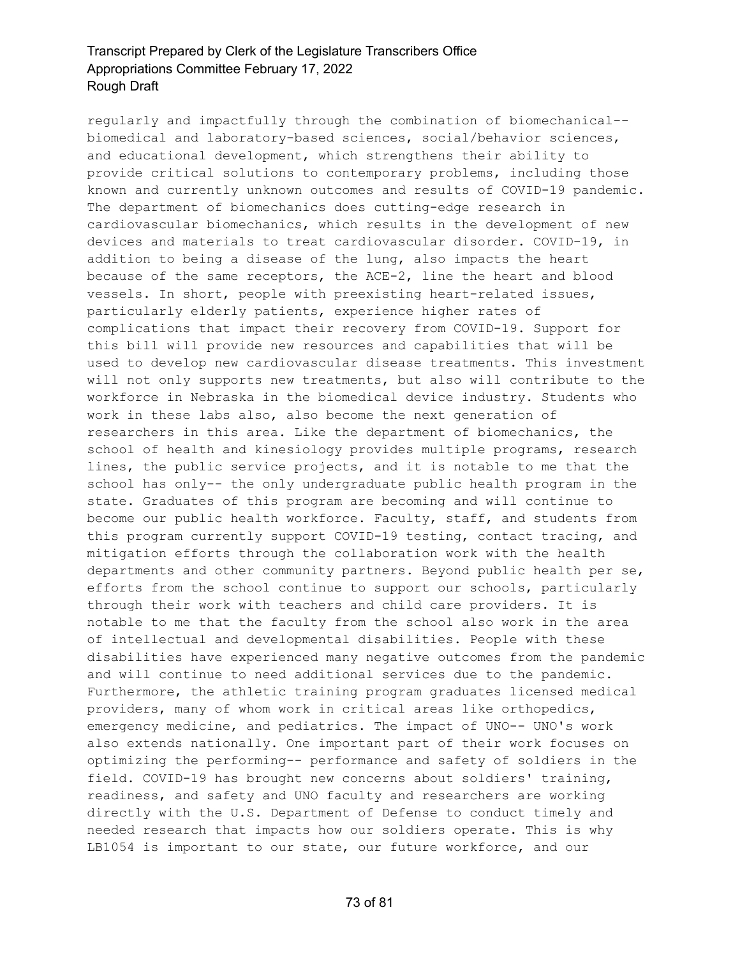regularly and impactfully through the combination of biomechanical- biomedical and laboratory-based sciences, social/behavior sciences, and educational development, which strengthens their ability to provide critical solutions to contemporary problems, including those known and currently unknown outcomes and results of COVID-19 pandemic. The department of biomechanics does cutting-edge research in cardiovascular biomechanics, which results in the development of new devices and materials to treat cardiovascular disorder. COVID-19, in addition to being a disease of the lung, also impacts the heart because of the same receptors, the ACE-2, line the heart and blood vessels. In short, people with preexisting heart-related issues, particularly elderly patients, experience higher rates of complications that impact their recovery from COVID-19. Support for this bill will provide new resources and capabilities that will be used to develop new cardiovascular disease treatments. This investment will not only supports new treatments, but also will contribute to the workforce in Nebraska in the biomedical device industry. Students who work in these labs also, also become the next generation of researchers in this area. Like the department of biomechanics, the school of health and kinesiology provides multiple programs, research lines, the public service projects, and it is notable to me that the school has only-- the only undergraduate public health program in the state. Graduates of this program are becoming and will continue to become our public health workforce. Faculty, staff, and students from this program currently support COVID-19 testing, contact tracing, and mitigation efforts through the collaboration work with the health departments and other community partners. Beyond public health per se, efforts from the school continue to support our schools, particularly through their work with teachers and child care providers. It is notable to me that the faculty from the school also work in the area of intellectual and developmental disabilities. People with these disabilities have experienced many negative outcomes from the pandemic and will continue to need additional services due to the pandemic. Furthermore, the athletic training program graduates licensed medical providers, many of whom work in critical areas like orthopedics, emergency medicine, and pediatrics. The impact of UNO-- UNO's work also extends nationally. One important part of their work focuses on optimizing the performing-- performance and safety of soldiers in the field. COVID-19 has brought new concerns about soldiers' training, readiness, and safety and UNO faculty and researchers are working directly with the U.S. Department of Defense to conduct timely and needed research that impacts how our soldiers operate. This is why LB1054 is important to our state, our future workforce, and our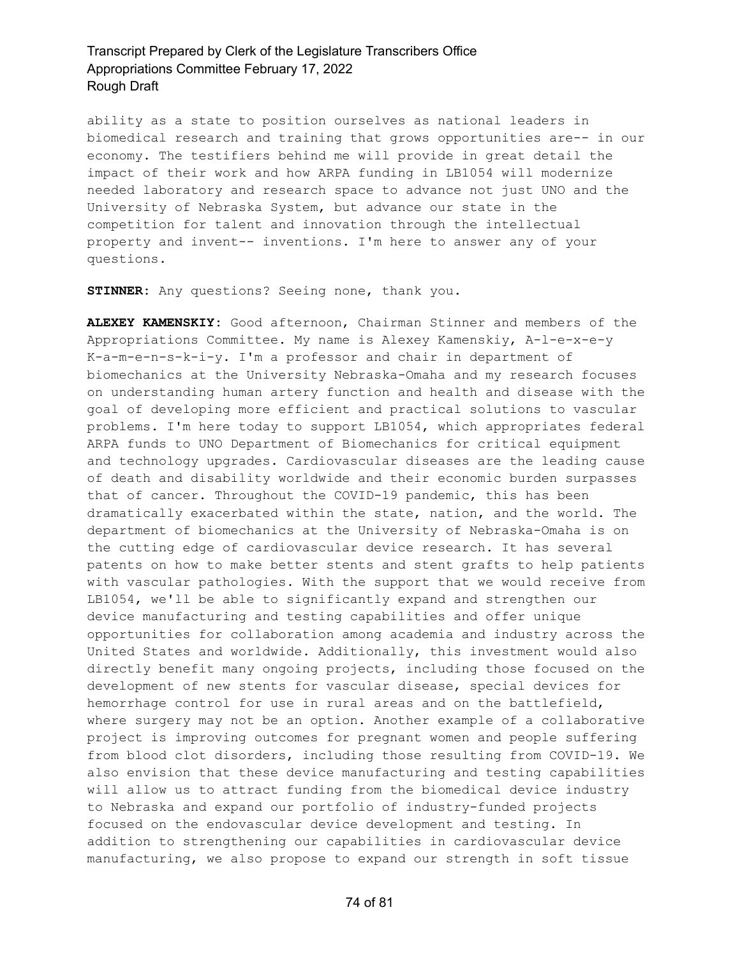ability as a state to position ourselves as national leaders in biomedical research and training that grows opportunities are-- in our economy. The testifiers behind me will provide in great detail the impact of their work and how ARPA funding in LB1054 will modernize needed laboratory and research space to advance not just UNO and the University of Nebraska System, but advance our state in the competition for talent and innovation through the intellectual property and invent-- inventions. I'm here to answer any of your questions.

**STINNER:** Any questions? Seeing none, thank you.

**ALEXEY KAMENSKIY:** Good afternoon, Chairman Stinner and members of the Appropriations Committee. My name is Alexey Kamenskiy, A-l-e-x-e-y K-a-m-e-n-s-k-i-y. I'm a professor and chair in department of biomechanics at the University Nebraska-Omaha and my research focuses on understanding human artery function and health and disease with the goal of developing more efficient and practical solutions to vascular problems. I'm here today to support LB1054, which appropriates federal ARPA funds to UNO Department of Biomechanics for critical equipment and technology upgrades. Cardiovascular diseases are the leading cause of death and disability worldwide and their economic burden surpasses that of cancer. Throughout the COVID-19 pandemic, this has been dramatically exacerbated within the state, nation, and the world. The department of biomechanics at the University of Nebraska-Omaha is on the cutting edge of cardiovascular device research. It has several patents on how to make better stents and stent grafts to help patients with vascular pathologies. With the support that we would receive from LB1054, we'll be able to significantly expand and strengthen our device manufacturing and testing capabilities and offer unique opportunities for collaboration among academia and industry across the United States and worldwide. Additionally, this investment would also directly benefit many ongoing projects, including those focused on the development of new stents for vascular disease, special devices for hemorrhage control for use in rural areas and on the battlefield, where surgery may not be an option. Another example of a collaborative project is improving outcomes for pregnant women and people suffering from blood clot disorders, including those resulting from COVID-19. We also envision that these device manufacturing and testing capabilities will allow us to attract funding from the biomedical device industry to Nebraska and expand our portfolio of industry-funded projects focused on the endovascular device development and testing. In addition to strengthening our capabilities in cardiovascular device manufacturing, we also propose to expand our strength in soft tissue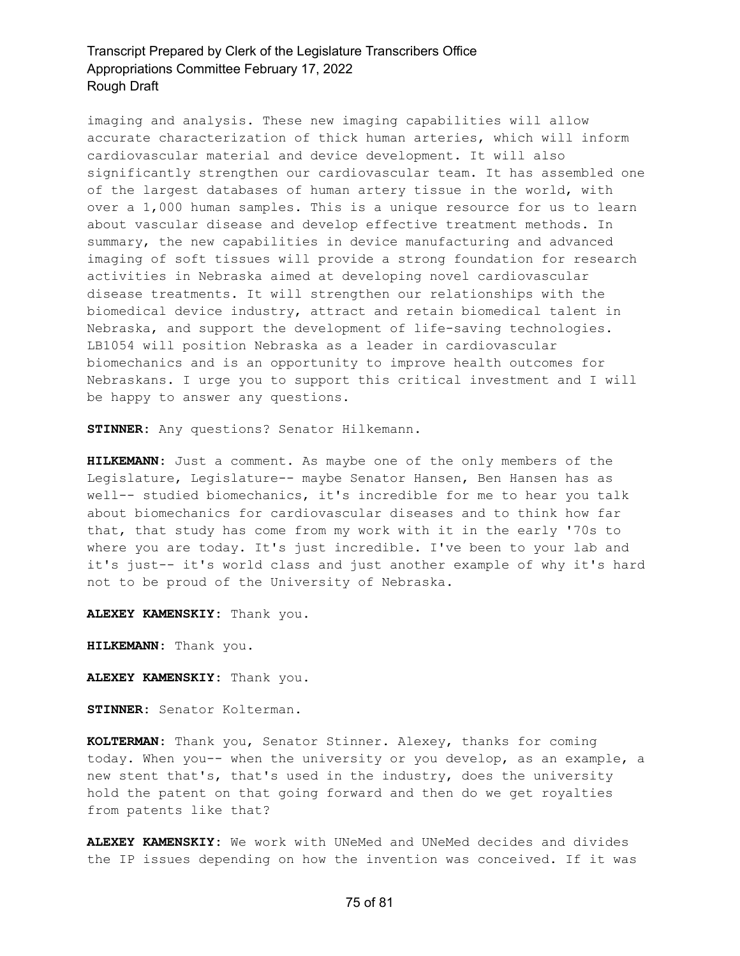imaging and analysis. These new imaging capabilities will allow accurate characterization of thick human arteries, which will inform cardiovascular material and device development. It will also significantly strengthen our cardiovascular team. It has assembled one of the largest databases of human artery tissue in the world, with over a 1,000 human samples. This is a unique resource for us to learn about vascular disease and develop effective treatment methods. In summary, the new capabilities in device manufacturing and advanced imaging of soft tissues will provide a strong foundation for research activities in Nebraska aimed at developing novel cardiovascular disease treatments. It will strengthen our relationships with the biomedical device industry, attract and retain biomedical talent in Nebraska, and support the development of life-saving technologies. LB1054 will position Nebraska as a leader in cardiovascular biomechanics and is an opportunity to improve health outcomes for Nebraskans. I urge you to support this critical investment and I will be happy to answer any questions.

**STINNER:** Any questions? Senator Hilkemann.

**HILKEMANN:** Just a comment. As maybe one of the only members of the Legislature, Legislature-- maybe Senator Hansen, Ben Hansen has as well-- studied biomechanics, it's incredible for me to hear you talk about biomechanics for cardiovascular diseases and to think how far that, that study has come from my work with it in the early '70s to where you are today. It's just incredible. I've been to your lab and it's just-- it's world class and just another example of why it's hard not to be proud of the University of Nebraska.

**ALEXEY KAMENSKIY:** Thank you.

**HILKEMANN:** Thank you.

**ALEXEY KAMENSKIY:** Thank you.

**STINNER:** Senator Kolterman.

**KOLTERMAN:** Thank you, Senator Stinner. Alexey, thanks for coming today. When you-- when the university or you develop, as an example, a new stent that's, that's used in the industry, does the university hold the patent on that going forward and then do we get royalties from patents like that?

**ALEXEY KAMENSKIY:** We work with UNeMed and UNeMed decides and divides the IP issues depending on how the invention was conceived. If it was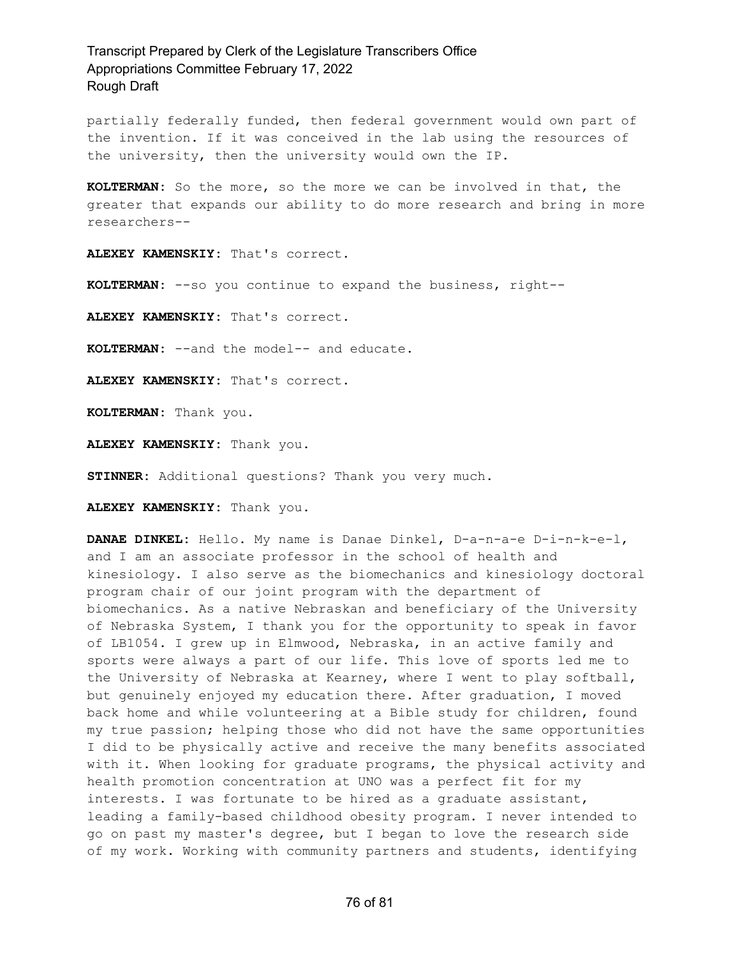partially federally funded, then federal government would own part of the invention. If it was conceived in the lab using the resources of the university, then the university would own the IP.

**KOLTERMAN:** So the more, so the more we can be involved in that, the greater that expands our ability to do more research and bring in more researchers--

**ALEXEY KAMENSKIY:** That's correct.

**KOLTERMAN:** --so you continue to expand the business, right--

**ALEXEY KAMENSKIY:** That's correct.

**KOLTERMAN:** --and the model-- and educate.

**ALEXEY KAMENSKIY:** That's correct.

**KOLTERMAN:** Thank you.

**ALEXEY KAMENSKIY:** Thank you.

**STINNER:** Additional questions? Thank you very much.

**ALEXEY KAMENSKIY:** Thank you.

**DANAE DINKEL:** Hello. My name is Danae Dinkel, D-a-n-a-e D-i-n-k-e-l, and I am an associate professor in the school of health and kinesiology. I also serve as the biomechanics and kinesiology doctoral program chair of our joint program with the department of biomechanics. As a native Nebraskan and beneficiary of the University of Nebraska System, I thank you for the opportunity to speak in favor of LB1054. I grew up in Elmwood, Nebraska, in an active family and sports were always a part of our life. This love of sports led me to the University of Nebraska at Kearney, where I went to play softball, but genuinely enjoyed my education there. After graduation, I moved back home and while volunteering at a Bible study for children, found my true passion; helping those who did not have the same opportunities I did to be physically active and receive the many benefits associated with it. When looking for graduate programs, the physical activity and health promotion concentration at UNO was a perfect fit for my interests. I was fortunate to be hired as a graduate assistant, leading a family-based childhood obesity program. I never intended to go on past my master's degree, but I began to love the research side of my work. Working with community partners and students, identifying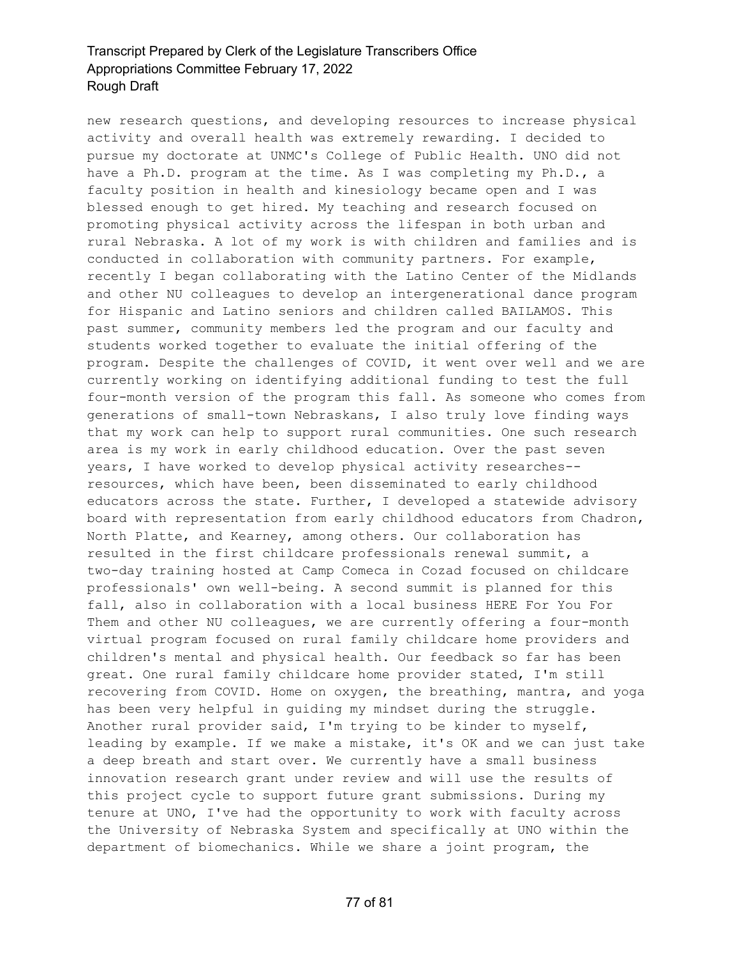new research questions, and developing resources to increase physical activity and overall health was extremely rewarding. I decided to pursue my doctorate at UNMC's College of Public Health. UNO did not have a Ph.D. program at the time. As I was completing my Ph.D., a faculty position in health and kinesiology became open and I was blessed enough to get hired. My teaching and research focused on promoting physical activity across the lifespan in both urban and rural Nebraska. A lot of my work is with children and families and is conducted in collaboration with community partners. For example, recently I began collaborating with the Latino Center of the Midlands and other NU colleagues to develop an intergenerational dance program for Hispanic and Latino seniors and children called BAILAMOS. This past summer, community members led the program and our faculty and students worked together to evaluate the initial offering of the program. Despite the challenges of COVID, it went over well and we are currently working on identifying additional funding to test the full four-month version of the program this fall. As someone who comes from generations of small-town Nebraskans, I also truly love finding ways that my work can help to support rural communities. One such research area is my work in early childhood education. Over the past seven years, I have worked to develop physical activity researches- resources, which have been, been disseminated to early childhood educators across the state. Further, I developed a statewide advisory board with representation from early childhood educators from Chadron, North Platte, and Kearney, among others. Our collaboration has resulted in the first childcare professionals renewal summit, a two-day training hosted at Camp Comeca in Cozad focused on childcare professionals' own well-being. A second summit is planned for this fall, also in collaboration with a local business HERE For You For Them and other NU colleagues, we are currently offering a four-month virtual program focused on rural family childcare home providers and children's mental and physical health. Our feedback so far has been great. One rural family childcare home provider stated, I'm still recovering from COVID. Home on oxygen, the breathing, mantra, and yoga has been very helpful in guiding my mindset during the struggle. Another rural provider said, I'm trying to be kinder to myself, leading by example. If we make a mistake, it's OK and we can just take a deep breath and start over. We currently have a small business innovation research grant under review and will use the results of this project cycle to support future grant submissions. During my tenure at UNO, I've had the opportunity to work with faculty across the University of Nebraska System and specifically at UNO within the department of biomechanics. While we share a joint program, the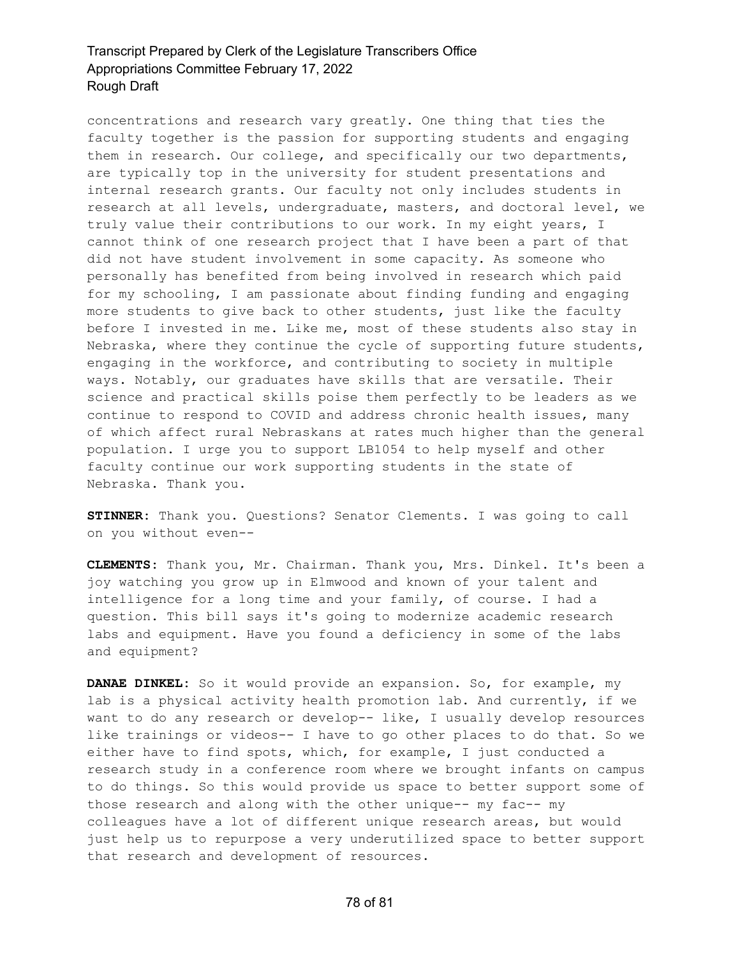concentrations and research vary greatly. One thing that ties the faculty together is the passion for supporting students and engaging them in research. Our college, and specifically our two departments, are typically top in the university for student presentations and internal research grants. Our faculty not only includes students in research at all levels, undergraduate, masters, and doctoral level, we truly value their contributions to our work. In my eight years, I cannot think of one research project that I have been a part of that did not have student involvement in some capacity. As someone who personally has benefited from being involved in research which paid for my schooling, I am passionate about finding funding and engaging more students to give back to other students, just like the faculty before I invested in me. Like me, most of these students also stay in Nebraska, where they continue the cycle of supporting future students, engaging in the workforce, and contributing to society in multiple ways. Notably, our graduates have skills that are versatile. Their science and practical skills poise them perfectly to be leaders as we continue to respond to COVID and address chronic health issues, many of which affect rural Nebraskans at rates much higher than the general population. I urge you to support LB1054 to help myself and other faculty continue our work supporting students in the state of Nebraska. Thank you.

**STINNER:** Thank you. Questions? Senator Clements. I was going to call on you without even--

**CLEMENTS:** Thank you, Mr. Chairman. Thank you, Mrs. Dinkel. It's been a joy watching you grow up in Elmwood and known of your talent and intelligence for a long time and your family, of course. I had a question. This bill says it's going to modernize academic research labs and equipment. Have you found a deficiency in some of the labs and equipment?

**DANAE DINKEL:** So it would provide an expansion. So, for example, my lab is a physical activity health promotion lab. And currently, if we want to do any research or develop-- like, I usually develop resources like trainings or videos-- I have to go other places to do that. So we either have to find spots, which, for example, I just conducted a research study in a conference room where we brought infants on campus to do things. So this would provide us space to better support some of those research and along with the other unique-- my fac-- my colleagues have a lot of different unique research areas, but would just help us to repurpose a very underutilized space to better support that research and development of resources.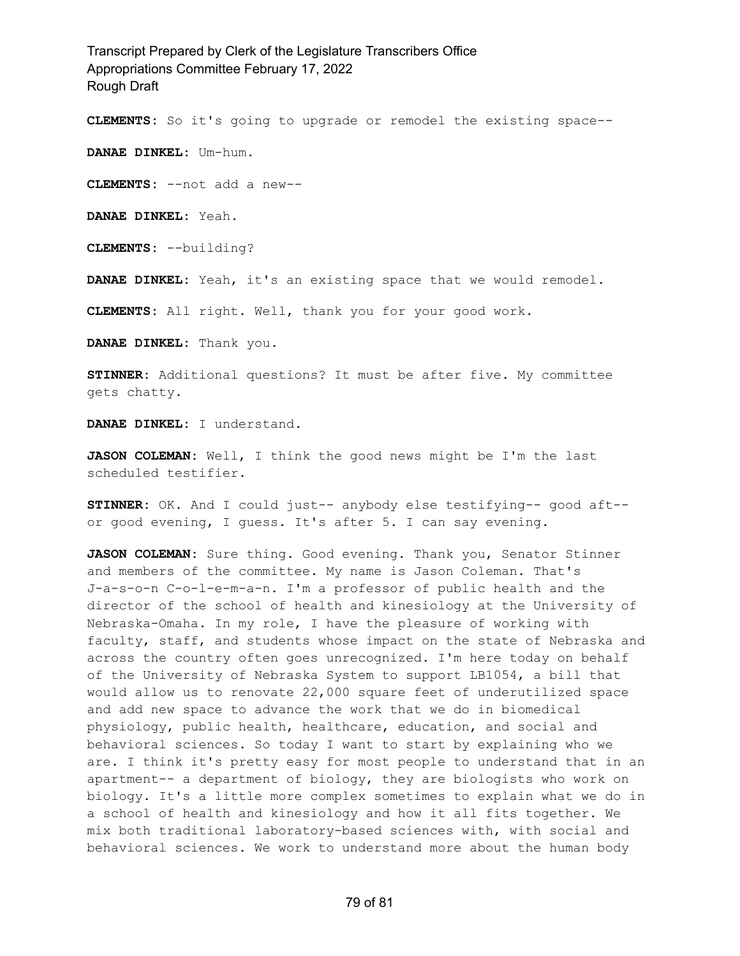**CLEMENTS:** So it's going to upgrade or remodel the existing space--

**DANAE DINKEL:** Um-hum.

**CLEMENTS:** --not add a new--

**DANAE DINKEL:** Yeah.

**CLEMENTS:** --building?

**DANAE DINKEL:** Yeah, it's an existing space that we would remodel.

**CLEMENTS:** All right. Well, thank you for your good work.

**DANAE DINKEL:** Thank you.

**STINNER:** Additional questions? It must be after five. My committee gets chatty.

**DANAE DINKEL:** I understand.

**JASON COLEMAN:** Well, I think the good news might be I'm the last scheduled testifier.

**STINNER:** OK. And I could just-- anybody else testifying-- good aft- or good evening, I guess. It's after 5. I can say evening.

**JASON COLEMAN:** Sure thing. Good evening. Thank you, Senator Stinner and members of the committee. My name is Jason Coleman. That's J-a-s-o-n C-o-l-e-m-a-n. I'm a professor of public health and the director of the school of health and kinesiology at the University of Nebraska-Omaha. In my role, I have the pleasure of working with faculty, staff, and students whose impact on the state of Nebraska and across the country often goes unrecognized. I'm here today on behalf of the University of Nebraska System to support LB1054, a bill that would allow us to renovate 22,000 square feet of underutilized space and add new space to advance the work that we do in biomedical physiology, public health, healthcare, education, and social and behavioral sciences. So today I want to start by explaining who we are. I think it's pretty easy for most people to understand that in an apartment-- a department of biology, they are biologists who work on biology. It's a little more complex sometimes to explain what we do in a school of health and kinesiology and how it all fits together. We mix both traditional laboratory-based sciences with, with social and behavioral sciences. We work to understand more about the human body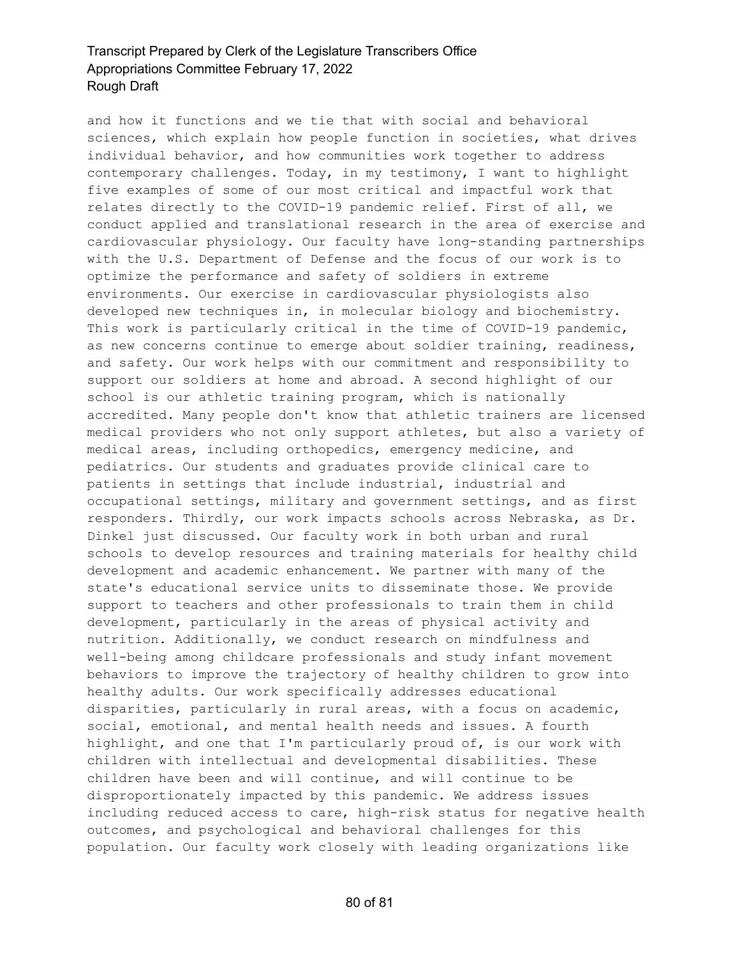and how it functions and we tie that with social and behavioral sciences, which explain how people function in societies, what drives individual behavior, and how communities work together to address contemporary challenges. Today, in my testimony, I want to highlight five examples of some of our most critical and impactful work that relates directly to the COVID-19 pandemic relief. First of all, we conduct applied and translational research in the area of exercise and cardiovascular physiology. Our faculty have long-standing partnerships with the U.S. Department of Defense and the focus of our work is to optimize the performance and safety of soldiers in extreme environments. Our exercise in cardiovascular physiologists also developed new techniques in, in molecular biology and biochemistry. This work is particularly critical in the time of COVID-19 pandemic, as new concerns continue to emerge about soldier training, readiness, and safety. Our work helps with our commitment and responsibility to support our soldiers at home and abroad. A second highlight of our school is our athletic training program, which is nationally accredited. Many people don't know that athletic trainers are licensed medical providers who not only support athletes, but also a variety of medical areas, including orthopedics, emergency medicine, and pediatrics. Our students and graduates provide clinical care to patients in settings that include industrial, industrial and occupational settings, military and government settings, and as first responders. Thirdly, our work impacts schools across Nebraska, as Dr. Dinkel just discussed. Our faculty work in both urban and rural schools to develop resources and training materials for healthy child development and academic enhancement. We partner with many of the state's educational service units to disseminate those. We provide support to teachers and other professionals to train them in child development, particularly in the areas of physical activity and nutrition. Additionally, we conduct research on mindfulness and well-being among childcare professionals and study infant movement behaviors to improve the trajectory of healthy children to grow into healthy adults. Our work specifically addresses educational disparities, particularly in rural areas, with a focus on academic, social, emotional, and mental health needs and issues. A fourth highlight, and one that I'm particularly proud of, is our work with children with intellectual and developmental disabilities. These children have been and will continue, and will continue to be disproportionately impacted by this pandemic. We address issues including reduced access to care, high-risk status for negative health outcomes, and psychological and behavioral challenges for this population. Our faculty work closely with leading organizations like